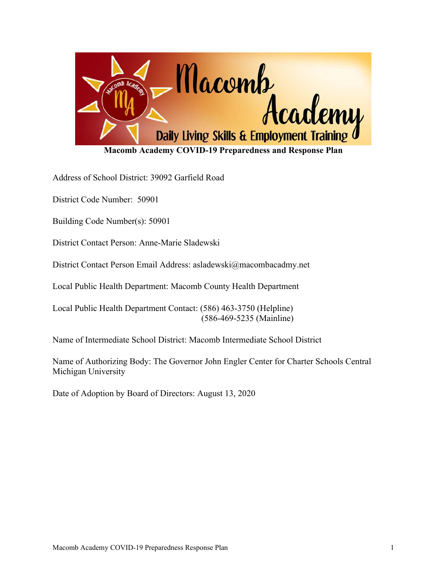

Address of School District: 39092 Garfield Road

District Code Number: 50901

Building Code Number(s): 50901

District Contact Person: Anne-Marie Sladewski

District Contact Person Email Address: asladewski@macombacadmy.net

Local Public Health Department: Macomb County Health Department

Local Public Health Department Contact: (586) 463-3750 (Helpline) (586-469-5235 (Mainline)

Name of Intermediate School District: Macomb Intermediate School District

Name of Authorizing Body: The Governor John Engler Center for Charter Schools Central Michigan University

Date of Adoption by Board of Directors: August 13, 2020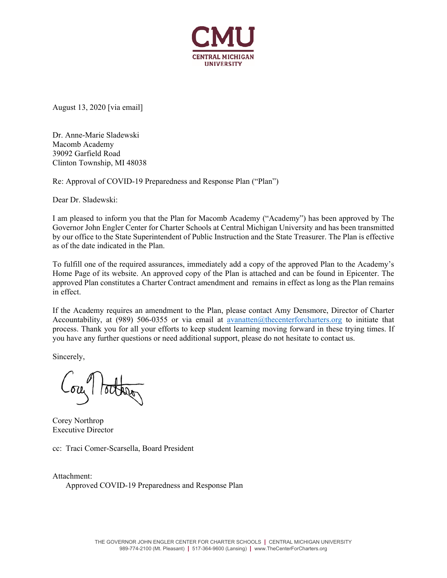

August 13, 2020 [via email]

Dr. Anne-Marie Sladewski Macomb Academy 39092 Garfield Road Clinton Township, MI 48038

Re: Approval of COVID-19 Preparedness and Response Plan ("Plan")

Dear Dr. Sladewski:

I am pleased to inform you that the Plan for Macomb Academy ("Academy") has been approved by The Governor John Engler Center for Charter Schools at Central Michigan University and has been transmitted by our office to the State Superintendent of Public Instruction and the State Treasurer. The Plan is effective as of the date indicated in the Plan.

To fulfill one of the required assurances, immediately add a copy of the approved Plan to the Academy's Home Page of its website. An approved copy of the Plan is attached and can be found in Epicenter. The approved Plan constitutes a Charter Contract amendment and remains in effect as long as the Plan remains in effect.

If the Academy requires an amendment to the Plan, please contact Amy Densmore, Director of Charter Accountability, at (989) 506-0355 or via email at avanatten@thecenterforcharters.org to initiate that process. Thank you for all your efforts to keep student learning moving forward in these trying times. If you have any further questions or need additional support, please do not hesitate to contact us.

Sincerely,

Corey Northrop Executive Director

cc: Traci Comer-Scarsella, Board President

Attachment: Approved COVID-19 Preparedness and Response Plan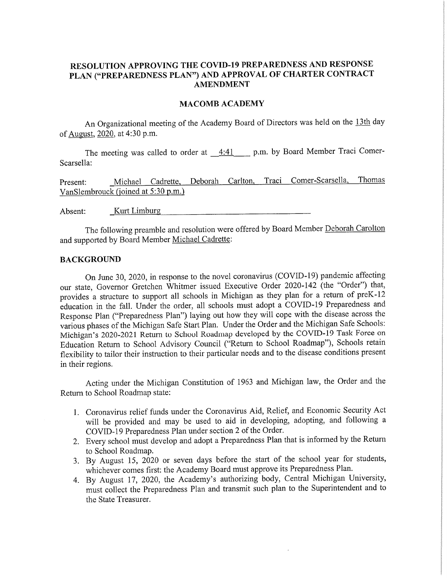#### RESOLUTION APPROVING THE COVID-19 PREPAREDNESS AND RESPONSE PLAN ("PREPAREDNESS PLAN") AND APPROVAL OF CHARTER CONTRACT **AMENDMENT**

#### **MACOMB ACADEMY**

An Organizational meeting of the Academy Board of Directors was held on the 13th day of <u>August</u>, 2020, at 4:30 p.m.

The meeting was called to order at  $4:41$  p.m. by Board Member Traci Comer-Scarsella:

Michael Cadrette, Deborah Carlton, Traci Comer-Scarsella, Thomas Present: VanSlembrouck (joined at 5:30 p.m.)

Absent: Kurt Limburg

The following preamble and resolution were offered by Board Member Deborah Carolton and supported by Board Member Michael Cadrette:

#### **BACKGROUND**

On June 30, 2020, in response to the novel coronavirus (COVID-19) pandemic affecting our state, Governor Gretchen Whitmer issued Executive Order 2020-142 (the "Order") that, provides a structure to support all schools in Michigan as they plan for a return of preK-12 education in the fall. Under the order, all schools must adopt a COVID-19 Preparedness and Response Plan ("Preparedness Plan") laying out how they will cope with the disease across the various phases of the Michigan Safe Start Plan. Under the Order and the Michigan Safe Schools: Michigan's 2020-2021 Return to School Roadmap developed by the COVID-19 Task Force on Education Return to School Advisory Council ("Return to School Roadmap"), Schools retain flexibility to tailor their instruction to their particular needs and to the disease conditions present in their regions.

Acting under the Michigan Constitution of 1963 and Michigan law, the Order and the Return to School Roadmap state:

- 1. Coronavirus relief funds under the Coronavirus Aid, Relief, and Economic Security Act will be provided and may be used to aid in developing, adopting, and following a COVID-19 Preparedness Plan under section 2 of the Order.
- 2. Every school must develop and adopt a Preparedness Plan that is informed by the Return to School Roadmap.
- 3. By August 15, 2020 or seven days before the start of the school year for students, whichever comes first: the Academy Board must approve its Preparedness Plan.
- 4. By August 17, 2020, the Academy's authorizing body, Central Michigan University, must collect the Preparedness Plan and transmit such plan to the Superintendent and to the State Treasurer.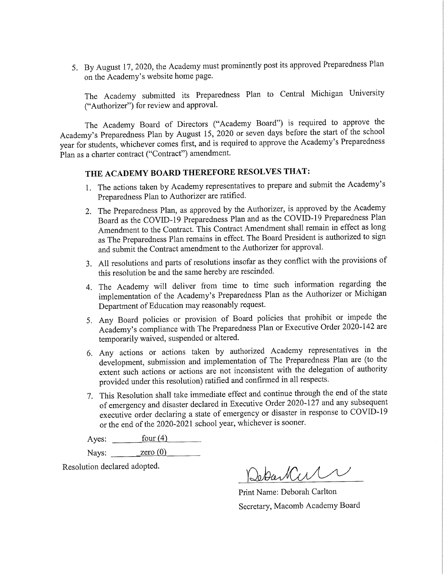5. By August 17, 2020, the Academy must prominently post its approved Preparedness Plan on the Academy's website home page.

The Academy submitted its Preparedness Plan to Central Michigan University ("Authorizer") for review and approval.

The Academy Board of Directors ("Academy Board") is required to approve the Academy's Preparedness Plan by August 15, 2020 or seven days before the start of the school year for students, whichever comes first, and is required to approve the Academy's Preparedness Plan as a charter contract ("Contract") amendment.

## THE ACADEMY BOARD THEREFORE RESOLVES THAT:

- 1. The actions taken by Academy representatives to prepare and submit the Academy's Preparedness Plan to Authorizer are ratified.
- 2. The Preparedness Plan, as approved by the Authorizer, is approved by the Academy Board as the COVID-19 Preparedness Plan and as the COVID-19 Preparedness Plan Amendment to the Contract. This Contract Amendment shall remain in effect as long as The Preparedness Plan remains in effect. The Board President is authorized to sign and submit the Contract amendment to the Authorizer for approval.
- 3. All resolutions and parts of resolutions insofar as they conflict with the provisions of this resolution be and the same hereby are rescinded.
- 4. The Academy will deliver from time to time such information regarding the implementation of the Academy's Preparedness Plan as the Authorizer or Michigan Department of Education may reasonably request.
- 5. Any Board policies or provision of Board policies that prohibit or impede the Academy's compliance with The Preparedness Plan or Executive Order 2020-142 are temporarily waived, suspended or altered.
- 6. Any actions or actions taken by authorized Academy representatives in the development, submission and implementation of The Preparedness Plan are (to the extent such actions or actions are not inconsistent with the delegation of authority provided under this resolution) ratified and confirmed in all respects.
- 7. This Resolution shall take immediate effect and continue through the end of the state of emergency and disaster declared in Executive Order 2020-127 and any subsequent executive order declaring a state of emergency or disaster in response to COVID-19 or the end of the 2020-2021 school year, whichever is sooner.

Ayes:  $four(4)$ 

Nays:  $\qquad \qquad$  zero (0)

Resolution declared adopted.

Debart CIA

Print Name: Deborah Carlton Secretary, Macomb Academy Board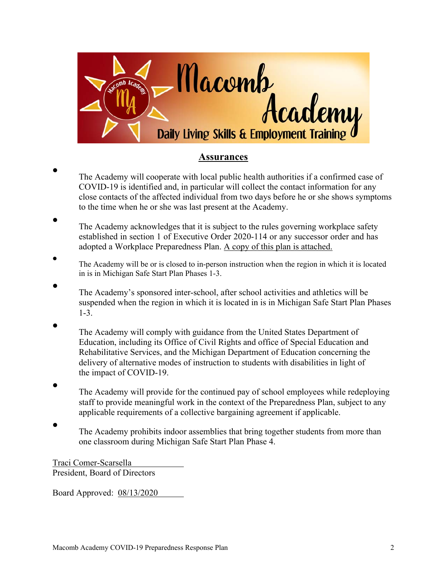

## **Assurances**

- $\bullet$ The Academy will cooperate with local public health authorities if a confirmed case of COVID-19 is identified and, in particular will collect the contact information for any close contacts of the affected individual from two days before he or she shows symptoms to the time when he or she was last present at the Academy.
- $\bullet$ The Academy acknowledges that it is subject to the rules governing workplace safety established in section 1 of Executive Order 2020-114 or any successor order and has adopted a Workplace Preparedness Plan. A copy of this plan is attached.
- $\bullet$ The Academy will be or is closed to in-person instruction when the region in which it is located in is in Michigan Safe Start Plan Phases 1-3.
	- The Academy's sponsored inter-school, after school activities and athletics will be suspended when the region in which it is located in is in Michigan Safe Start Plan Phases 1-3.
- $\bullet$ The Academy will comply with guidance from the United States Department of Education, including its Office of Civil Rights and office of Special Education and Rehabilitative Services, and the Michigan Department of Education concerning the delivery of alternative modes of instruction to students with disabilities in light of the impact of COVID-19.
- $\bullet$ The Academy will provide for the continued pay of school employees while redeploying staff to provide meaningful work in the context of the Preparedness Plan, subject to any applicable requirements of a collective bargaining agreement if applicable.
- $\bullet$ The Academy prohibits indoor assemblies that bring together students from more than one classroom during Michigan Safe Start Plan Phase 4.

Traci Comer-Scarsella President, Board of Directors

 $\bullet$ 

Board Approved: 08/13/2020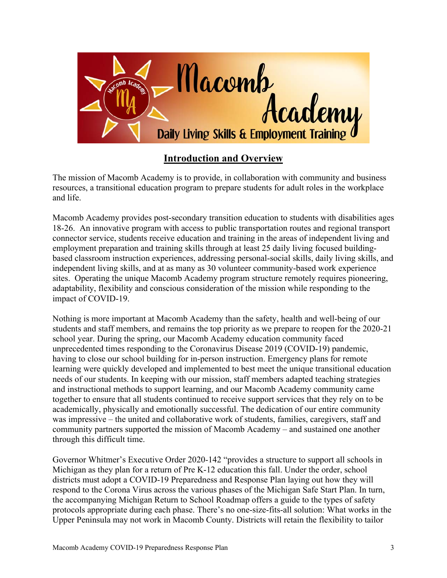

# **Introduction and Overview**

The mission of Macomb Academy is to provide, in collaboration with community and business resources, a transitional education program to prepare students for adult roles in the workplace and life.

Macomb Academy provides post-secondary transition education to students with disabilities ages 18-26. An innovative program with access to public transportation routes and regional transport connector service, students receive education and training in the areas of independent living and employment preparation and training skills through at least 25 daily living focused buildingbased classroom instruction experiences, addressing personal-social skills, daily living skills, and independent living skills, and at as many as 30 volunteer community-based work experience sites. Operating the unique Macomb Academy program structure remotely requires pioneering, adaptability, flexibility and conscious consideration of the mission while responding to the impact of COVID-19.

Nothing is more important at Macomb Academy than the safety, health and well-being of our students and staff members, and remains the top priority as we prepare to reopen for the 2020-21 school year. During the spring, our Macomb Academy education community faced unprecedented times responding to the Coronavirus Disease 2019 (COVID-19) pandemic, having to close our school building for in-person instruction. Emergency plans for remote learning were quickly developed and implemented to best meet the unique transitional education needs of our students. In keeping with our mission, staff members adapted teaching strategies and instructional methods to support learning, and our Macomb Academy community came together to ensure that all students continued to receive support services that they rely on to be academically, physically and emotionally successful. The dedication of our entire community was impressive – the united and collaborative work of students, families, caregivers, staff and community partners supported the mission of Macomb Academy – and sustained one another through this difficult time.

Governor Whitmer's Executive Order 2020-142 "provides a structure to support all schools in Michigan as they plan for a return of Pre K-12 education this fall. Under the order, school districts must adopt a COVID-19 Preparedness and Response Plan laying out how they will respond to the Corona Virus across the various phases of the Michigan Safe Start Plan. In turn, the accompanying Michigan Return to School Roadmap offers a guide to the types of safety protocols appropriate during each phase. There's no one-size-fits-all solution: What works in the Upper Peninsula may not work in Macomb County. Districts will retain the flexibility to tailor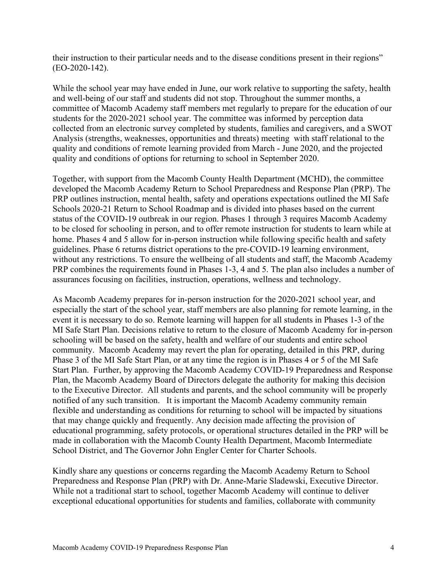their instruction to their particular needs and to the disease conditions present in their regions" (EO-2020-142).

While the school year may have ended in June, our work relative to supporting the safety, health and well-being of our staff and students did not stop. Throughout the summer months, a committee of Macomb Academy staff members met regularly to prepare for the education of our students for the 2020-2021 school year. The committee was informed by perception data collected from an electronic survey completed by students, families and caregivers, and a SWOT Analysis (strengths, weaknesses, opportunities and threats) meeting with staff relational to the quality and conditions of remote learning provided from March - June 2020, and the projected quality and conditions of options for returning to school in September 2020.

Together, with support from the Macomb County Health Department (MCHD), the committee developed the Macomb Academy Return to School Preparedness and Response Plan (PRP). The PRP outlines instruction, mental health, safety and operations expectations outlined the MI Safe Schools 2020-21 Return to School Roadmap and is divided into phases based on the current status of the COVID-19 outbreak in our region. Phases 1 through 3 requires Macomb Academy to be closed for schooling in person, and to offer remote instruction for students to learn while at home. Phases 4 and 5 allow for in-person instruction while following specific health and safety guidelines. Phase 6 returns district operations to the pre-COVID-19 learning environment, without any restrictions. To ensure the wellbeing of all students and staff, the Macomb Academy PRP combines the requirements found in Phases 1-3, 4 and 5. The plan also includes a number of assurances focusing on facilities, instruction, operations, wellness and technology.

As Macomb Academy prepares for in-person instruction for the 2020-2021 school year, and especially the start of the school year, staff members are also planning for remote learning, in the event it is necessary to do so. Remote learning will happen for all students in Phases 1-3 of the MI Safe Start Plan. Decisions relative to return to the closure of Macomb Academy for in-person schooling will be based on the safety, health and welfare of our students and entire school community. Macomb Academy may revert the plan for operating, detailed in this PRP, during Phase 3 of the MI Safe Start Plan, or at any time the region is in Phases 4 or 5 of the MI Safe Start Plan. Further, by approving the Macomb Academy COVID-19 Preparedness and Response Plan, the Macomb Academy Board of Directors delegate the authority for making this decision to the Executive Director. All students and parents, and the school community will be properly notified of any such transition. It is important the Macomb Academy community remain flexible and understanding as conditions for returning to school will be impacted by situations that may change quickly and frequently. Any decision made affecting the provision of educational programming, safety protocols, or operational structures detailed in the PRP will be made in collaboration with the Macomb County Health Department, Macomb Intermediate School District, and The Governor John Engler Center for Charter Schools.

Kindly share any questions or concerns regarding the Macomb Academy Return to School Preparedness and Response Plan (PRP) with Dr. Anne-Marie Sladewski, Executive Director. While not a traditional start to school, together Macomb Academy will continue to deliver exceptional educational opportunities for students and families, collaborate with community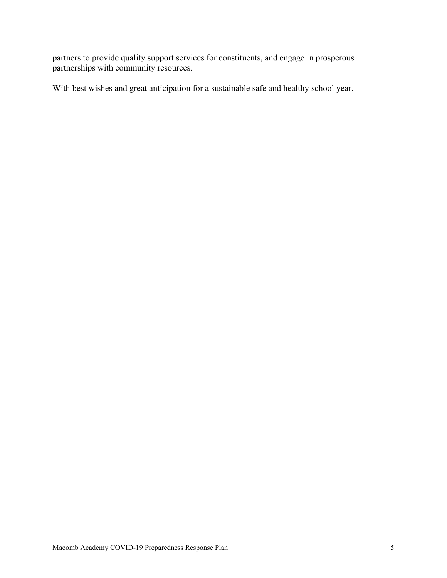partners to provide quality support services for constituents, and engage in prosperous partnerships with community resources.

With best wishes and great anticipation for a sustainable safe and healthy school year.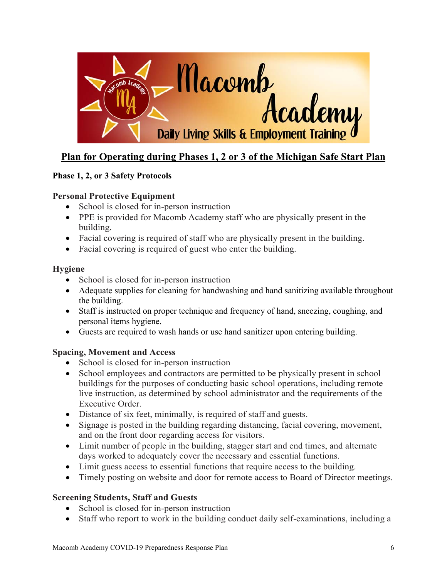

# **Plan for Operating during Phases 1, 2 or 3 of the Michigan Safe Start Plan**

#### **Phase 1, 2, or 3 Safety Protocols**

#### **Personal Protective Equipment**

- School is closed for in-person instruction
- PPE is provided for Macomb Academy staff who are physically present in the building.
- Facial covering is required of staff who are physically present in the building.
- Facial covering is required of guest who enter the building.

#### **Hygiene**

- School is closed for in-person instruction
- Adequate supplies for cleaning for handwashing and hand sanitizing available throughout the building.
- Staff is instructed on proper technique and frequency of hand, sneezing, coughing, and personal items hygiene.
- Guests are required to wash hands or use hand sanitizer upon entering building.

#### **Spacing, Movement and Access**

- School is closed for in-person instruction
- School employees and contractors are permitted to be physically present in school buildings for the purposes of conducting basic school operations, including remote live instruction, as determined by school administrator and the requirements of the Executive Order.
- Distance of six feet, minimally, is required of staff and guests.
- Signage is posted in the building regarding distancing, facial covering, movement, and on the front door regarding access for visitors.
- Limit number of people in the building, stagger start and end times, and alternate days worked to adequately cover the necessary and essential functions.
- Limit guess access to essential functions that require access to the building.
- Timely posting on website and door for remote access to Board of Director meetings.

#### **Screening Students, Staff and Guests**

- School is closed for in-person instruction
- Staff who report to work in the building conduct daily self-examinations, including a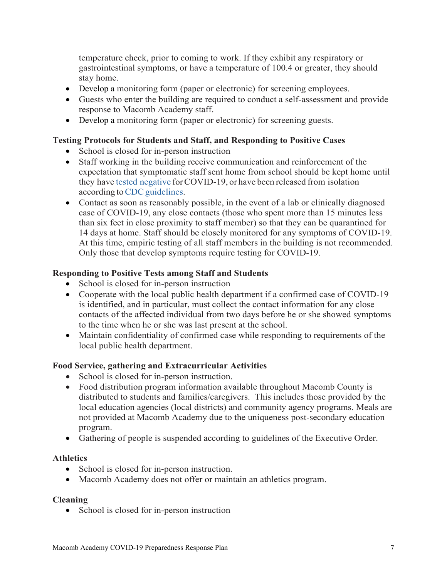temperature check, prior to coming to work. If they exhibit any respiratory or gastrointestinal symptoms, or have a temperature of 100.4 or greater, they should stay home.

- Develop a monitoring form (paper or electronic) for screening employees.
- Guests who enter the building are required to conduct a self-assessment and provide response to Macomb Academy staff.
- Develop a monitoring form (paper or electronic) for screening guests.

#### **Testing Protocols for Students and Staff, and Responding to Positive Cases**

- School is closed for in-person instruction
- Staff working in the building receive communication and reinforcement of the expectation that symptomatic staff sent home from school should be kept home until they have tested negative for COVID-19, or have been released from isolation according to CDC guidelines.
- Contact as soon as reasonably possible, in the event of a lab or clinically diagnosed case of COVID-19, any close contacts (those who spent more than 15 minutes less than six feet in close proximity to staff member) so that they can be quarantined for 14 days at home. Staff should be closely monitored for any symptoms of COVID-19. At this time, empiric testing of all staff members in the building is not recommended. Only those that develop symptoms require testing for COVID-19.

#### **Responding to Positive Tests among Staff and Students**

- School is closed for in-person instruction
- Cooperate with the local public health department if a confirmed case of COVID-19 is identified, and in particular, must collect the contact information for any close contacts of the affected individual from two days before he or she showed symptoms to the time when he or she was last present at the school.
- Maintain confidentiality of confirmed case while responding to requirements of the local public health department.

#### **Food Service, gathering and Extracurricular Activities**

- School is closed for in-person instruction.
- Food distribution program information available throughout Macomb County is distributed to students and families/caregivers. This includes those provided by the local education agencies (local districts) and community agency programs. Meals are not provided at Macomb Academy due to the uniqueness post-secondary education program.
- Gathering of people is suspended according to guidelines of the Executive Order.

#### **Athletics**

- School is closed for in-person instruction.
- Macomb Academy does not offer or maintain an athletics program.

#### **Cleaning**

• School is closed for in-person instruction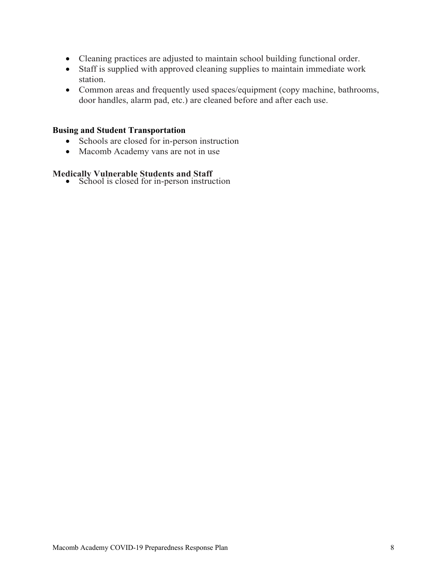- Cleaning practices are adjusted to maintain school building functional order.
- Staff is supplied with approved cleaning supplies to maintain immediate work station.
- Common areas and frequently used spaces/equipment (copy machine, bathrooms, door handles, alarm pad, etc.) are cleaned before and after each use.

#### **Busing and Student Transportation**

- Schools are closed for in-person instruction
- Macomb Academy vans are not in use

# **Medically Vulnerable Students and Staff <br>
•** School is closed for in-person instruction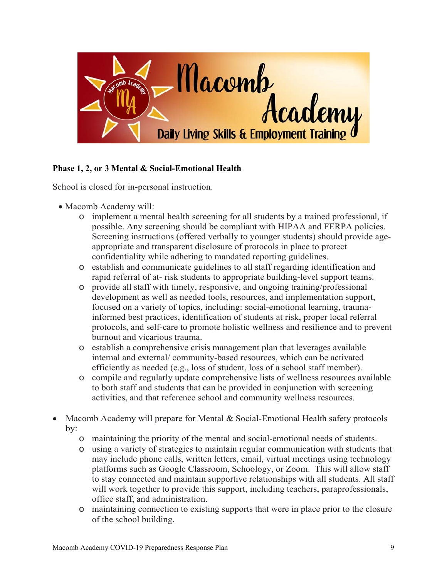

## **Phase 1, 2, or 3 Mental & Social-Emotional Health**

School is closed for in-personal instruction.

- Macomb Academy will:
	- o implement a mental health screening for all students by a trained professional, if possible. Any screening should be compliant with HIPAA and FERPA policies. Screening instructions (offered verbally to younger students) should provide ageappropriate and transparent disclosure of protocols in place to protect confidentiality while adhering to mandated reporting guidelines.
	- o establish and communicate guidelines to all staff regarding identification and rapid referral of at- risk students to appropriate building-level support teams.
	- o provide all staff with timely, responsive, and ongoing training/professional development as well as needed tools, resources, and implementation support, focused on a variety of topics, including: social-emotional learning, traumainformed best practices, identification of students at risk, proper local referral protocols, and self-care to promote holistic wellness and resilience and to prevent burnout and vicarious trauma.
	- o establish a comprehensive crisis management plan that leverages available internal and external/ community-based resources, which can be activated efficiently as needed (e.g., loss of student, loss of a school staff member).
	- o compile and regularly update comprehensive lists of wellness resources available to both staff and students that can be provided in conjunction with screening activities, and that reference school and community wellness resources.
- Macomb Academy will prepare for Mental & Social-Emotional Health safety protocols by:
	- o maintaining the priority of the mental and social-emotional needs of students.
	- o using a variety of strategies to maintain regular communication with students that may include phone calls, written letters, email, virtual meetings using technology platforms such as Google Classroom, Schoology, or Zoom. This will allow staff to stay connected and maintain supportive relationships with all students. All staff will work together to provide this support, including teachers, paraprofessionals, office staff, and administration.
	- o maintaining connection to existing supports that were in place prior to the closure of the school building.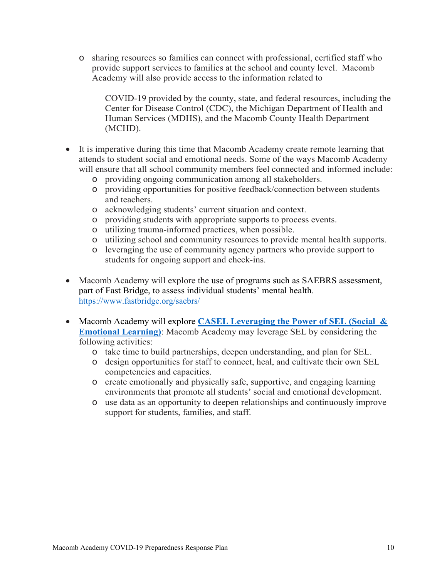o sharing resources so families can connect with professional, certified staff who provide support services to families at the school and county level. Macomb Academy will also provide access to the information related to

COVID-19 provided by the county, state, and federal resources, including the Center for Disease Control (CDC), the Michigan Department of Health and Human Services (MDHS), and the Macomb County Health Department (MCHD).

- It is imperative during this time that Macomb Academy create remote learning that attends to student social and emotional needs. Some of the ways Macomb Academy will ensure that all school community members feel connected and informed include:
	- o providing ongoing communication among all stakeholders.
	- o providing opportunities for positive feedback/connection between students and teachers.
	- o acknowledging students' current situation and context.
	- o providing students with appropriate supports to process events.
	- o utilizing trauma-informed practices, when possible.
	- o utilizing school and community resources to provide mental health supports.
	- o leveraging the use of community agency partners who provide support to students for ongoing support and check-ins.
- Macomb Academy will explore the use of programs such as SAEBRS assessment, part of Fast Bridge, to assess individual students' mental health. https://www.fastbridge.org/saebrs/
- Macomb Academy will explore **CASEL Leveraging the Power of SEL (Social & Emotional Learning)**: Macomb Academy may leverage SEL by considering the following activities:
	- o take time to build partnerships, deepen understanding, and plan for SEL.
	- o design opportunities for staff to connect, heal, and cultivate their own SEL competencies and capacities.
	- o create emotionally and physically safe, supportive, and engaging learning environments that promote all students' social and emotional development.
	- o use data as an opportunity to deepen relationships and continuously improve support for students, families, and staff.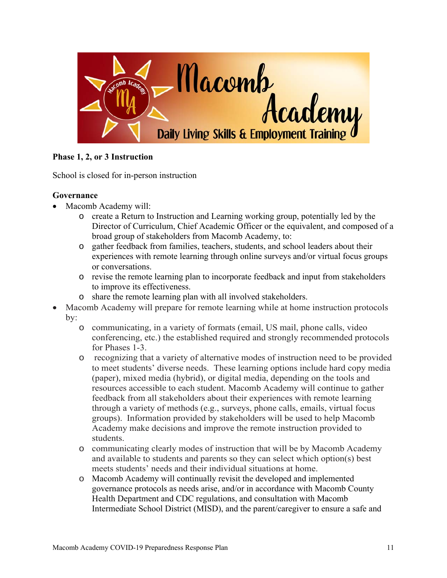

#### **Phase 1, 2, or 3 Instruction**

School is closed for in-person instruction

#### **Governance**

- Macomb Academy will:
	- o create a Return to Instruction and Learning working group, potentially led by the Director of Curriculum, Chief Academic Officer or the equivalent, and composed of a broad group of stakeholders from Macomb Academy, to:
	- o gather feedback from families, teachers, students, and school leaders about their experiences with remote learning through online surveys and/or virtual focus groups or conversations.
	- o revise the remote learning plan to incorporate feedback and input from stakeholders to improve its effectiveness.
	- o share the remote learning plan with all involved stakeholders.
- Macomb Academy will prepare for remote learning while at home instruction protocols by:
	- o communicating, in a variety of formats (email, US mail, phone calls, video conferencing, etc.) the established required and strongly recommended protocols for Phases 1-3.
	- o recognizing that a variety of alternative modes of instruction need to be provided to meet students' diverse needs. These learning options include hard copy media (paper), mixed media (hybrid), or digital media, depending on the tools and resources accessible to each student. Macomb Academy will continue to gather feedback from all stakeholders about their experiences with remote learning through a variety of methods (e.g., surveys, phone calls, emails, virtual focus groups). Information provided by stakeholders will be used to help Macomb Academy make decisions and improve the remote instruction provided to students.
	- o communicating clearly modes of instruction that will be by Macomb Academy and available to students and parents so they can select which option(s) best meets students' needs and their individual situations at home.
	- o Macomb Academy will continually revisit the developed and implemented governance protocols as needs arise, and/or in accordance with Macomb County Health Department and CDC regulations, and consultation with Macomb Intermediate School District (MISD), and the parent/caregiver to ensure a safe and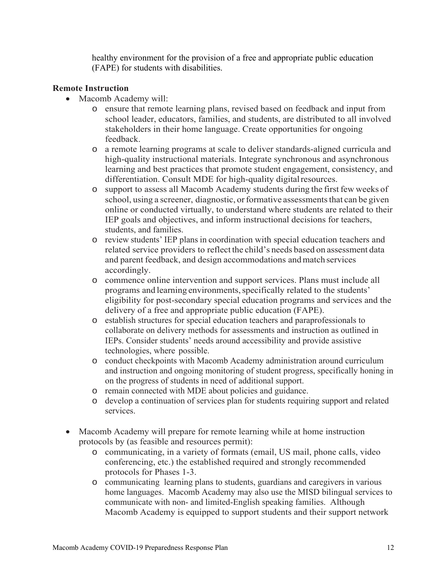healthy environment for the provision of a free and appropriate public education (FAPE) for students with disabilities.

#### **Remote Instruction**

- Macomb Academy will:
	- o ensure that remote learning plans, revised based on feedback and input from school leader, educators, families, and students, are distributed to all involved stakeholders in their home language. Create opportunities for ongoing feedback.
	- o a remote learning programs at scale to deliver standards-aligned curricula and high-quality instructional materials. Integrate synchronous and asynchronous learning and best practices that promote student engagement, consistency, and differentiation. Consult MDE for high-quality digital resources.
	- o support to assess all Macomb Academy students during the first few weeks of school, using a screener, diagnostic, or formative assessments that can be given online or conducted virtually, to understand where students are related to their IEP goals and objectives, and inform instructional decisions for teachers, students, and families.
	- o review students' IEP plans in coordination with special education teachers and related service providers to reflect the child's needs based on assessment data and parent feedback, and design accommodations and match services accordingly.
	- o commence online intervention and support services. Plans must include all programs and learning environments, specifically related to the students' eligibility for post-secondary special education programs and services and the delivery of a free and appropriate public education (FAPE).
	- o establish structures for special education teachers and paraprofessionals to collaborate on delivery methods for assessments and instruction as outlined in IEPs. Consider students' needs around accessibility and provide assistive technologies, where possible.
	- o conduct checkpoints with Macomb Academy administration around curriculum and instruction and ongoing monitoring of student progress, specifically honing in on the progress of students in need of additional support.
	- o remain connected with MDE about policies and guidance.
	- o develop a continuation of services plan for students requiring support and related services.
- Macomb Academy will prepare for remote learning while at home instruction protocols by (as feasible and resources permit):
	- o communicating, in a variety of formats (email, US mail, phone calls, video conferencing, etc.) the established required and strongly recommended protocols for Phases 1-3.
	- o communicating learning plans to students, guardians and caregivers in various home languages. Macomb Academy may also use the MISD bilingual services to communicate with non- and limited-English speaking families. Although Macomb Academy is equipped to support students and their support network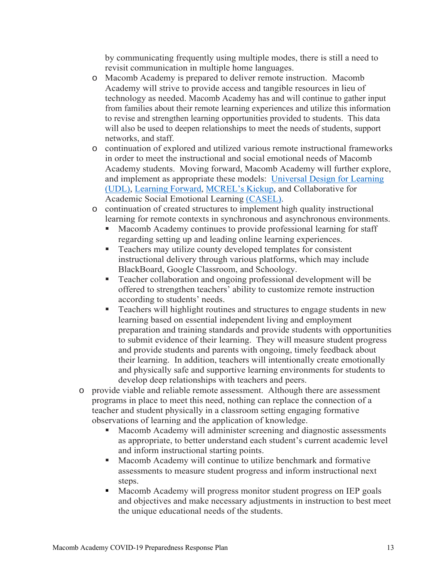by communicating frequently using multiple modes, there is still a need to revisit communication in multiple home languages.

- o Macomb Academy is prepared to deliver remote instruction. Macomb Academy will strive to provide access and tangible resources in lieu of technology as needed. Macomb Academy has and will continue to gather input from families about their remote learning experiences and utilize this information to revise and strengthen learning opportunities provided to students. This data will also be used to deepen relationships to meet the needs of students, support networks, and staff.
- o continuation of explored and utilized various remote instructional frameworks in order to meet the instructional and social emotional needs of Macomb Academy students. Moving forward, Macomb Academy will further explore, and implement as appropriate these models: Universal Design for Learning (UDL), Learning Forward, MCREL's Kickup, and Collaborative for Academic Social Emotional Learning (CASEL).
- o continuation of created structures to implement high quality instructional learning for remote contexts in synchronous and asynchronous environments.
	- Macomb Academy continues to provide professional learning for staff regarding setting up and leading online learning experiences.
	- **Teachers may utilize county developed templates for consistent** instructional delivery through various platforms, which may include BlackBoard, Google Classroom, and Schoology.
	- Teacher collaboration and ongoing professional development will be offered to strengthen teachers' ability to customize remote instruction according to students' needs.
	- **Teachers will highlight routines and structures to engage students in new** learning based on essential independent living and employment preparation and training standards and provide students with opportunities to submit evidence of their learning. They will measure student progress and provide students and parents with ongoing, timely feedback about their learning. In addition, teachers will intentionally create emotionally and physically safe and supportive learning environments for students to develop deep relationships with teachers and peers.
- o provide viable and reliable remote assessment. Although there are assessment programs in place to meet this need, nothing can replace the connection of a teacher and student physically in a classroom setting engaging formative observations of learning and the application of knowledge.
	- Macomb Academy will administer screening and diagnostic assessments as appropriate, to better understand each student's current academic level and inform instructional starting points.
	- Macomb Academy will continue to utilize benchmark and formative assessments to measure student progress and inform instructional next steps.
	- Macomb Academy will progress monitor student progress on IEP goals and objectives and make necessary adjustments in instruction to best meet the unique educational needs of the students.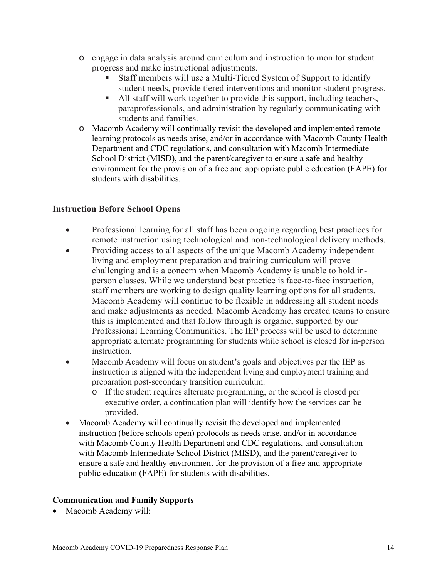- o engage in data analysis around curriculum and instruction to monitor student progress and make instructional adjustments.
	- Staff members will use a Multi-Tiered System of Support to identify student needs, provide tiered interventions and monitor student progress.
	- All staff will work together to provide this support, including teachers, paraprofessionals, and administration by regularly communicating with students and families.
- o Macomb Academy will continually revisit the developed and implemented remote learning protocols as needs arise, and/or in accordance with Macomb County Health Department and CDC regulations, and consultation with Macomb Intermediate School District (MISD), and the parent/caregiver to ensure a safe and healthy environment for the provision of a free and appropriate public education (FAPE) for students with disabilities.

#### **Instruction Before School Opens**

- Professional learning for all staff has been ongoing regarding best practices for remote instruction using technological and non-technological delivery methods.
- Providing access to all aspects of the unique Macomb Academy independent living and employment preparation and training curriculum will prove challenging and is a concern when Macomb Academy is unable to hold inperson classes. While we understand best practice is face-to-face instruction, staff members are working to design quality learning options for all students. Macomb Academy will continue to be flexible in addressing all student needs and make adjustments as needed. Macomb Academy has created teams to ensure this is implemented and that follow through is organic, supported by our Professional Learning Communities. The IEP process will be used to determine appropriate alternate programming for students while school is closed for in-person instruction.
- Macomb Academy will focus on student's goals and objectives per the IEP as instruction is aligned with the independent living and employment training and preparation post-secondary transition curriculum.
	- o If the student requires alternate programming, or the school is closed per executive order, a continuation plan will identify how the services can be provided.
- Macomb Academy will continually revisit the developed and implemented instruction (before schools open) protocols as needs arise, and/or in accordance with Macomb County Health Department and CDC regulations, and consultation with Macomb Intermediate School District (MISD), and the parent/caregiver to ensure a safe and healthy environment for the provision of a free and appropriate public education (FAPE) for students with disabilities.

#### **Communication and Family Supports**

Macomb Academy will: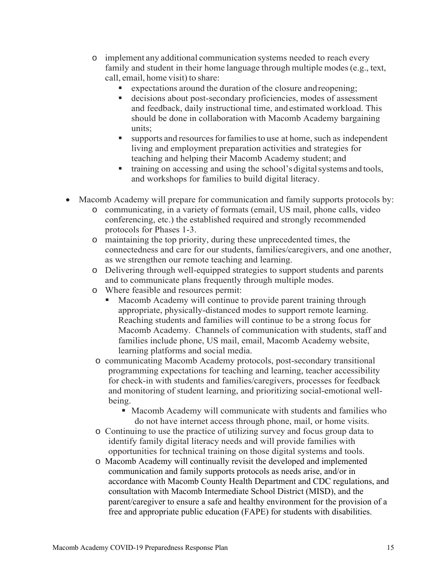- o implement any additional communication systems needed to reach every family and student in their home language through multiple modes (e.g., text, call, email, home visit) to share:
	- expectations around the duration of the closure and reopening;
	- decisions about post-secondary proficiencies, modes of assessment and feedback, daily instructional time, and estimated workload. This should be done in collaboration with Macomb Academy bargaining units;
	- supports and resources for families to use at home, such as independent living and employment preparation activities and strategies for teaching and helping their Macomb Academy student; and
	- training on accessing and using the school's digital systems and tools, and workshops for families to build digital literacy.
- Macomb Academy will prepare for communication and family supports protocols by:
	- o communicating, in a variety of formats (email, US mail, phone calls, video conferencing, etc.) the established required and strongly recommended protocols for Phases 1-3.
	- o maintaining the top priority, during these unprecedented times, the connectedness and care for our students, families/caregivers, and one another, as we strengthen our remote teaching and learning.
	- o Delivering through well-equipped strategies to support students and parents and to communicate plans frequently through multiple modes.
	- o Where feasible and resources permit:
		- Macomb Academy will continue to provide parent training through appropriate, physically-distanced modes to support remote learning. Reaching students and families will continue to be a strong focus for Macomb Academy. Channels of communication with students, staff and families include phone, US mail, email, Macomb Academy website, learning platforms and social media.
	- o communicating Macomb Academy protocols, post-secondary transitional programming expectations for teaching and learning, teacher accessibility for check-in with students and families/caregivers, processes for feedback and monitoring of student learning, and prioritizing social-emotional wellbeing.
		- Macomb Academy will communicate with students and families who do not have internet access through phone, mail, or home visits.
	- o Continuing to use the practice of utilizing survey and focus group data to identify family digital literacy needs and will provide families with opportunities for technical training on those digital systems and tools.
	- o Macomb Academy will continually revisit the developed and implemented communication and family supports protocols as needs arise, and/or in accordance with Macomb County Health Department and CDC regulations, and consultation with Macomb Intermediate School District (MISD), and the parent/caregiver to ensure a safe and healthy environment for the provision of a free and appropriate public education (FAPE) for students with disabilities.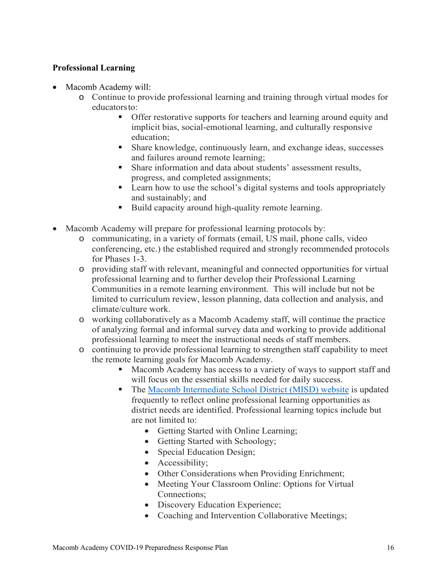#### **Professional Learning**

- Macomb Academy will:
	- o Continue to provide professional learning and training through virtual modes for educators to:
		- **•** Offer restorative supports for teachers and learning around equity and implicit bias, social-emotional learning, and culturally responsive education;
		- Share knowledge, continuously learn, and exchange ideas, successes and failures around remote learning;
		- Share information and data about students' assessment results, progress, and completed assignments;
		- **EXECUTE:** Learn how to use the school's digital systems and tools appropriately and sustainably; and
		- Build capacity around high-quality remote learning.
- Macomb Academy will prepare for professional learning protocols by:
	- o communicating, in a variety of formats (email, US mail, phone calls, video conferencing, etc.) the established required and strongly recommended protocols for Phases 1-3.
	- o providing staff with relevant, meaningful and connected opportunities for virtual professional learning and to further develop their Professional Learning Communities in a remote learning environment. This will include but not be limited to curriculum review, lesson planning, data collection and analysis, and climate/culture work.
	- o working collaboratively as a Macomb Academy staff, will continue the practice of analyzing formal and informal survey data and working to provide additional professional learning to meet the instructional needs of staff members.
	- o continuing to provide professional learning to strengthen staff capability to meet the remote learning goals for Macomb Academy.
		- **Macomb Academy has access to a variety of ways to support staff and** will focus on the essential skills needed for daily success.
		- The Macomb Intermediate School District (MISD) website is updated frequently to reflect online professional learning opportunities as district needs are identified. Professional learning topics include but are not limited to:
			- Getting Started with Online Learning;
			- Getting Started with Schoology;
			- Special Education Design;
			- Accessibility;
			- Other Considerations when Providing Enrichment;
			- Meeting Your Classroom Online: Options for Virtual Connections;
			- Discovery Education Experience;
			- Coaching and Intervention Collaborative Meetings;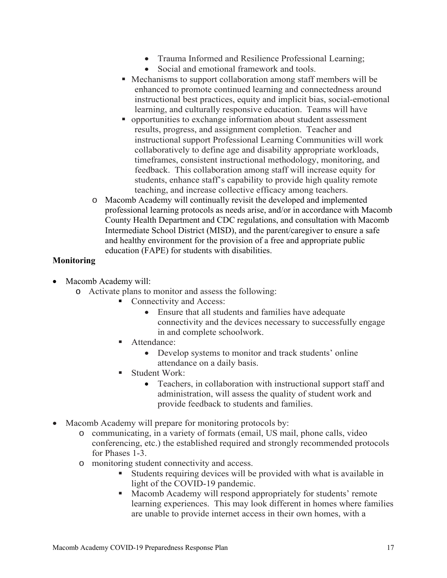- Trauma Informed and Resilience Professional Learning;
- Social and emotional framework and tools.
- Mechanisms to support collaboration among staff members will be enhanced to promote continued learning and connectedness around instructional best practices, equity and implicit bias, social-emotional learning, and culturally responsive education. Teams will have
- opportunities to exchange information about student assessment results, progress, and assignment completion. Teacher and instructional support Professional Learning Communities will work collaboratively to define age and disability appropriate workloads, timeframes, consistent instructional methodology, monitoring, and feedback. This collaboration among staff will increase equity for students, enhance staff's capability to provide high quality remote teaching, and increase collective efficacy among teachers.
- o Macomb Academy will continually revisit the developed and implemented professional learning protocols as needs arise, and/or in accordance with Macomb County Health Department and CDC regulations, and consultation with Macomb Intermediate School District (MISD), and the parent/caregiver to ensure a safe and healthy environment for the provision of a free and appropriate public education (FAPE) for students with disabilities.

#### **Monitoring**

- Macomb Academy will:
	- o Activate plans to monitor and assess the following:
		- Connectivity and Access:
			- Ensure that all students and families have adequate connectivity and the devices necessary to successfully engage in and complete schoolwork.
		- Attendance:
			- Develop systems to monitor and track students' online attendance on a daily basis.
		- **Student Work:** 
			- Teachers, in collaboration with instructional support staff and administration, will assess the quality of student work and provide feedback to students and families.
- Macomb Academy will prepare for monitoring protocols by:
	- o communicating, in a variety of formats (email, US mail, phone calls, video conferencing, etc.) the established required and strongly recommended protocols for Phases 1-3.
	- o monitoring student connectivity and access.
		- Students requiring devices will be provided with what is available in light of the COVID-19 pandemic.
		- **Macomb Academy will respond appropriately for students' remote** learning experiences. This may look different in homes where families are unable to provide internet access in their own homes, with a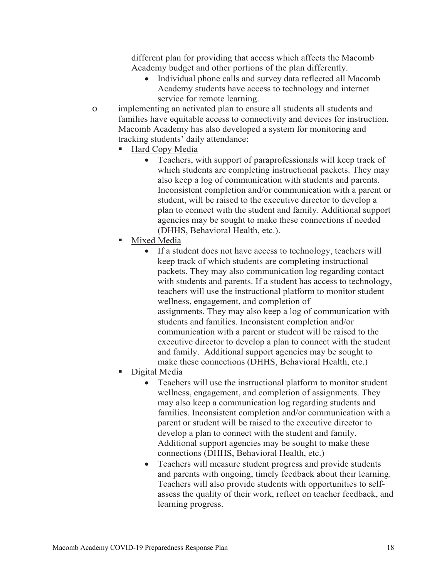different plan for providing that access which affects the Macomb Academy budget and other portions of the plan differently.

- Individual phone calls and survey data reflected all Macomb Academy students have access to technology and internet service for remote learning.
- o implementing an activated plan to ensure all students all students and families have equitable access to connectivity and devices for instruction. Macomb Academy has also developed a system for monitoring and tracking students' daily attendance:
	- Hard Copy Media
		- Teachers, with support of paraprofessionals will keep track of which students are completing instructional packets. They may also keep a log of communication with students and parents. Inconsistent completion and/or communication with a parent or student, will be raised to the executive director to develop a plan to connect with the student and family. Additional support agencies may be sought to make these connections if needed (DHHS, Behavioral Health, etc.).
	- Mixed Media
		- If a student does not have access to technology, teachers will keep track of which students are completing instructional packets. They may also communication log regarding contact with students and parents. If a student has access to technology, teachers will use the instructional platform to monitor student wellness, engagement, and completion of assignments. They may also keep a log of communication with students and families. Inconsistent completion and/or communication with a parent or student will be raised to the executive director to develop a plan to connect with the student and family. Additional support agencies may be sought to make these connections (DHHS, Behavioral Health, etc.)
	- Digital Media
		- Teachers will use the instructional platform to monitor student wellness, engagement, and completion of assignments. They may also keep a communication log regarding students and families. Inconsistent completion and/or communication with a parent or student will be raised to the executive director to develop a plan to connect with the student and family. Additional support agencies may be sought to make these connections (DHHS, Behavioral Health, etc.)
		- Teachers will measure student progress and provide students and parents with ongoing, timely feedback about their learning. Teachers will also provide students with opportunities to selfassess the quality of their work, reflect on teacher feedback, and learning progress.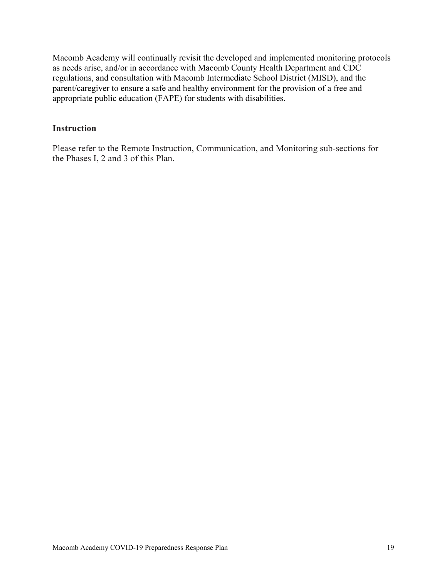Macomb Academy will continually revisit the developed and implemented monitoring protocols as needs arise, and/or in accordance with Macomb County Health Department and CDC regulations, and consultation with Macomb Intermediate School District (MISD), and the parent/caregiver to ensure a safe and healthy environment for the provision of a free and appropriate public education (FAPE) for students with disabilities.

#### **Instruction**

Please refer to the Remote Instruction, Communication, and Monitoring sub-sections for the Phases I, 2 and 3 of this Plan.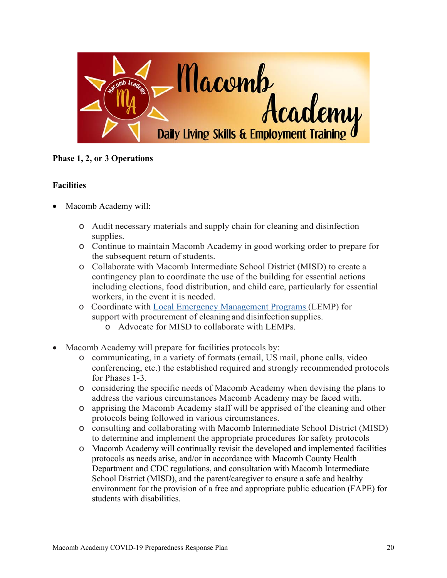

**Phase 1, 2, or 3 Operations** 

#### **Facilities**

- Macomb Academy will:
	- o Audit necessary materials and supply chain for cleaning and disinfection supplies.
	- o Continue to maintain Macomb Academy in good working order to prepare for the subsequent return of students.
	- o Collaborate with Macomb Intermediate School District (MISD) to create a contingency plan to coordinate the use of the building for essential actions including elections, food distribution, and child care, particularly for essential workers, in the event it is needed.
	- o Coordinate with Local Emergency Management Programs (LEMP) for support with procurement of cleaning and disinfection supplies.
		- o Advocate for MISD to collaborate with LEMPs.
- Macomb Academy will prepare for facilities protocols by:
	- o communicating, in a variety of formats (email, US mail, phone calls, video conferencing, etc.) the established required and strongly recommended protocols for Phases 1-3.
	- o considering the specific needs of Macomb Academy when devising the plans to address the various circumstances Macomb Academy may be faced with.
	- o apprising the Macomb Academy staff will be apprised of the cleaning and other protocols being followed in various circumstances.
	- o consulting and collaborating with Macomb Intermediate School District (MISD) to determine and implement the appropriate procedures for safety protocols
	- o Macomb Academy will continually revisit the developed and implemented facilities protocols as needs arise, and/or in accordance with Macomb County Health Department and CDC regulations, and consultation with Macomb Intermediate School District (MISD), and the parent/caregiver to ensure a safe and healthy environment for the provision of a free and appropriate public education (FAPE) for students with disabilities.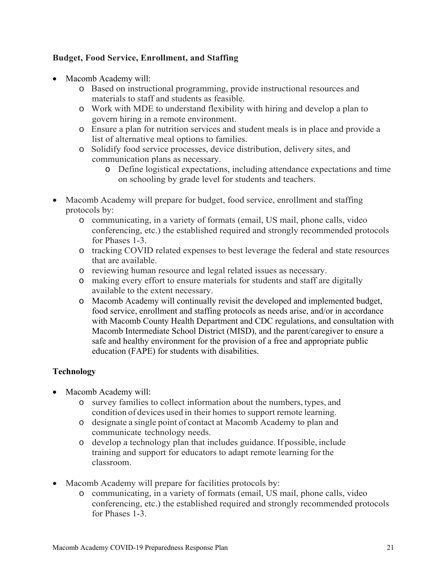#### **Budget, Food Service, Enrollment, and Staffing**

- Macomb Academy will:
	- o Based on instructional programming, provide instructional resources and materials to staff and students as feasible.
	- o Work with MDE to understand flexibility with hiring and develop a plan to govern hiring in a remote environment.
	- o Ensure a plan for nutrition services and student meals is in place and provide a list of alternative meal options to families.
	- o Solidify food service processes, device distribution, delivery sites, and communication plans as necessary.
		- o Define logistical expectations, including attendance expectations and time on schooling by grade level for students and teachers.
- Macomb Academy will prepare for budget, food service, enrollment and staffing protocols by:
	- o communicating, in a variety of formats (email, US mail, phone calls, video conferencing, etc.) the established required and strongly recommended protocols for Phases 1-3.
	- o tracking COVID related expenses to best leverage the federal and state resources that are available.
	- o reviewing human resource and legal related issues as necessary.
	- o making every effort to ensure materials for students and staff are digitally available to the extent necessary.
	- o Macomb Academy will continually revisit the developed and implemented budget, food service, enrollment and staffing protocols as needs arise, and/or in accordance with Macomb County Health Department and CDC regulations, and consultation with Macomb Intermediate School District (MISD), and the parent/caregiver to ensure a safe and healthy environment for the provision of a free and appropriate public education (FAPE) for students with disabilities.

#### **Technology**

- Macomb Academy will:
	- o survey families to collect information about the numbers, types, and condition of devices used in their homes to support remote learning.
	- o designate a single point of contact at Macomb Academy to plan and communicate technology needs.
	- o develop a technology plan that includes guidance. If possible, include training and support for educators to adapt remote learning for the classroom.
- Macomb Academy will prepare for facilities protocols by:
	- o communicating, in a variety of formats (email, US mail, phone calls, video conferencing, etc.) the established required and strongly recommended protocols for Phases 1-3.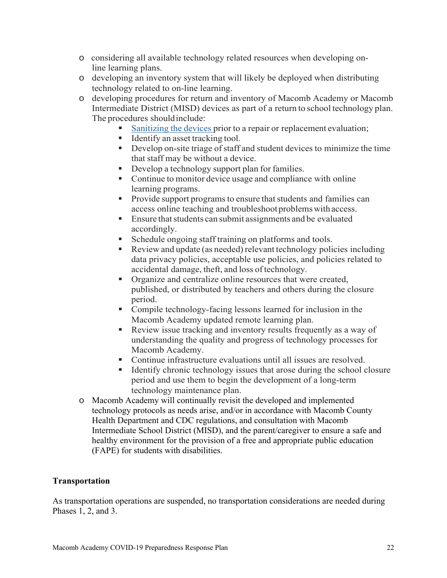- o considering all available technology related resources when developing online learning plans.
- o developing an inventory system that will likely be deployed when distributing technology related to on-line learning.
- o developing procedures for return and inventory of Macomb Academy or Macomb Intermediate District (MISD) devices as part of a return to school technology plan. The procedures should include:
	- Sanitizing the devices prior to a repair or replacement evaluation;
	- $\blacksquare$  Identify an asset tracking tool.
	- Develop on-site triage of staff and student devices to minimize the time that staff may be without a device.
	- Develop a technology support plan for families.
	- Continue to monitor device usage and compliance with online learning programs.
	- **Provide support programs to ensure that students and families can** access online teaching and troubleshoot problems with access.
	- Ensure that students can submit assignments and be evaluated accordingly.
	- Schedule ongoing staff training on platforms and tools.
	- Review and update (as needed) relevant technology policies including data privacy policies, acceptable use policies, and policies related to accidental damage, theft, and loss of technology.
	- Organize and centralize online resources that were created, published, or distributed by teachers and others during the closure period.
	- Compile technology-facing lessons learned for inclusion in the Macomb Academy updated remote learning plan.
	- Review issue tracking and inventory results frequently as a way of understanding the quality and progress of technology processes for Macomb Academy.
	- Continue infrastructure evaluations until all issues are resolved.
	- Identify chronic technology issues that arose during the school closure period and use them to begin the development of a long-term technology maintenance plan.
- o Macomb Academy will continually revisit the developed and implemented technology protocols as needs arise, and/or in accordance with Macomb County Health Department and CDC regulations, and consultation with Macomb Intermediate School District (MISD), and the parent/caregiver to ensure a safe and healthy environment for the provision of a free and appropriate public education (FAPE) for students with disabilities.

#### **Transportation**

As transportation operations are suspended, no transportation considerations are needed during Phases 1, 2, and 3.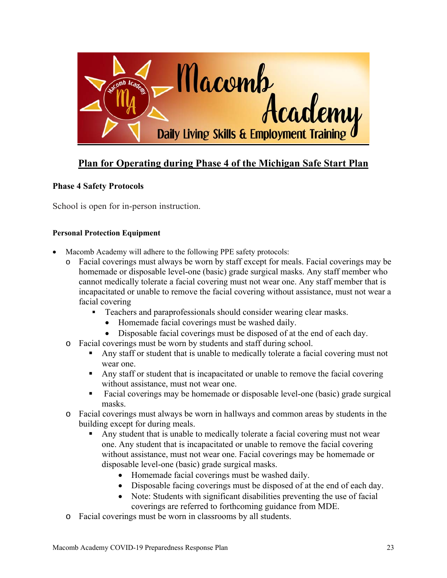

## **Plan for Operating during Phase 4 of the Michigan Safe Start Plan**

#### **Phase 4 Safety Protocols**

School is open for in-person instruction.

#### **Personal Protection Equipment**

- Macomb Academy will adhere to the following PPE safety protocols:
	- o Facial coverings must always be worn by staff except for meals. Facial coverings may be homemade or disposable level-one (basic) grade surgical masks. Any staff member who cannot medically tolerate a facial covering must not wear one. Any staff member that is incapacitated or unable to remove the facial covering without assistance, must not wear a facial covering
		- **Teachers and paraprofessionals should consider wearing clear masks.** 
			- Homemade facial coverings must be washed daily.
			- Disposable facial coverings must be disposed of at the end of each day.
	- o Facial coverings must be worn by students and staff during school.
		- Any staff or student that is unable to medically tolerate a facial covering must not wear one.
		- Any staff or student that is incapacitated or unable to remove the facial covering without assistance, must not wear one.
		- Facial coverings may be homemade or disposable level-one (basic) grade surgical masks.
	- o Facial coverings must always be worn in hallways and common areas by students in the building except for during meals.
		- Any student that is unable to medically tolerate a facial covering must not wear one. Any student that is incapacitated or unable to remove the facial covering without assistance, must not wear one. Facial coverings may be homemade or disposable level-one (basic) grade surgical masks.
			- Homemade facial coverings must be washed daily.
			- Disposable facing coverings must be disposed of at the end of each day.
			- Note: Students with significant disabilities preventing the use of facial coverings are referred to forthcoming guidance from MDE.
	- o Facial coverings must be worn in classrooms by all students.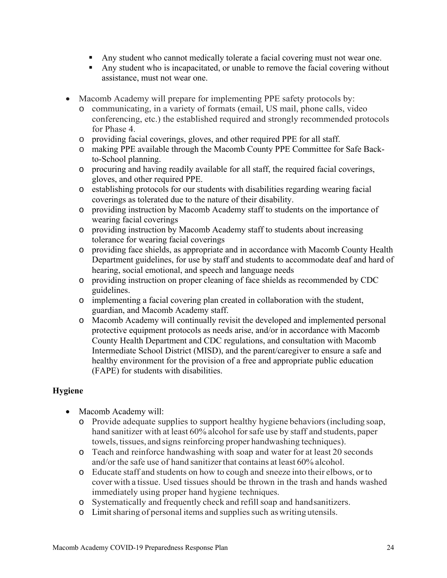- Any student who cannot medically tolerate a facial covering must not wear one.
- Any student who is incapacitated, or unable to remove the facial covering without assistance, must not wear one.
- Macomb Academy will prepare for implementing PPE safety protocols by:
	- o communicating, in a variety of formats (email, US mail, phone calls, video conferencing, etc.) the established required and strongly recommended protocols for Phase 4.
	- o providing facial coverings, gloves, and other required PPE for all staff.
	- o making PPE available through the Macomb County PPE Committee for Safe Backto-School planning.
	- o procuring and having readily available for all staff, the required facial coverings, gloves, and other required PPE.
	- o establishing protocols for our students with disabilities regarding wearing facial coverings as tolerated due to the nature of their disability.
	- o providing instruction by Macomb Academy staff to students on the importance of wearing facial coverings
	- o providing instruction by Macomb Academy staff to students about increasing tolerance for wearing facial coverings
	- o providing face shields, as appropriate and in accordance with Macomb County Health Department guidelines, for use by staff and students to accommodate deaf and hard of hearing, social emotional, and speech and language needs
	- o providing instruction on proper cleaning of face shields as recommended by CDC guidelines.
	- o implementing a facial covering plan created in collaboration with the student, guardian, and Macomb Academy staff.
	- o Macomb Academy will continually revisit the developed and implemented personal protective equipment protocols as needs arise, and/or in accordance with Macomb County Health Department and CDC regulations, and consultation with Macomb Intermediate School District (MISD), and the parent/caregiver to ensure a safe and healthy environment for the provision of a free and appropriate public education (FAPE) for students with disabilities.

#### **Hygiene**

- Macomb Academy will:
	- o Provide adequate supplies to support healthy hygiene behaviors (including soap, hand sanitizer with at least 60% alcohol for safe use by staff and students, paper towels, tissues, and signs reinforcing proper handwashing techniques).
	- o Teach and reinforce handwashing with soap and water for at least 20 seconds and/or the safe use of hand sanitizer that contains at least 60% alcohol.
	- o Educate staff and students on how to cough and sneeze into their elbows, or to cover with a tissue. Used tissues should be thrown in the trash and hands washed immediately using proper hand hygiene techniques.
	- o Systematically and frequently check and refill soap and hand sanitizers.
	- o Limit sharing of personal items and supplies such as writing utensils.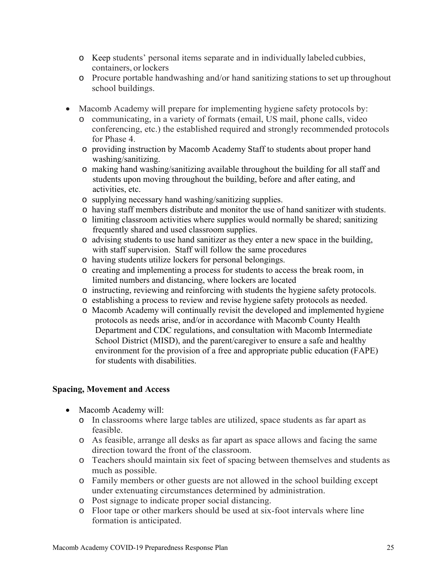- o Keep students' personal items separate and in individually labeled cubbies, containers, or lockers
- o Procure portable handwashing and/or hand sanitizing stations to set up throughout school buildings.
- Macomb Academy will prepare for implementing hygiene safety protocols by:
	- o communicating, in a variety of formats (email, US mail, phone calls, video conferencing, etc.) the established required and strongly recommended protocols for Phase 4.
	- o providing instruction by Macomb Academy Staff to students about proper hand washing/sanitizing.
	- o making hand washing/sanitizing available throughout the building for all staff and students upon moving throughout the building, before and after eating, and activities, etc.
	- o supplying necessary hand washing/sanitizing supplies.
	- o having staff members distribute and monitor the use of hand sanitizer with students.
	- o limiting classroom activities where supplies would normally be shared; sanitizing frequently shared and used classroom supplies.
	- o advising students to use hand sanitizer as they enter a new space in the building, with staff supervision. Staff will follow the same procedures
	- o having students utilize lockers for personal belongings.
	- o creating and implementing a process for students to access the break room, in limited numbers and distancing, where lockers are located
	- o instructing, reviewing and reinforcing with students the hygiene safety protocols.
	- o establishing a process to review and revise hygiene safety protocols as needed.
	- o Macomb Academy will continually revisit the developed and implemented hygiene protocols as needs arise, and/or in accordance with Macomb County Health Department and CDC regulations, and consultation with Macomb Intermediate School District (MISD), and the parent/caregiver to ensure a safe and healthy environment for the provision of a free and appropriate public education (FAPE) for students with disabilities.

#### **Spacing, Movement and Access**

- Macomb Academy will:
	- o In classrooms where large tables are utilized, space students as far apart as feasible.
	- o As feasible, arrange all desks as far apart as space allows and facing the same direction toward the front of the classroom.
	- o Teachers should maintain six feet of spacing between themselves and students as much as possible.
	- o Family members or other guests are not allowed in the school building except under extenuating circumstances determined by administration.
	- o Post signage to indicate proper social distancing.
	- o Floor tape or other markers should be used at six-foot intervals where line formation is anticipated.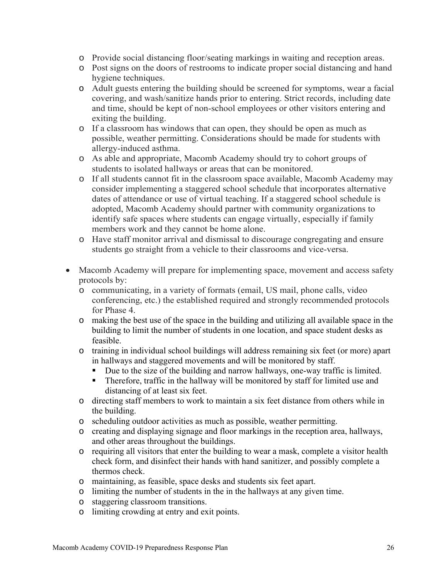- o Provide social distancing floor/seating markings in waiting and reception areas.
- o Post signs on the doors of restrooms to indicate proper social distancing and hand hygiene techniques.
- o Adult guests entering the building should be screened for symptoms, wear a facial covering, and wash/sanitize hands prior to entering. Strict records, including date and time, should be kept of non-school employees or other visitors entering and exiting the building.
- o If a classroom has windows that can open, they should be open as much as possible, weather permitting. Considerations should be made for students with allergy-induced asthma.
- o As able and appropriate, Macomb Academy should try to cohort groups of students to isolated hallways or areas that can be monitored.
- o If all students cannot fit in the classroom space available, Macomb Academy may consider implementing a staggered school schedule that incorporates alternative dates of attendance or use of virtual teaching. If a staggered school schedule is adopted, Macomb Academy should partner with community organizations to identify safe spaces where students can engage virtually, especially if family members work and they cannot be home alone.
- o Have staff monitor arrival and dismissal to discourage congregating and ensure students go straight from a vehicle to their classrooms and vice-versa.
- Macomb Academy will prepare for implementing space, movement and access safety protocols by:
	- o communicating, in a variety of formats (email, US mail, phone calls, video conferencing, etc.) the established required and strongly recommended protocols for Phase 4.
	- o making the best use of the space in the building and utilizing all available space in the building to limit the number of students in one location, and space student desks as feasible.
	- o training in individual school buildings will address remaining six feet (or more) apart in hallways and staggered movements and will be monitored by staff.
		- Due to the size of the building and narrow hallways, one-way traffic is limited.
		- **Therefore, traffic in the hallway will be monitored by staff for limited use and** distancing of at least six feet.
	- o directing staff members to work to maintain a six feet distance from others while in the building.
	- o scheduling outdoor activities as much as possible, weather permitting.
	- o creating and displaying signage and floor markings in the reception area, hallways, and other areas throughout the buildings.
	- o requiring all visitors that enter the building to wear a mask, complete a visitor health check form, and disinfect their hands with hand sanitizer, and possibly complete a thermos check.
	- o maintaining, as feasible, space desks and students six feet apart.
	- o limiting the number of students in the in the hallways at any given time.
	- o staggering classroom transitions.
	- o limiting crowding at entry and exit points.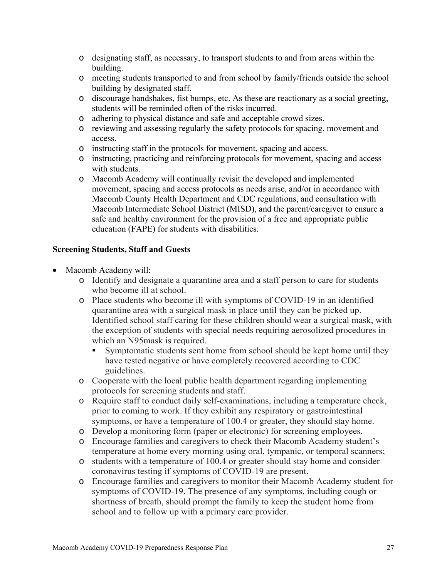- o designating staff, as necessary, to transport students to and from areas within the building.
- o meeting students transported to and from school by family/friends outside the school building by designated staff.
- o discourage handshakes, fist bumps, etc. As these are reactionary as a social greeting, students will be reminded often of the risks incurred.
- o adhering to physical distance and safe and acceptable crowd sizes.
- o reviewing and assessing regularly the safety protocols for spacing, movement and access.
- o instructing staff in the protocols for movement, spacing and access.
- o instructing, practicing and reinforcing protocols for movement, spacing and access with students.
- o Macomb Academy will continually revisit the developed and implemented movement, spacing and access protocols as needs arise, and/or in accordance with Macomb County Health Department and CDC regulations, and consultation with Macomb Intermediate School District (MISD), and the parent/caregiver to ensure a safe and healthy environment for the provision of a free and appropriate public education (FAPE) for students with disabilities.

#### **Screening Students, Staff and Guests**

- Macomb Academy will:
	- o Identify and designate a quarantine area and a staff person to care for students who become ill at school.
	- o Place students who become ill with symptoms of COVID-19 in an identified quarantine area with a surgical mask in place until they can be picked up. Identified school staff caring for these children should wear a surgical mask, with the exception of students with special needs requiring aerosolized procedures in which an N95mask is required.
		- Symptomatic students sent home from school should be kept home until they have tested negative or have completely recovered according to CDC guidelines.
	- o Cooperate with the local public health department regarding implementing protocols for screening students and staff.
	- o Require staff to conduct daily self-examinations, including a temperature check, prior to coming to work. If they exhibit any respiratory or gastrointestinal symptoms, or have a temperature of 100.4 or greater, they should stay home.
	- o Develop a monitoring form (paper or electronic) for screening employees.
	- o Encourage families and caregivers to check their Macomb Academy student's temperature at home every morning using oral, tympanic, or temporal scanners;
	- o students with a temperature of 100.4 or greater should stay home and consider coronavirus testing if symptoms of COVID-19 are present.
	- o Encourage families and caregivers to monitor their Macomb Academy student for symptoms of COVID-19. The presence of any symptoms, including cough or shortness of breath, should prompt the family to keep the student home from school and to follow up with a primary care provider.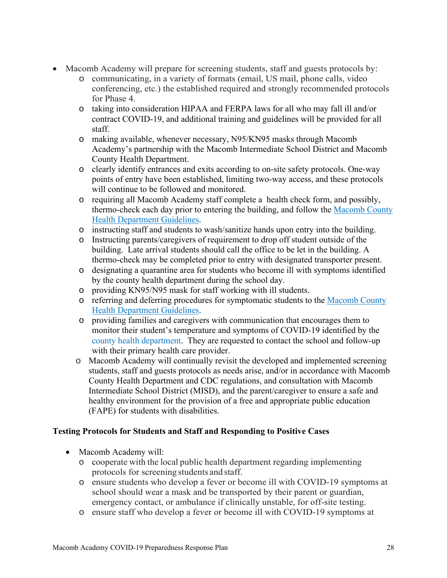- Macomb Academy will prepare for screening students, staff and guests protocols by:
	- o communicating, in a variety of formats (email, US mail, phone calls, video conferencing, etc.) the established required and strongly recommended protocols for Phase 4.
	- o taking into consideration HIPAA and FERPA laws for all who may fall ill and/or contract COVID-19, and additional training and guidelines will be provided for all staff.
	- o making available, whenever necessary, N95/KN95 masks through Macomb Academy's partnership with the Macomb Intermediate School District and Macomb County Health Department.
	- o clearly identify entrances and exits according to on-site safety protocols. One-way points of entry have been established, limiting two-way access, and these protocols will continue to be followed and monitored.
	- o requiring all Macomb Academy staff complete a health check form, and possibly, thermo-check each day prior to entering the building, and follow the Macomb County Health Department Guidelines.
	- o instructing staff and students to wash/sanitize hands upon entry into the building.
	- o Instructing parents/caregivers of requirement to drop off student outside of the building. Late arrival students should call the office to be let in the building. A thermo-check may be completed prior to entry with designated transporter present.
	- o designating a quarantine area for students who become ill with symptoms identified by the county health department during the school day.
	- o providing KN95/N95 mask for staff working with ill students.
	- o referring and deferring procedures for symptomatic students to the Macomb County Health Department Guidelines.
	- o providing families and caregivers with communication that encourages them to monitor their student's temperature and symptoms of COVID-19 identified by the county health department. They are requested to contact the school and follow-up with their primary health care provider.
	- o Macomb Academy will continually revisit the developed and implemented screening students, staff and guests protocols as needs arise, and/or in accordance with Macomb County Health Department and CDC regulations, and consultation with Macomb Intermediate School District (MISD), and the parent/caregiver to ensure a safe and healthy environment for the provision of a free and appropriate public education (FAPE) for students with disabilities.

#### **Testing Protocols for Students and Staff and Responding to Positive Cases**

- Macomb Academy will:
	- o cooperate with the local public health department regarding implementing protocols for screening students and staff.
	- o ensure students who develop a fever or become ill with COVID-19 symptoms at school should wear a mask and be transported by their parent or guardian, emergency contact, or ambulance if clinically unstable, for off-site testing.
	- o ensure staff who develop a fever or become ill with COVID-19 symptoms at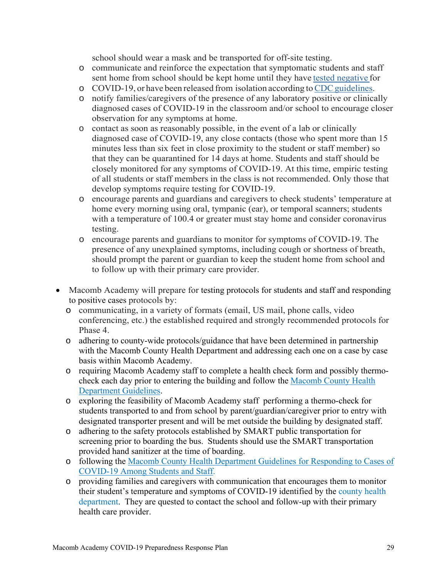school should wear a mask and be transported for off-site testing.

- o communicate and reinforce the expectation that symptomatic students and staff sent home from school should be kept home until they have tested negative for
- o COVID-19, or have been released from isolation according to CDC guidelines.
- o notify families/caregivers of the presence of any laboratory positive or clinically diagnosed cases of COVID-19 in the classroom and/or school to encourage closer observation for any symptoms at home.
- o contact as soon as reasonably possible, in the event of a lab or clinically diagnosed case of COVID-19, any close contacts (those who spent more than 15 minutes less than six feet in close proximity to the student or staff member) so that they can be quarantined for 14 days at home. Students and staff should be closely monitored for any symptoms of COVID-19. At this time, empiric testing of all students or staff members in the class is not recommended. Only those that develop symptoms require testing for COVID-19.
- o encourage parents and guardians and caregivers to check students' temperature at home every morning using oral, tympanic (ear), or temporal scanners; students with a temperature of 100.4 or greater must stay home and consider coronavirus testing.
- o encourage parents and guardians to monitor for symptoms of COVID-19. The presence of any unexplained symptoms, including cough or shortness of breath, should prompt the parent or guardian to keep the student home from school and to follow up with their primary care provider.
- Macomb Academy will prepare for testing protocols for students and staff and responding to positive cases protocols by:
	- o communicating, in a variety of formats (email, US mail, phone calls, video conferencing, etc.) the established required and strongly recommended protocols for Phase 4.
	- o adhering to county-wide protocols/guidance that have been determined in partnership with the Macomb County Health Department and addressing each one on a case by case basis within Macomb Academy.
	- o requiring Macomb Academy staff to complete a health check form and possibly thermocheck each day prior to entering the building and follow the Macomb County Health Department Guidelines.
	- o exploring the feasibility of Macomb Academy staff performing a thermo-check for students transported to and from school by parent/guardian/caregiver prior to entry with designated transporter present and will be met outside the building by designated staff.
	- o adhering to the safety protocols established by SMART public transportation for screening prior to boarding the bus. Students should use the SMART transportation provided hand sanitizer at the time of boarding.
	- o following the Macomb County Health Department Guidelines for Responding to Cases of COVID-19 Among Students and Staff.
	- o providing families and caregivers with communication that encourages them to monitor their student's temperature and symptoms of COVID-19 identified by the county health department. They are quested to contact the school and follow-up with their primary health care provider.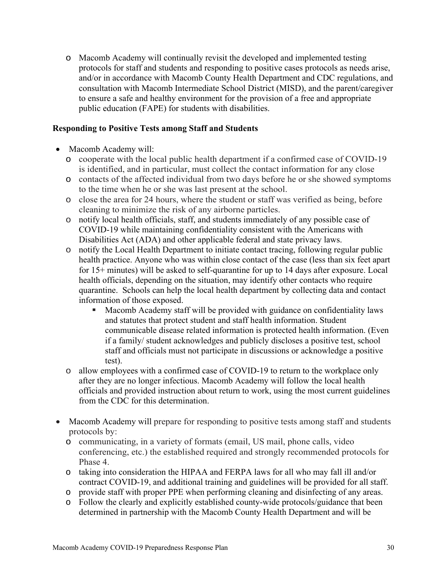o Macomb Academy will continually revisit the developed and implemented testing protocols for staff and students and responding to positive cases protocols as needs arise, and/or in accordance with Macomb County Health Department and CDC regulations, and consultation with Macomb Intermediate School District (MISD), and the parent/caregiver to ensure a safe and healthy environment for the provision of a free and appropriate public education (FAPE) for students with disabilities.

#### **Responding to Positive Tests among Staff and Students**

- Macomb Academy will:
	- o cooperate with the local public health department if a confirmed case of COVID-19 is identified, and in particular, must collect the contact information for any close
	- o contacts of the affected individual from two days before he or she showed symptoms to the time when he or she was last present at the school.
	- o close the area for 24 hours, where the student or staff was verified as being, before cleaning to minimize the risk of any airborne particles.
	- o notify local health officials, staff, and students immediately of any possible case of COVID-19 while maintaining confidentiality consistent with the Americans with Disabilities Act (ADA) and other applicable federal and state privacy laws.
	- $\circ$  notify the Local Health Department to initiate contact tracing, following regular public health practice. Anyone who was within close contact of the case (less than six feet apart for 15+ minutes) will be asked to self-quarantine for up to 14 days after exposure. Local health officials, depending on the situation, may identify other contacts who require quarantine. Schools can help the local health department by collecting data and contact information of those exposed.
		- **Macomb Academy staff will be provided with guidance on confidentiality laws** and statutes that protect student and staff health information. Student communicable disease related information is protected health information. (Even if a family/ student acknowledges and publicly discloses a positive test, school staff and officials must not participate in discussions or acknowledge a positive test).
	- o allow employees with a confirmed case of COVID-19 to return to the workplace only after they are no longer infectious. Macomb Academy will follow the local health officials and provided instruction about return to work, using the most current guidelines from the CDC for this determination.
- Macomb Academy will prepare for responding to positive tests among staff and students protocols by:
	- o communicating, in a variety of formats (email, US mail, phone calls, video conferencing, etc.) the established required and strongly recommended protocols for Phase 4.
	- o taking into consideration the HIPAA and FERPA laws for all who may fall ill and/or contract COVID-19, and additional training and guidelines will be provided for all staff.
	- o provide staff with proper PPE when performing cleaning and disinfecting of any areas.
	- o Follow the clearly and explicitly established county-wide protocols/guidance that been determined in partnership with the Macomb County Health Department and will be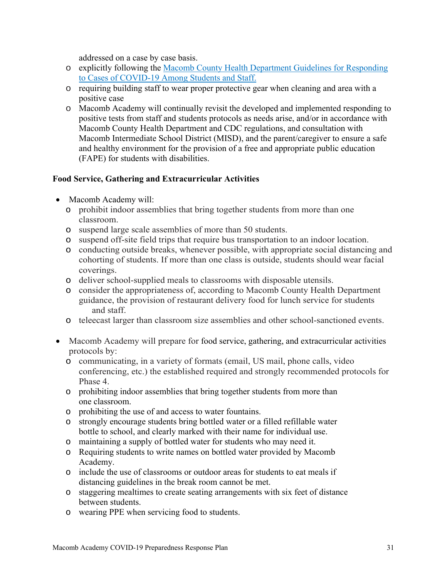addressed on a case by case basis.

- o explicitly following the Macomb County Health Department Guidelines for Responding to Cases of COVID-19 Among Students and Staff.
- o requiring building staff to wear proper protective gear when cleaning and area with a positive case
- o Macomb Academy will continually revisit the developed and implemented responding to positive tests from staff and students protocols as needs arise, and/or in accordance with Macomb County Health Department and CDC regulations, and consultation with Macomb Intermediate School District (MISD), and the parent/caregiver to ensure a safe and healthy environment for the provision of a free and appropriate public education (FAPE) for students with disabilities.

#### **Food Service, Gathering and Extracurricular Activities**

- Macomb Academy will:
	- o prohibit indoor assemblies that bring together students from more than one classroom.
	- o suspend large scale assemblies of more than 50 students.
	- o suspend off-site field trips that require bus transportation to an indoor location.
	- o conducting outside breaks, whenever possible, with appropriate social distancing and cohorting of students. If more than one class is outside, students should wear facial coverings.
	- o deliver school-supplied meals to classrooms with disposable utensils.
	- o consider the appropriateness of, according to Macomb County Health Department guidance, the provision of restaurant delivery food for lunch service for students and staff.
	- o teleecast larger than classroom size assemblies and other school-sanctioned events.
- Macomb Academy will prepare for food service, gathering, and extracurricular activities protocols by:
	- o communicating, in a variety of formats (email, US mail, phone calls, video conferencing, etc.) the established required and strongly recommended protocols for Phase 4.
	- o prohibiting indoor assemblies that bring together students from more than one classroom.
	- o prohibiting the use of and access to water fountains.
	- o strongly encourage students bring bottled water or a filled refillable water bottle to school, and clearly marked with their name for individual use.
	- o maintaining a supply of bottled water for students who may need it.
	- o Requiring students to write names on bottled water provided by Macomb Academy.
	- o include the use of classrooms or outdoor areas for students to eat meals if distancing guidelines in the break room cannot be met.
	- o staggering mealtimes to create seating arrangements with six feet of distance between students.
	- o wearing PPE when servicing food to students.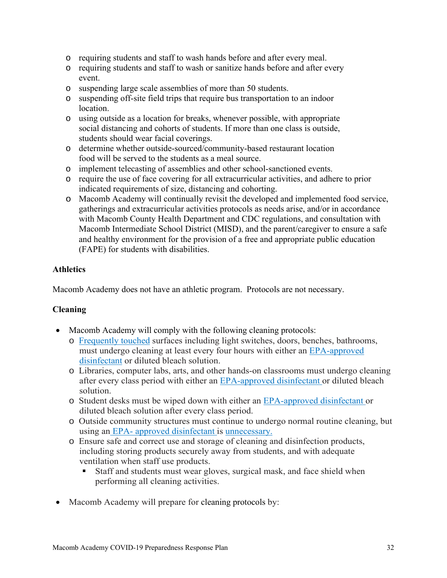- o requiring students and staff to wash hands before and after every meal.
- o requiring students and staff to wash or sanitize hands before and after every event.
- o suspending large scale assemblies of more than 50 students.
- o suspending off-site field trips that require bus transportation to an indoor location.
- o using outside as a location for breaks, whenever possible, with appropriate social distancing and cohorts of students. If more than one class is outside, students should wear facial coverings.
- o determine whether outside-sourced/community-based restaurant location food will be served to the students as a meal source.
- o implement telecasting of assemblies and other school-sanctioned events.
- o require the use of face covering for all extracurricular activities, and adhere to prior indicated requirements of size, distancing and cohorting.
- o Macomb Academy will continually revisit the developed and implemented food service, gatherings and extracurricular activities protocols as needs arise, and/or in accordance with Macomb County Health Department and CDC regulations, and consultation with Macomb Intermediate School District (MISD), and the parent/caregiver to ensure a safe and healthy environment for the provision of a free and appropriate public education (FAPE) for students with disabilities.

#### **Athletics**

Macomb Academy does not have an athletic program. Protocols are not necessary.

#### **Cleaning**

- Macomb Academy will comply with the following cleaning protocols:
	- o Frequently touched surfaces including light switches, doors, benches, bathrooms, must undergo cleaning at least every four hours with either an EPA-approved disinfectant or diluted bleach solution.
	- o Libraries, computer labs, arts, and other hands-on classrooms must undergo cleaning after every class period with either an EPA-approved disinfectant or diluted bleach solution.
	- o Student desks must be wiped down with either an EPA-approved disinfectant or diluted bleach solution after every class period.
	- o Outside community structures must continue to undergo normal routine cleaning, but using an EPA- approved disinfectant is unnecessary.
	- o Ensure safe and correct use and storage of cleaning and disinfection products, including storing products securely away from students, and with adequate ventilation when staff use products.
		- Staff and students must wear gloves, surgical mask, and face shield when performing all cleaning activities.
- Macomb Academy will prepare for cleaning protocols by: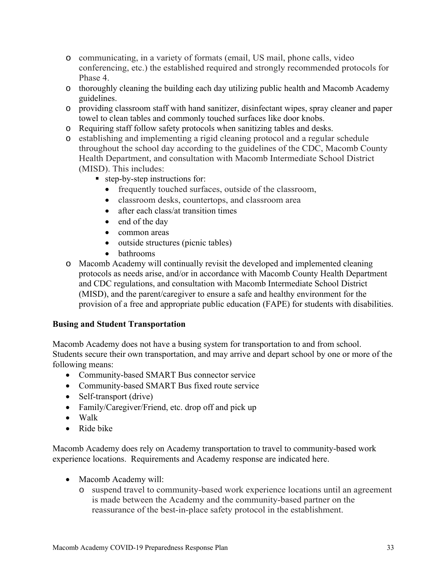- o communicating, in a variety of formats (email, US mail, phone calls, video conferencing, etc.) the established required and strongly recommended protocols for Phase 4.
- o thoroughly cleaning the building each day utilizing public health and Macomb Academy guidelines.
- o providing classroom staff with hand sanitizer, disinfectant wipes, spray cleaner and paper towel to clean tables and commonly touched surfaces like door knobs.
- o Requiring staff follow safety protocols when sanitizing tables and desks.
- o establishing and implementing a rigid cleaning protocol and a regular schedule throughout the school day according to the guidelines of the CDC, Macomb County Health Department, and consultation with Macomb Intermediate School District (MISD). This includes:
	- step-by-step instructions for:
		- frequently touched surfaces, outside of the classroom,
		- classroom desks, countertops, and classroom area
		- after each class/at transition times
		- end of the day
		- common areas
		- outside structures (picnic tables)
		- bathrooms
- o Macomb Academy will continually revisit the developed and implemented cleaning protocols as needs arise, and/or in accordance with Macomb County Health Department and CDC regulations, and consultation with Macomb Intermediate School District (MISD), and the parent/caregiver to ensure a safe and healthy environment for the provision of a free and appropriate public education (FAPE) for students with disabilities.

#### **Busing and Student Transportation**

Macomb Academy does not have a busing system for transportation to and from school. Students secure their own transportation, and may arrive and depart school by one or more of the following means:

- Community-based SMART Bus connector service
- Community-based SMART Bus fixed route service
- Self-transport (drive)
- Family/Caregiver/Friend, etc. drop off and pick up
- Walk
- Ride bike

Macomb Academy does rely on Academy transportation to travel to community-based work experience locations. Requirements and Academy response are indicated here.

- Macomb Academy will:
	- o suspend travel to community-based work experience locations until an agreement is made between the Academy and the community-based partner on the reassurance of the best-in-place safety protocol in the establishment.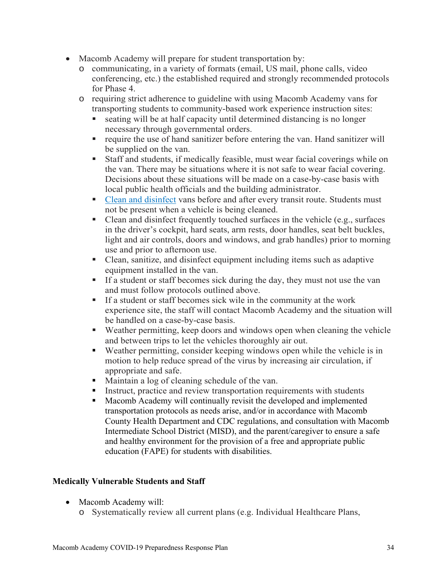- Macomb Academy will prepare for student transportation by:
	- o communicating, in a variety of formats (email, US mail, phone calls, video conferencing, etc.) the established required and strongly recommended protocols for Phase 4.
	- o requiring strict adherence to guideline with using Macomb Academy vans for transporting students to community-based work experience instruction sites:
		- seating will be at half capacity until determined distancing is no longer necessary through governmental orders.
		- **•** require the use of hand sanitizer before entering the van. Hand sanitizer will be supplied on the van.
		- Staff and students, if medically feasible, must wear facial coverings while on the van. There may be situations where it is not safe to wear facial covering. Decisions about these situations will be made on a case-by-case basis with local public health officials and the building administrator.
		- Clean and disinfect vans before and after every transit route. Students must not be present when a vehicle is being cleaned.
		- Clean and disinfect frequently touched surfaces in the vehicle (e.g., surfaces in the driver's cockpit, hard seats, arm rests, door handles, seat belt buckles, light and air controls, doors and windows, and grab handles) prior to morning use and prior to afternoon use.
		- Clean, sanitize, and disinfect equipment including items such as adaptive equipment installed in the van.
		- If a student or staff becomes sick during the day, they must not use the van and must follow protocols outlined above.
		- If a student or staff becomes sick wile in the community at the work experience site, the staff will contact Macomb Academy and the situation will be handled on a case-by-case basis.
		- Weather permitting, keep doors and windows open when cleaning the vehicle and between trips to let the vehicles thoroughly air out.
		- Weather permitting, consider keeping windows open while the vehicle is in motion to help reduce spread of the virus by increasing air circulation, if appropriate and safe.
		- Maintain a log of cleaning schedule of the van.
		- Instruct, practice and review transportation requirements with students
		- Macomb Academy will continually revisit the developed and implemented transportation protocols as needs arise, and/or in accordance with Macomb County Health Department and CDC regulations, and consultation with Macomb Intermediate School District (MISD), and the parent/caregiver to ensure a safe and healthy environment for the provision of a free and appropriate public education (FAPE) for students with disabilities.

# **Medically Vulnerable Students and Staff**

- Macomb Academy will:
	- o Systematically review all current plans (e.g. Individual Healthcare Plans,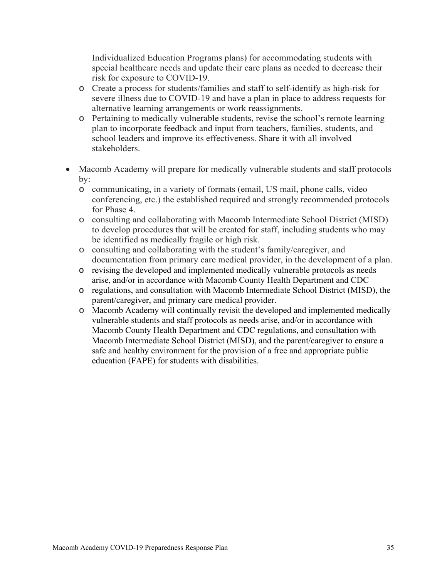Individualized Education Programs plans) for accommodating students with special healthcare needs and update their care plans as needed to decrease their risk for exposure to COVID-19.

- o Create a process for students/families and staff to self-identify as high-risk for severe illness due to COVID-19 and have a plan in place to address requests for alternative learning arrangements or work reassignments.
- o Pertaining to medically vulnerable students, revise the school's remote learning plan to incorporate feedback and input from teachers, families, students, and school leaders and improve its effectiveness. Share it with all involved stakeholders.
- Macomb Academy will prepare for medically vulnerable students and staff protocols by:
	- o communicating, in a variety of formats (email, US mail, phone calls, video conferencing, etc.) the established required and strongly recommended protocols for Phase 4.
	- o consulting and collaborating with Macomb Intermediate School District (MISD) to develop procedures that will be created for staff, including students who may be identified as medically fragile or high risk.
	- o consulting and collaborating with the student's family/caregiver, and documentation from primary care medical provider, in the development of a plan.
	- o revising the developed and implemented medically vulnerable protocols as needs arise, and/or in accordance with Macomb County Health Department and CDC
	- o regulations, and consultation with Macomb Intermediate School District (MISD), the parent/caregiver, and primary care medical provider.
	- o Macomb Academy will continually revisit the developed and implemented medically vulnerable students and staff protocols as needs arise, and/or in accordance with Macomb County Health Department and CDC regulations, and consultation with Macomb Intermediate School District (MISD), and the parent/caregiver to ensure a safe and healthy environment for the provision of a free and appropriate public education (FAPE) for students with disabilities.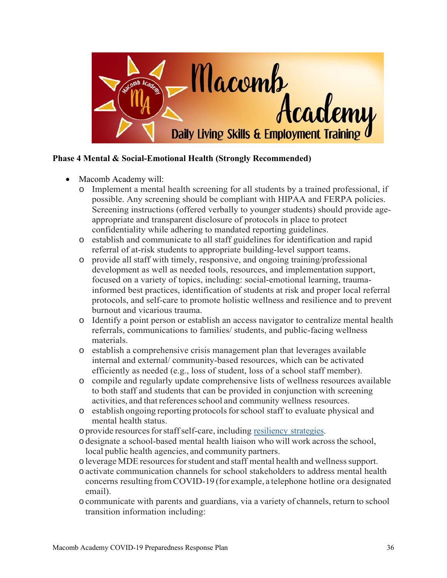

## **Phase 4 Mental & Social-Emotional Health (Strongly Recommended)**

- Macomb Academy will:
	- o Implement a mental health screening for all students by a trained professional, if possible. Any screening should be compliant with HIPAA and FERPA policies. Screening instructions (offered verbally to younger students) should provide ageappropriate and transparent disclosure of protocols in place to protect confidentiality while adhering to mandated reporting guidelines.
	- o establish and communicate to all staff guidelines for identification and rapid referral of at-risk students to appropriate building-level support teams.
	- o provide all staff with timely, responsive, and ongoing training/professional development as well as needed tools, resources, and implementation support, focused on a variety of topics, including: social-emotional learning, traumainformed best practices, identification of students at risk and proper local referral protocols, and self-care to promote holistic wellness and resilience and to prevent burnout and vicarious trauma.
	- o Identify a point person or establish an access navigator to centralize mental health referrals, communications to families/ students, and public-facing wellness materials.
	- o establish a comprehensive crisis management plan that leverages available internal and external/ community-based resources, which can be activated efficiently as needed (e.g., loss of student, loss of a school staff member).
	- o compile and regularly update comprehensive lists of wellness resources available to both staff and students that can be provided in conjunction with screening activities, and that references school and community wellness resources.
	- o establish ongoing reporting protocols for school staff to evaluate physical and mental health status.
	- oprovide resources for staff self-care, including resiliency strategies.
	- odesignate a school-based mental health liaison who will work across the school, local public health agencies, and community partners.
	- oleverage MDE resources for student and staff mental health and wellness support.
	- oactivate communication channels for school stakeholders to address mental health concerns resulting from COVID-19 (for example, a telephone hotline or a designated email).
	- ocommunicate with parents and guardians, via a variety of channels, return to school transition information including: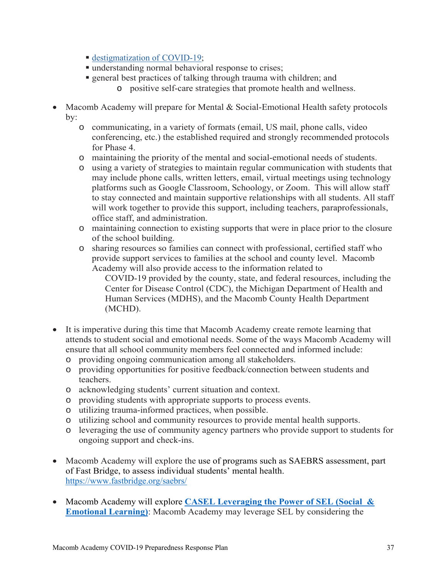- destigmatization of COVID-19;
- understanding normal behavioral response to crises;
- general best practices of talking through trauma with children; and
	- o positive self-care strategies that promote health and wellness.
- Macomb Academy will prepare for Mental & Social-Emotional Health safety protocols by:
	- o communicating, in a variety of formats (email, US mail, phone calls, video conferencing, etc.) the established required and strongly recommended protocols for Phase 4.
	- o maintaining the priority of the mental and social-emotional needs of students.
	- o using a variety of strategies to maintain regular communication with students that may include phone calls, written letters, email, virtual meetings using technology platforms such as Google Classroom, Schoology, or Zoom. This will allow staff to stay connected and maintain supportive relationships with all students. All staff will work together to provide this support, including teachers, paraprofessionals, office staff, and administration.
	- o maintaining connection to existing supports that were in place prior to the closure of the school building.
	- o sharing resources so families can connect with professional, certified staff who provide support services to families at the school and county level. Macomb Academy will also provide access to the information related to

COVID-19 provided by the county, state, and federal resources, including the Center for Disease Control (CDC), the Michigan Department of Health and Human Services (MDHS), and the Macomb County Health Department (MCHD).

- It is imperative during this time that Macomb Academy create remote learning that attends to student social and emotional needs. Some of the ways Macomb Academy will ensure that all school community members feel connected and informed include:
	- o providing ongoing communication among all stakeholders.
	- o providing opportunities for positive feedback/connection between students and teachers.
	- o acknowledging students' current situation and context.
	- o providing students with appropriate supports to process events.
	- o utilizing trauma-informed practices, when possible.
	- o utilizing school and community resources to provide mental health supports.
	- o leveraging the use of community agency partners who provide support to students for ongoing support and check-ins.
- Macomb Academy will explore the use of programs such as SAEBRS assessment, part of Fast Bridge, to assess individual students' mental health. https://www.fastbridge.org/saebrs/
- Macomb Academy will explore **CASEL Leveraging the Power of SEL (Social & Emotional Learning)**: Macomb Academy may leverage SEL by considering the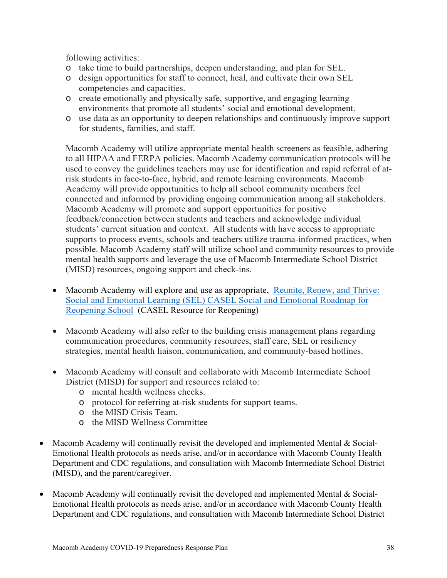following activities:

- o take time to build partnerships, deepen understanding, and plan for SEL.
- o design opportunities for staff to connect, heal, and cultivate their own SEL competencies and capacities.
- o create emotionally and physically safe, supportive, and engaging learning environments that promote all students' social and emotional development.
- o use data as an opportunity to deepen relationships and continuously improve support for students, families, and staff.

Macomb Academy will utilize appropriate mental health screeners as feasible, adhering to all HIPAA and FERPA policies. Macomb Academy communication protocols will be used to convey the guidelines teachers may use for identification and rapid referral of atrisk students in face-to-face, hybrid, and remote learning environments. Macomb Academy will provide opportunities to help all school community members feel connected and informed by providing ongoing communication among all stakeholders. Macomb Academy will promote and support opportunities for positive feedback/connection between students and teachers and acknowledge individual students' current situation and context. All students with have access to appropriate supports to process events, schools and teachers utilize trauma-informed practices, when possible. Macomb Academy staff will utilize school and community resources to provide mental health supports and leverage the use of Macomb Intermediate School District (MISD) resources, ongoing support and check-ins.

- Macomb Academy will explore and use as appropriate, Reunite, Renew, and Thrive: Social and Emotional Learning (SEL) CASEL Social and Emotional Roadmap for Reopening School (CASEL Resource for Reopening)
- Macomb Academy will also refer to the building crisis management plans regarding communication procedures, community resources, staff care, SEL or resiliency strategies, mental health liaison, communication, and community-based hotlines.
- Macomb Academy will consult and collaborate with Macomb Intermediate School District (MISD) for support and resources related to:
	- o mental health wellness checks.
	- o protocol for referring at-risk students for support teams.
	- o the MISD Crisis Team.
	- o the MISD Wellness Committee
- Macomb Academy will continually revisit the developed and implemented Mental  $\&$  Social-Emotional Health protocols as needs arise, and/or in accordance with Macomb County Health Department and CDC regulations, and consultation with Macomb Intermediate School District (MISD), and the parent/caregiver.
- Macomb Academy will continually revisit the developed and implemented Mental & Social-Emotional Health protocols as needs arise, and/or in accordance with Macomb County Health Department and CDC regulations, and consultation with Macomb Intermediate School District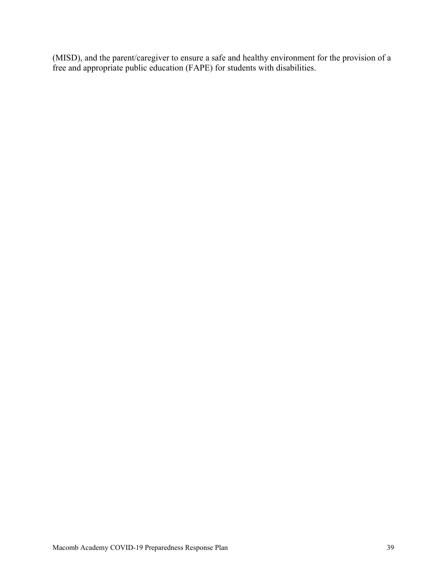(MISD), and the parent/caregiver to ensure a safe and healthy environment for the provision of a free and appropriate public education (FAPE) for students with disabilities.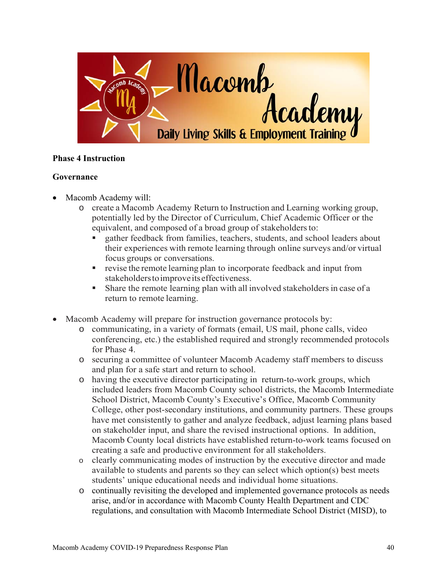

## **Phase 4 Instruction**

## **Governance**

- Macomb Academy will:
	- o create a Macomb Academy Return to Instruction and Learning working group, potentially led by the Director of Curriculum, Chief Academic Officer or the equivalent, and composed of a broad group of stakeholders to:
		- gather feedback from families, teachers, students, and school leaders about their experiences with remote learning through online surveys and/or virtual focus groups or conversations.
		- **•** revise the remote learning plan to incorporate feedback and input from stakeholders to improve its effectiveness.
		- Share the remote learning plan with all involved stakeholders in case of a return to remote learning.
- Macomb Academy will prepare for instruction governance protocols by:
	- o communicating, in a variety of formats (email, US mail, phone calls, video conferencing, etc.) the established required and strongly recommended protocols for Phase 4.
	- o securing a committee of volunteer Macomb Academy staff members to discuss and plan for a safe start and return to school.
	- o having the executive director participating in return-to-work groups, which included leaders from Macomb County school districts, the Macomb Intermediate School District, Macomb County's Executive's Office, Macomb Community College, other post-secondary institutions, and community partners. These groups have met consistently to gather and analyze feedback, adjust learning plans based on stakeholder input, and share the revised instructional options. In addition, Macomb County local districts have established return-to-work teams focused on creating a safe and productive environment for all stakeholders.
	- o clearly communicating modes of instruction by the executive director and made available to students and parents so they can select which option(s) best meets students' unique educational needs and individual home situations.
	- o continually revisiting the developed and implemented governance protocols as needs arise, and/or in accordance with Macomb County Health Department and CDC regulations, and consultation with Macomb Intermediate School District (MISD), to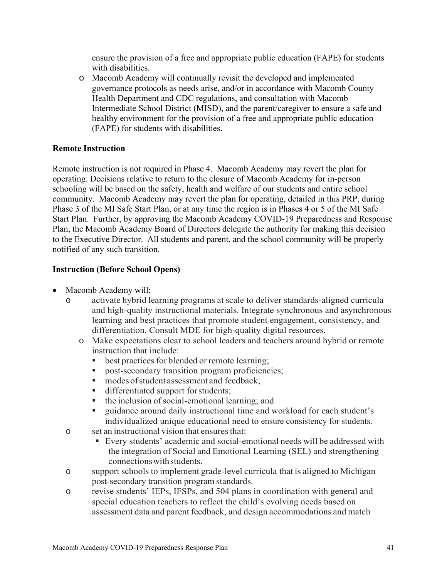ensure the provision of a free and appropriate public education (FAPE) for students with disabilities.

o Macomb Academy will continually revisit the developed and implemented governance protocols as needs arise, and/or in accordance with Macomb County Health Department and CDC regulations, and consultation with Macomb Intermediate School District (MISD), and the parent/caregiver to ensure a safe and healthy environment for the provision of a free and appropriate public education (FAPE) for students with disabilities.

#### **Remote Instruction**

Remote instruction is not required in Phase 4. Macomb Academy may revert the plan for operating. Decisions relative to return to the closure of Macomb Academy for in-person schooling will be based on the safety, health and welfare of our students and entire school community. Macomb Academy may revert the plan for operating, detailed in this PRP, during Phase 3 of the MI Safe Start Plan, or at any time the region is in Phases 4 or 5 of the MI Safe Start Plan. Further, by approving the Macomb Academy COVID-19 Preparedness and Response Plan, the Macomb Academy Board of Directors delegate the authority for making this decision to the Executive Director. All students and parent, and the school community will be properly notified of any such transition.

## **Instruction (Before School Opens)**

- Macomb Academy will:
	- o activate hybrid learning programs at scale to deliver standards-aligned curricula and high-quality instructional materials. Integrate synchronous and asynchronous learning and best practices that promote student engagement, consistency, and differentiation. Consult MDE for high-quality digital resources.
		- o Make expectations clear to school leaders and teachers around hybrid or remote instruction that include:
			- best practices for blended or remote learning;
			- post-secondary transition program proficiencies;
			- $\blacksquare$  modes of student assessment and feedback;
			- differentiated support for students;
			- the inclusion of social-emotional learning; and
			- guidance around daily instructional time and workload for each student's individualized unique educational need to ensure consistency for students.
	- o set an instructional vision that ensures that:
		- Every students' academic and social-emotional needs will be addressed with the integration of Social and Emotional Learning (SEL) and strengthening connections with students.
	- o support schools to implement grade-level curricula that is aligned to Michigan post-secondary transition program standards.
	- o revise students' IEPs, IFSPs, and 504 plans in coordination with general and special education teachers to reflect the child's evolving needs based on assessment data and parent feedback, and design accommodations and match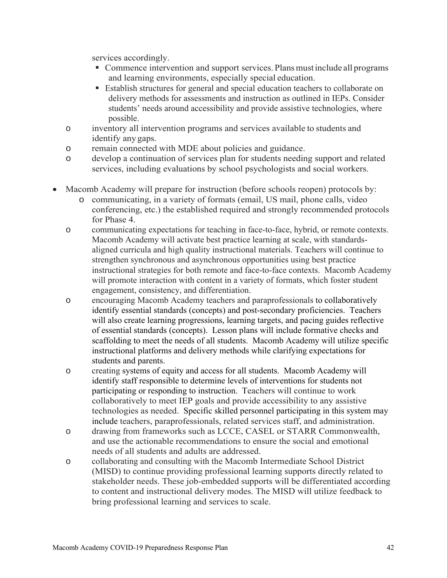services accordingly.

- **Commence intervention and support services. Plans must include all programs** and learning environments, especially special education.
- Establish structures for general and special education teachers to collaborate on delivery methods for assessments and instruction as outlined in IEPs. Consider students' needs around accessibility and provide assistive technologies, where possible.
- o inventory all intervention programs and services available to students and identify any gaps.
- o remain connected with MDE about policies and guidance.
- o develop a continuation of services plan for students needing support and related services, including evaluations by school psychologists and social workers.
- Macomb Academy will prepare for instruction (before schools reopen) protocols by:
	- o communicating, in a variety of formats (email, US mail, phone calls, video conferencing, etc.) the established required and strongly recommended protocols for Phase 4.
	- o communicating expectations for teaching in face-to-face, hybrid, or remote contexts. Macomb Academy will activate best practice learning at scale, with standardsaligned curricula and high quality instructional materials. Teachers will continue to strengthen synchronous and asynchronous opportunities using best practice instructional strategies for both remote and face-to-face contexts. Macomb Academy will promote interaction with content in a variety of formats, which foster student engagement, consistency, and differentiation.
	- o encouraging Macomb Academy teachers and paraprofessionals to collaboratively identify essential standards (concepts) and post-secondary proficiencies. Teachers will also create learning progressions, learning targets, and pacing guides reflective of essential standards (concepts). Lesson plans will include formative checks and scaffolding to meet the needs of all students. Macomb Academy will utilize specific instructional platforms and delivery methods while clarifying expectations for students and parents.
	- o creating systems of equity and access for all students. Macomb Academy will identify staff responsible to determine levels of interventions for students not participating or responding to instruction. Teachers will continue to work collaboratively to meet IEP goals and provide accessibility to any assistive technologies as needed. Specific skilled personnel participating in this system may include teachers, paraprofessionals, related services staff, and administration.
	- o drawing from frameworks such as LCCE, CASEL or STARR Commonwealth, and use the actionable recommendations to ensure the social and emotional needs of all students and adults are addressed.
	- o collaborating and consulting with the Macomb Intermediate School District (MISD) to continue providing professional learning supports directly related to stakeholder needs. These job-embedded supports will be differentiated according to content and instructional delivery modes. The MISD will utilize feedback to bring professional learning and services to scale.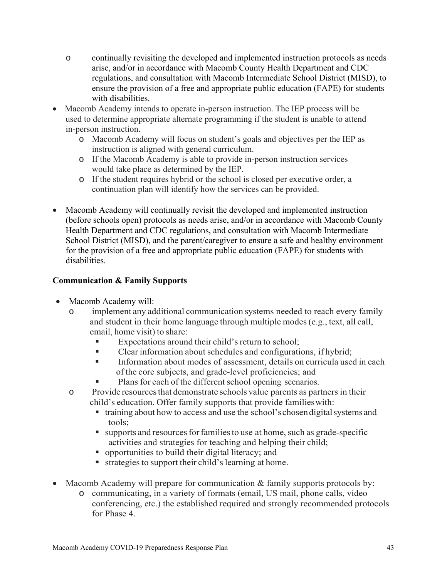- o continually revisiting the developed and implemented instruction protocols as needs arise, and/or in accordance with Macomb County Health Department and CDC regulations, and consultation with Macomb Intermediate School District (MISD), to ensure the provision of a free and appropriate public education (FAPE) for students with disabilities.
- Macomb Academy intends to operate in-person instruction. The IEP process will be used to determine appropriate alternate programming if the student is unable to attend in-person instruction.
	- o Macomb Academy will focus on student's goals and objectives per the IEP as instruction is aligned with general curriculum.
	- o If the Macomb Academy is able to provide in-person instruction services would take place as determined by the IEP.
	- o If the student requires hybrid or the school is closed per executive order, a continuation plan will identify how the services can be provided.
- Macomb Academy will continually revisit the developed and implemented instruction (before schools open) protocols as needs arise, and/or in accordance with Macomb County Health Department and CDC regulations, and consultation with Macomb Intermediate School District (MISD), and the parent/caregiver to ensure a safe and healthy environment for the provision of a free and appropriate public education (FAPE) for students with disabilities.

# **Communication & Family Supports**

- Macomb Academy will:
	- o implement any additional communication systems needed to reach every family and student in their home language through multiple modes (e.g., text, all call, email, home visit) to share:
		- Expectations around their child's return to school;
		- Clear information about schedules and configurations, if hybrid;
		- Information about modes of assessment, details on curricula used in each of the core subjects, and grade-level proficiencies; and
		- Plans for each of the different school opening scenarios.
	- o Provide resources that demonstrate schools value parents as partners in their child's education. Offer family supports that provide families with:
		- training about how to access and use the school's chosen digital systems and tools;
		- supports and resources for families to use at home, such as grade-specific activities and strategies for teaching and helping their child;
		- opportunities to build their digital literacy; and
		- strategies to support their child's learning at home.
- Macomb Academy will prepare for communication & family supports protocols by:
	- o communicating, in a variety of formats (email, US mail, phone calls, video conferencing, etc.) the established required and strongly recommended protocols for Phase 4.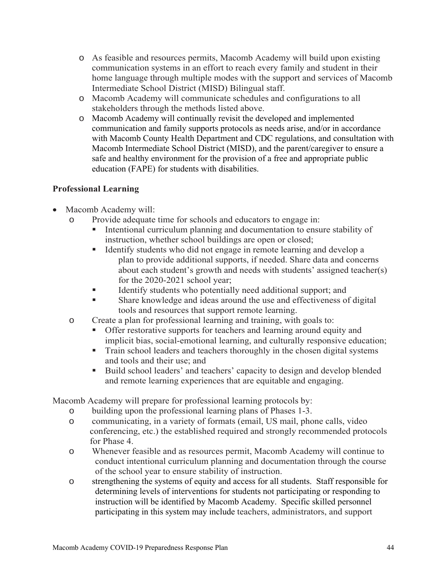- o As feasible and resources permits, Macomb Academy will build upon existing communication systems in an effort to reach every family and student in their home language through multiple modes with the support and services of Macomb Intermediate School District (MISD) Bilingual staff.
- o Macomb Academy will communicate schedules and configurations to all stakeholders through the methods listed above.
- o Macomb Academy will continually revisit the developed and implemented communication and family supports protocols as needs arise, and/or in accordance with Macomb County Health Department and CDC regulations, and consultation with Macomb Intermediate School District (MISD), and the parent/caregiver to ensure a safe and healthy environment for the provision of a free and appropriate public education (FAPE) for students with disabilities.

## **Professional Learning**

- Macomb Academy will:
	- o Provide adequate time for schools and educators to engage in:
		- Intentional curriculum planning and documentation to ensure stability of instruction, whether school buildings are open or closed;
		- Identify students who did not engage in remote learning and develop a plan to provide additional supports, if needed. Share data and concerns about each student's growth and needs with students' assigned teacher(s) for the 2020-2021 school year;
		- Identify students who potentially need additional support; and
		- Share knowledge and ideas around the use and effectiveness of digital tools and resources that support remote learning.
	- o Create a plan for professional learning and training, with goals to:
		- **Offer restorative supports for teachers and learning around equity and** implicit bias, social-emotional learning, and culturally responsive education;
		- Train school leaders and teachers thoroughly in the chosen digital systems and tools and their use; and
		- Build school leaders' and teachers' capacity to design and develop blended and remote learning experiences that are equitable and engaging.

Macomb Academy will prepare for professional learning protocols by:

- o building upon the professional learning plans of Phases 1-3.
- o communicating, in a variety of formats (email, US mail, phone calls, video conferencing, etc.) the established required and strongly recommended protocols for Phase 4.
- o Whenever feasible and as resources permit, Macomb Academy will continue to conduct intentional curriculum planning and documentation through the course of the school year to ensure stability of instruction.
- o strengthening the systems of equity and access for all students. Staff responsible for determining levels of interventions for students not participating or responding to instruction will be identified by Macomb Academy. Specific skilled personnel participating in this system may include teachers, administrators, and support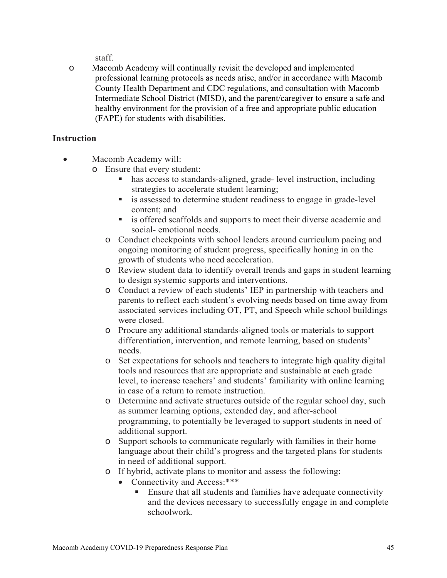staff.

o Macomb Academy will continually revisit the developed and implemented professional learning protocols as needs arise, and/or in accordance with Macomb County Health Department and CDC regulations, and consultation with Macomb Intermediate School District (MISD), and the parent/caregiver to ensure a safe and healthy environment for the provision of a free and appropriate public education (FAPE) for students with disabilities.

## **Instruction**

Macomb Academy will:

- o Ensure that every student:
	- has access to standards-aligned, grade- level instruction, including strategies to accelerate student learning;
	- **is assessed to determine student readiness to engage in grade-level** content; and
	- **i** is offered scaffolds and supports to meet their diverse academic and social- emotional needs.
	- o Conduct checkpoints with school leaders around curriculum pacing and ongoing monitoring of student progress, specifically honing in on the growth of students who need acceleration.
	- o Review student data to identify overall trends and gaps in student learning to design systemic supports and interventions.
	- o Conduct a review of each students' IEP in partnership with teachers and parents to reflect each student's evolving needs based on time away from associated services including OT, PT, and Speech while school buildings were closed.
	- o Procure any additional standards-aligned tools or materials to support differentiation, intervention, and remote learning, based on students' needs.
	- o Set expectations for schools and teachers to integrate high quality digital tools and resources that are appropriate and sustainable at each grade level, to increase teachers' and students' familiarity with online learning in case of a return to remote instruction.
	- o Determine and activate structures outside of the regular school day, such as summer learning options, extended day, and after-school programming, to potentially be leveraged to support students in need of additional support.
	- o Support schools to communicate regularly with families in their home language about their child's progress and the targeted plans for students in need of additional support.
	- o If hybrid, activate plans to monitor and assess the following:
		- Connectivity and Access: \*\*\*\*
			- Ensure that all students and families have adequate connectivity and the devices necessary to successfully engage in and complete schoolwork.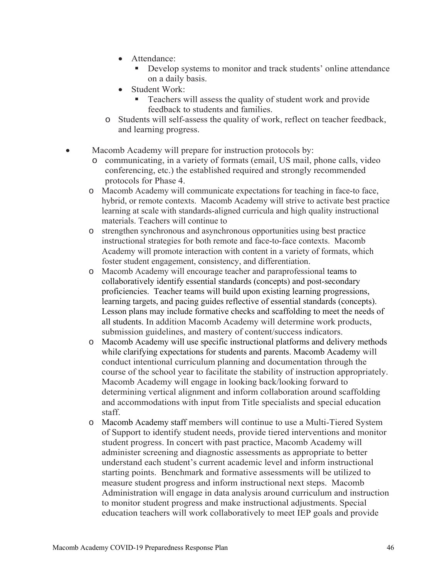- Attendance:
	- Develop systems to monitor and track students' online attendance on a daily basis.
- Student Work:
	- Teachers will assess the quality of student work and provide feedback to students and families.
- o Students will self-assess the quality of work, reflect on teacher feedback, and learning progress.
- Macomb Academy will prepare for instruction protocols by:
	- o communicating, in a variety of formats (email, US mail, phone calls, video conferencing, etc.) the established required and strongly recommended protocols for Phase 4.
	- o Macomb Academy will communicate expectations for teaching in face-to face, hybrid, or remote contexts. Macomb Academy will strive to activate best practice learning at scale with standards-aligned curricula and high quality instructional materials. Teachers will continue to
	- o strengthen synchronous and asynchronous opportunities using best practice instructional strategies for both remote and face-to-face contexts. Macomb Academy will promote interaction with content in a variety of formats, which foster student engagement, consistency, and differentiation.
	- o Macomb Academy will encourage teacher and paraprofessional teams to collaboratively identify essential standards (concepts) and post-secondary proficiencies. Teacher teams will build upon existing learning progressions, learning targets, and pacing guides reflective of essential standards (concepts). Lesson plans may include formative checks and scaffolding to meet the needs of all students. In addition Macomb Academy will determine work products, submission guidelines, and mastery of content/success indicators.
	- o Macomb Academy will use specific instructional platforms and delivery methods while clarifying expectations for students and parents. Macomb Academy will conduct intentional curriculum planning and documentation through the course of the school year to facilitate the stability of instruction appropriately. Macomb Academy will engage in looking back/looking forward to determining vertical alignment and inform collaboration around scaffolding and accommodations with input from Title specialists and special education staff.
	- o Macomb Academy staff members will continue to use a Multi-Tiered System of Support to identify student needs, provide tiered interventions and monitor student progress. In concert with past practice, Macomb Academy will administer screening and diagnostic assessments as appropriate to better understand each student's current academic level and inform instructional starting points. Benchmark and formative assessments will be utilized to measure student progress and inform instructional next steps. Macomb Administration will engage in data analysis around curriculum and instruction to monitor student progress and make instructional adjustments. Special education teachers will work collaboratively to meet IEP goals and provide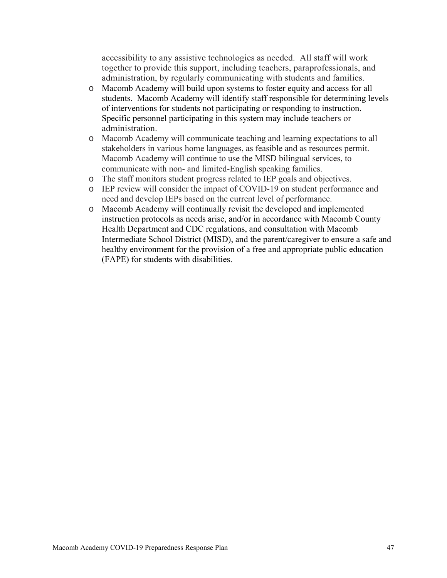accessibility to any assistive technologies as needed. All staff will work together to provide this support, including teachers, paraprofessionals, and administration, by regularly communicating with students and families.

- o Macomb Academy will build upon systems to foster equity and access for all students. Macomb Academy will identify staff responsible for determining levels of interventions for students not participating or responding to instruction. Specific personnel participating in this system may include teachers or administration.
- o Macomb Academy will communicate teaching and learning expectations to all stakeholders in various home languages, as feasible and as resources permit. Macomb Academy will continue to use the MISD bilingual services, to communicate with non- and limited-English speaking families.
- o The staff monitors student progress related to IEP goals and objectives.
- o IEP review will consider the impact of COVID-19 on student performance and need and develop IEPs based on the current level of performance.
- o Macomb Academy will continually revisit the developed and implemented instruction protocols as needs arise, and/or in accordance with Macomb County Health Department and CDC regulations, and consultation with Macomb Intermediate School District (MISD), and the parent/caregiver to ensure a safe and healthy environment for the provision of a free and appropriate public education (FAPE) for students with disabilities.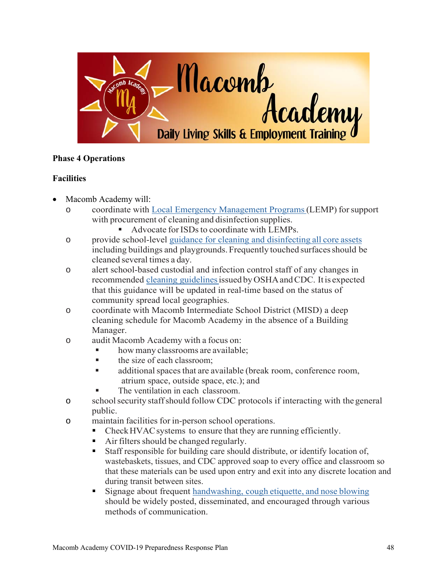

# **Phase 4 Operations**

## **Facilities**

- Macomb Academy will:
	- o coordinate with Local Emergency Management Programs (LEMP) for support with procurement of cleaning and disinfection supplies.
		- Advocate for ISDs to coordinate with LEMPs.
	- o provide school-level guidance for cleaning and disinfecting all core assets including buildings and playgrounds. Frequently touched surfaces should be cleaned several times a day.
	- o alert school-based custodial and infection control staff of any changes in recommended cleaning guidelines issued by OSHA and CDC. It is expected that this guidance will be updated in real-time based on the status of community spread local geographies.
	- o coordinate with Macomb Intermediate School District (MISD) a deep cleaning schedule for Macomb Academy in the absence of a Building Manager.
	- o audit Macomb Academy with a focus on:
		- how many classrooms are available;
		- $\blacksquare$  the size of each classroom;
		- additional spaces that are available (break room, conference room, atrium space, outside space, etc.); and
		- The ventilation in each classroom.
	- o school security staff should follow CDC protocols if interacting with the general public.
	- o maintain facilities for in-person school operations.
		- Check HVAC systems to ensure that they are running efficiently.
			- Air filters should be changed regularly.
			- Staff responsible for building care should distribute, or identify location of, wastebaskets, tissues, and CDC approved soap to every office and classroom so that these materials can be used upon entry and exit into any discrete location and during transit between sites.
			- Signage about frequent handwashing, cough etiquette, and nose blowing should be widely posted, disseminated, and encouraged through various methods of communication.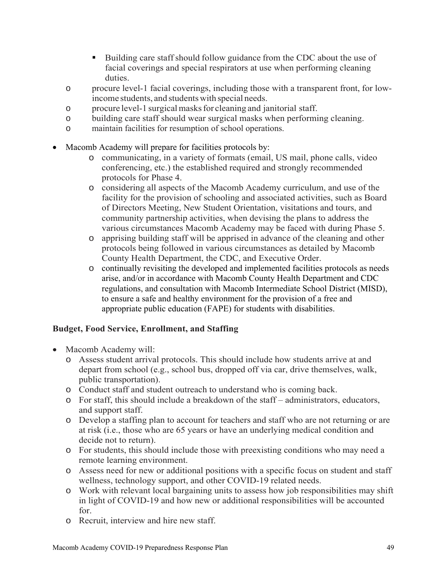- Building care staff should follow guidance from the CDC about the use of facial coverings and special respirators at use when performing cleaning duties.
- o procure level-1 facial coverings, including those with a transparent front, for lowincome students, and students with special needs.
- o procure level-1 surgical masks for cleaning and janitorial staff.
- o building care staff should wear surgical masks when performing cleaning.
- o maintain facilities for resumption of school operations.
- Macomb Academy will prepare for facilities protocols by:
	- o communicating, in a variety of formats (email, US mail, phone calls, video conferencing, etc.) the established required and strongly recommended protocols for Phase 4.
	- o considering all aspects of the Macomb Academy curriculum, and use of the facility for the provision of schooling and associated activities, such as Board of Directors Meeting, New Student Orientation, visitations and tours, and community partnership activities, when devising the plans to address the various circumstances Macomb Academy may be faced with during Phase 5.
	- o apprising building staff will be apprised in advance of the cleaning and other protocols being followed in various circumstances as detailed by Macomb County Health Department, the CDC, and Executive Order.
	- o continually revisiting the developed and implemented facilities protocols as needs arise, and/or in accordance with Macomb County Health Department and CDC regulations, and consultation with Macomb Intermediate School District (MISD), to ensure a safe and healthy environment for the provision of a free and appropriate public education (FAPE) for students with disabilities.

# **Budget, Food Service, Enrollment, and Staffing**

- Macomb Academy will:
	- o Assess student arrival protocols. This should include how students arrive at and depart from school (e.g., school bus, dropped off via car, drive themselves, walk, public transportation).
	- o Conduct staff and student outreach to understand who is coming back.
	- o For staff, this should include a breakdown of the staff administrators, educators, and support staff.
	- o Develop a staffing plan to account for teachers and staff who are not returning or are at risk (i.e., those who are 65 years or have an underlying medical condition and decide not to return).
	- o For students, this should include those with preexisting conditions who may need a remote learning environment.
	- o Assess need for new or additional positions with a specific focus on student and staff wellness, technology support, and other COVID-19 related needs.
	- o Work with relevant local bargaining units to assess how job responsibilities may shift in light of COVID-19 and how new or additional responsibilities will be accounted for.
	- o Recruit, interview and hire new staff.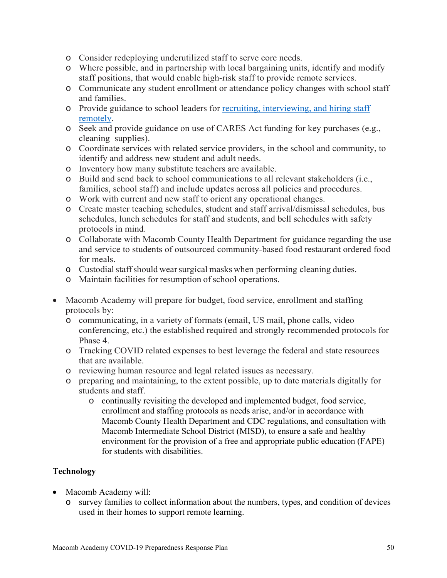- o Consider redeploying underutilized staff to serve core needs.
- o Where possible, and in partnership with local bargaining units, identify and modify staff positions, that would enable high-risk staff to provide remote services.
- o Communicate any student enrollment or attendance policy changes with school staff and families.
- o Provide guidance to school leaders for recruiting, interviewing, and hiring staff remotely.
- o Seek and provide guidance on use of CARES Act funding for key purchases (e.g., cleaning supplies).
- o Coordinate services with related service providers, in the school and community, to identify and address new student and adult needs.
- o Inventory how many substitute teachers are available.
- o Build and send back to school communications to all relevant stakeholders (i.e., families, school staff) and include updates across all policies and procedures.
- o Work with current and new staff to orient any operational changes.
- o Create master teaching schedules, student and staff arrival/dismissal schedules, bus schedules, lunch schedules for staff and students, and bell schedules with safety protocols in mind.
- o Collaborate with Macomb County Health Department for guidance regarding the use and service to students of outsourced community-based food restaurant ordered food for meals.
- o Custodial staff should wear surgical masks when performing cleaning duties.
- o Maintain facilities for resumption of school operations.
- Macomb Academy will prepare for budget, food service, enrollment and staffing protocols by:
	- o communicating, in a variety of formats (email, US mail, phone calls, video conferencing, etc.) the established required and strongly recommended protocols for Phase 4.
	- o Tracking COVID related expenses to best leverage the federal and state resources that are available.
	- o reviewing human resource and legal related issues as necessary.
	- o preparing and maintaining, to the extent possible, up to date materials digitally for students and staff.
		- o continually revisiting the developed and implemented budget, food service, enrollment and staffing protocols as needs arise, and/or in accordance with Macomb County Health Department and CDC regulations, and consultation with Macomb Intermediate School District (MISD), to ensure a safe and healthy environment for the provision of a free and appropriate public education (FAPE) for students with disabilities.

## **Technology**

- Macomb Academy will:
	- o survey families to collect information about the numbers, types, and condition of devices used in their homes to support remote learning.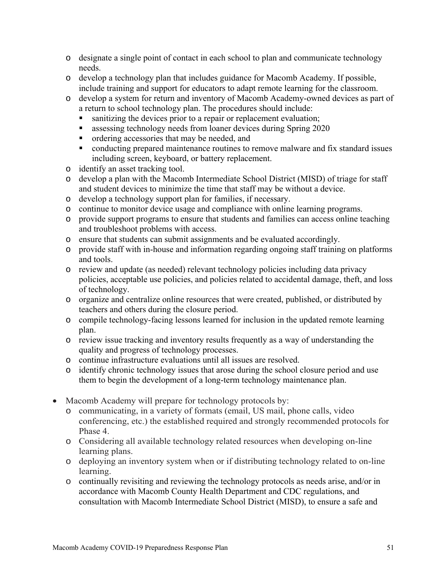- o designate a single point of contact in each school to plan and communicate technology needs.
- o develop a technology plan that includes guidance for Macomb Academy. If possible, include training and support for educators to adapt remote learning for the classroom.
- o develop a system for return and inventory of Macomb Academy-owned devices as part of a return to school technology plan. The procedures should include:
	- sanitizing the devices prior to a repair or replacement evaluation;
	- **assessing technology needs from loaner devices during Spring 2020**
	- **n** ordering accessories that may be needed, and
	- conducting prepared maintenance routines to remove malware and fix standard issues including screen, keyboard, or battery replacement.
- o identify an asset tracking tool.
- o develop a plan with the Macomb Intermediate School District (MISD) of triage for staff and student devices to minimize the time that staff may be without a device.
- o develop a technology support plan for families, if necessary.
- o continue to monitor device usage and compliance with online learning programs.
- o provide support programs to ensure that students and families can access online teaching and troubleshoot problems with access.
- o ensure that students can submit assignments and be evaluated accordingly.
- o provide staff with in-house and information regarding ongoing staff training on platforms and tools.
- o review and update (as needed) relevant technology policies including data privacy policies, acceptable use policies, and policies related to accidental damage, theft, and loss of technology.
- o organize and centralize online resources that were created, published, or distributed by teachers and others during the closure period.
- o compile technology-facing lessons learned for inclusion in the updated remote learning plan.
- o review issue tracking and inventory results frequently as a way of understanding the quality and progress of technology processes.
- o continue infrastructure evaluations until all issues are resolved.
- o identify chronic technology issues that arose during the school closure period and use them to begin the development of a long-term technology maintenance plan.
- Macomb Academy will prepare for technology protocols by:
	- o communicating, in a variety of formats (email, US mail, phone calls, video conferencing, etc.) the established required and strongly recommended protocols for Phase 4.
	- o Considering all available technology related resources when developing on-line learning plans.
	- o deploying an inventory system when or if distributing technology related to on-line learning.
	- o continually revisiting and reviewing the technology protocols as needs arise, and/or in accordance with Macomb County Health Department and CDC regulations, and consultation with Macomb Intermediate School District (MISD), to ensure a safe and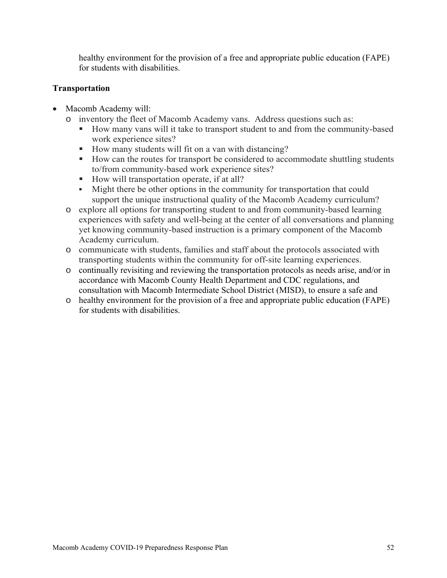healthy environment for the provision of a free and appropriate public education (FAPE) for students with disabilities.

## **Transportation**

- Macomb Academy will:
	- o inventory the fleet of Macomb Academy vans. Address questions such as:
		- How many vans will it take to transport student to and from the community-based work experience sites?
		- How many students will fit on a van with distancing?
		- How can the routes for transport be considered to accommodate shuttling students to/from community-based work experience sites?
		- How will transportation operate, if at all?
		- Might there be other options in the community for transportation that could support the unique instructional quality of the Macomb Academy curriculum?
	- o explore all options for transporting student to and from community-based learning experiences with safety and well-being at the center of all conversations and planning yet knowing community-based instruction is a primary component of the Macomb Academy curriculum.
	- o communicate with students, families and staff about the protocols associated with transporting students within the community for off-site learning experiences.
	- o continually revisiting and reviewing the transportation protocols as needs arise, and/or in accordance with Macomb County Health Department and CDC regulations, and consultation with Macomb Intermediate School District (MISD), to ensure a safe and
	- o healthy environment for the provision of a free and appropriate public education (FAPE) for students with disabilities.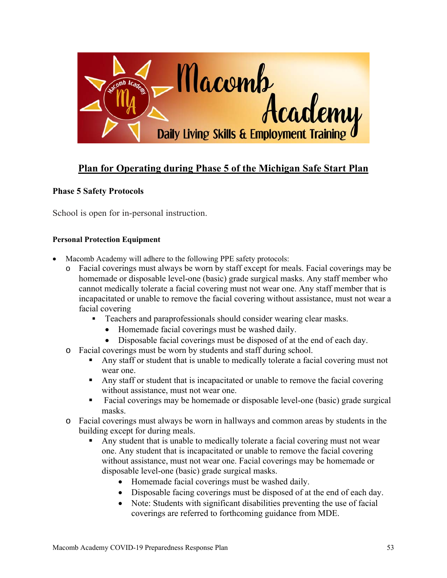

# **Plan for Operating during Phase 5 of the Michigan Safe Start Plan**

## **Phase 5 Safety Protocols**

School is open for in-personal instruction.

#### **Personal Protection Equipment**

- Macomb Academy will adhere to the following PPE safety protocols:
	- o Facial coverings must always be worn by staff except for meals. Facial coverings may be homemade or disposable level-one (basic) grade surgical masks. Any staff member who cannot medically tolerate a facial covering must not wear one. Any staff member that is incapacitated or unable to remove the facial covering without assistance, must not wear a facial covering
		- **Teachers and paraprofessionals should consider wearing clear masks.** 
			- Homemade facial coverings must be washed daily.
			- Disposable facial coverings must be disposed of at the end of each day.
	- o Facial coverings must be worn by students and staff during school.
		- Any staff or student that is unable to medically tolerate a facial covering must not wear one.
		- Any staff or student that is incapacitated or unable to remove the facial covering without assistance, must not wear one.
		- Facial coverings may be homemade or disposable level-one (basic) grade surgical masks.
	- o Facial coverings must always be worn in hallways and common areas by students in the building except for during meals.
		- Any student that is unable to medically tolerate a facial covering must not wear one. Any student that is incapacitated or unable to remove the facial covering without assistance, must not wear one. Facial coverings may be homemade or disposable level-one (basic) grade surgical masks.
			- Homemade facial coverings must be washed daily.
			- Disposable facing coverings must be disposed of at the end of each day.
			- Note: Students with significant disabilities preventing the use of facial coverings are referred to forthcoming guidance from MDE.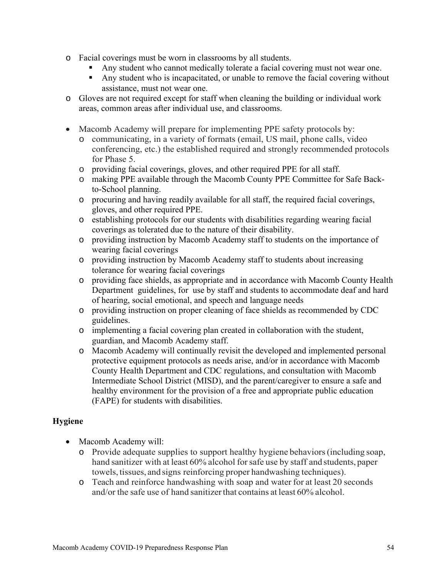- o Facial coverings must be worn in classrooms by all students.
	- Any student who cannot medically tolerate a facial covering must not wear one.
	- Any student who is incapacitated, or unable to remove the facial covering without assistance, must not wear one.
- o Gloves are not required except for staff when cleaning the building or individual work areas, common areas after individual use, and classrooms.
- Macomb Academy will prepare for implementing PPE safety protocols by:
	- o communicating, in a variety of formats (email, US mail, phone calls, video conferencing, etc.) the established required and strongly recommended protocols for Phase 5.
	- o providing facial coverings, gloves, and other required PPE for all staff.
	- o making PPE available through the Macomb County PPE Committee for Safe Backto-School planning.
	- o procuring and having readily available for all staff, the required facial coverings, gloves, and other required PPE.
	- o establishing protocols for our students with disabilities regarding wearing facial coverings as tolerated due to the nature of their disability.
	- o providing instruction by Macomb Academy staff to students on the importance of wearing facial coverings
	- o providing instruction by Macomb Academy staff to students about increasing tolerance for wearing facial coverings
	- o providing face shields, as appropriate and in accordance with Macomb County Health Department guidelines, for use by staff and students to accommodate deaf and hard of hearing, social emotional, and speech and language needs
	- o providing instruction on proper cleaning of face shields as recommended by CDC guidelines.
	- o implementing a facial covering plan created in collaboration with the student, guardian, and Macomb Academy staff.
	- o Macomb Academy will continually revisit the developed and implemented personal protective equipment protocols as needs arise, and/or in accordance with Macomb County Health Department and CDC regulations, and consultation with Macomb Intermediate School District (MISD), and the parent/caregiver to ensure a safe and healthy environment for the provision of a free and appropriate public education (FAPE) for students with disabilities.

## **Hygiene**

- Macomb Academy will:
	- o Provide adequate supplies to support healthy hygiene behaviors (including soap, hand sanitizer with at least 60% alcohol for safe use by staff and students, paper towels, tissues, and signs reinforcing proper handwashing techniques).
	- o Teach and reinforce handwashing with soap and water for at least 20 seconds and/or the safe use of hand sanitizer that contains at least 60% alcohol.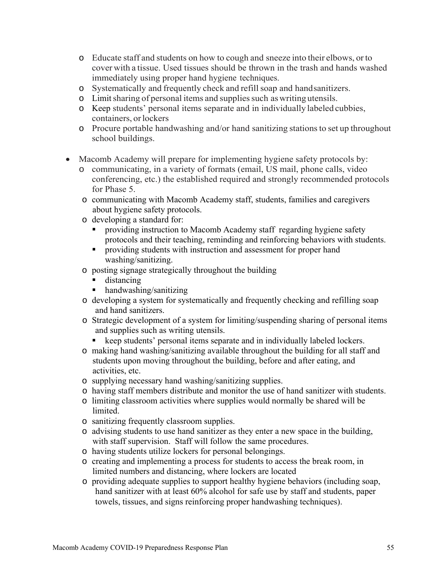- o Educate staff and students on how to cough and sneeze into their elbows, or to cover with a tissue. Used tissues should be thrown in the trash and hands washed immediately using proper hand hygiene techniques.
- o Systematically and frequently check and refill soap and hand sanitizers.
- o Limit sharing of personal items and supplies such as writing utensils.
- o Keep students' personal items separate and in individually labeled cubbies, containers, or lockers
- o Procure portable handwashing and/or hand sanitizing stations to set up throughout school buildings.
- Macomb Academy will prepare for implementing hygiene safety protocols by:
	- o communicating, in a variety of formats (email, US mail, phone calls, video conferencing, etc.) the established required and strongly recommended protocols for Phase 5.
	- o communicating with Macomb Academy staff, students, families and caregivers about hygiene safety protocols.
	- o developing a standard for:
		- providing instruction to Macomb Academy staff regarding hygiene safety protocols and their teaching, reminding and reinforcing behaviors with students.
		- **Peroviding students with instruction and assessment for proper hand** washing/sanitizing.
	- o posting signage strategically throughout the building
		- **distancing**
		- handwashing/sanitizing
	- o developing a system for systematically and frequently checking and refilling soap and hand sanitizers.
	- o Strategic development of a system for limiting/suspending sharing of personal items and supplies such as writing utensils.
		- keep students' personal items separate and in individually labeled lockers.
	- o making hand washing/sanitizing available throughout the building for all staff and students upon moving throughout the building, before and after eating, and activities, etc.
	- o supplying necessary hand washing/sanitizing supplies.
	- o having staff members distribute and monitor the use of hand sanitizer with students.
	- o limiting classroom activities where supplies would normally be shared will be limited.
	- o sanitizing frequently classroom supplies.
	- o advising students to use hand sanitizer as they enter a new space in the building, with staff supervision. Staff will follow the same procedures.
	- o having students utilize lockers for personal belongings.
	- o creating and implementing a process for students to access the break room, in limited numbers and distancing, where lockers are located
	- o providing adequate supplies to support healthy hygiene behaviors (including soap, hand sanitizer with at least 60% alcohol for safe use by staff and students, paper towels, tissues, and signs reinforcing proper handwashing techniques).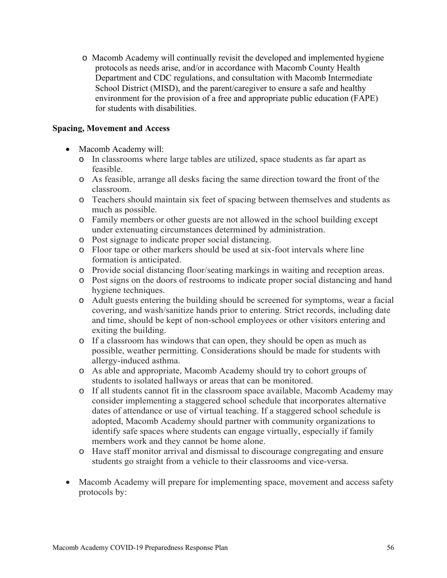o Macomb Academy will continually revisit the developed and implemented hygiene protocols as needs arise, and/or in accordance with Macomb County Health Department and CDC regulations, and consultation with Macomb Intermediate School District (MISD), and the parent/caregiver to ensure a safe and healthy environment for the provision of a free and appropriate public education (FAPE) for students with disabilities.

#### **Spacing, Movement and Access**

- Macomb Academy will:
	- o In classrooms where large tables are utilized, space students as far apart as feasible.
	- o As feasible, arrange all desks facing the same direction toward the front of the classroom.
	- o Teachers should maintain six feet of spacing between themselves and students as much as possible.
	- o Family members or other guests are not allowed in the school building except under extenuating circumstances determined by administration.
	- o Post signage to indicate proper social distancing.
	- o Floor tape or other markers should be used at six-foot intervals where line formation is anticipated.
	- o Provide social distancing floor/seating markings in waiting and reception areas.
	- o Post signs on the doors of restrooms to indicate proper social distancing and hand hygiene techniques.
	- o Adult guests entering the building should be screened for symptoms, wear a facial covering, and wash/sanitize hands prior to entering. Strict records, including date and time, should be kept of non-school employees or other visitors entering and exiting the building.
	- o If a classroom has windows that can open, they should be open as much as possible, weather permitting. Considerations should be made for students with allergy-induced asthma.
	- o As able and appropriate, Macomb Academy should try to cohort groups of students to isolated hallways or areas that can be monitored.
	- o If all students cannot fit in the classroom space available, Macomb Academy may consider implementing a staggered school schedule that incorporates alternative dates of attendance or use of virtual teaching. If a staggered school schedule is adopted, Macomb Academy should partner with community organizations to identify safe spaces where students can engage virtually, especially if family members work and they cannot be home alone.
	- o Have staff monitor arrival and dismissal to discourage congregating and ensure students go straight from a vehicle to their classrooms and vice-versa.
- Macomb Academy will prepare for implementing space, movement and access safety protocols by: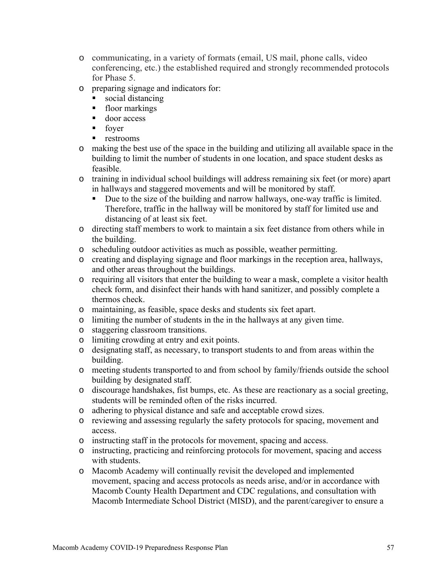- o communicating, in a variety of formats (email, US mail, phone calls, video conferencing, etc.) the established required and strongly recommended protocols for Phase 5.
- o preparing signage and indicators for:
	- social distancing
	- **floor markings**
	- door access
	- **foyer**
	- **restrooms**
- o making the best use of the space in the building and utilizing all available space in the building to limit the number of students in one location, and space student desks as feasible.
- o training in individual school buildings will address remaining six feet (or more) apart in hallways and staggered movements and will be monitored by staff.
	- Due to the size of the building and narrow hallways, one-way traffic is limited. Therefore, traffic in the hallway will be monitored by staff for limited use and distancing of at least six feet.
- o directing staff members to work to maintain a six feet distance from others while in the building.
- o scheduling outdoor activities as much as possible, weather permitting.
- o creating and displaying signage and floor markings in the reception area, hallways, and other areas throughout the buildings.
- o requiring all visitors that enter the building to wear a mask, complete a visitor health check form, and disinfect their hands with hand sanitizer, and possibly complete a thermos check.
- o maintaining, as feasible, space desks and students six feet apart.
- o limiting the number of students in the in the hallways at any given time.
- o staggering classroom transitions.
- o limiting crowding at entry and exit points.
- o designating staff, as necessary, to transport students to and from areas within the building.
- o meeting students transported to and from school by family/friends outside the school building by designated staff.
- o discourage handshakes, fist bumps, etc. As these are reactionary as a social greeting, students will be reminded often of the risks incurred.
- o adhering to physical distance and safe and acceptable crowd sizes.
- o reviewing and assessing regularly the safety protocols for spacing, movement and access.
- o instructing staff in the protocols for movement, spacing and access.
- o instructing, practicing and reinforcing protocols for movement, spacing and access with students.
- o Macomb Academy will continually revisit the developed and implemented movement, spacing and access protocols as needs arise, and/or in accordance with Macomb County Health Department and CDC regulations, and consultation with Macomb Intermediate School District (MISD), and the parent/caregiver to ensure a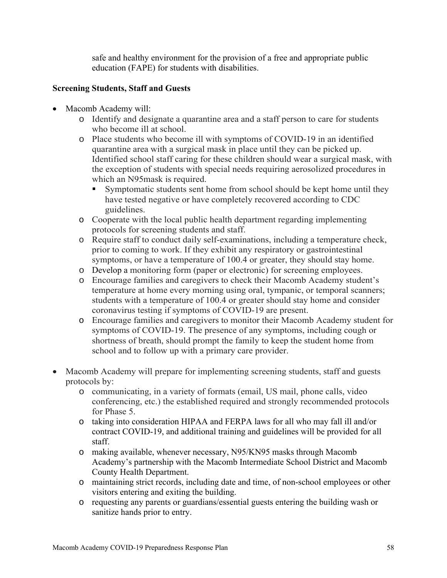safe and healthy environment for the provision of a free and appropriate public education (FAPE) for students with disabilities.

## **Screening Students, Staff and Guests**

- Macomb Academy will:
	- o Identify and designate a quarantine area and a staff person to care for students who become ill at school.
	- o Place students who become ill with symptoms of COVID-19 in an identified quarantine area with a surgical mask in place until they can be picked up. Identified school staff caring for these children should wear a surgical mask, with the exception of students with special needs requiring aerosolized procedures in which an N95mask is required.
		- Symptomatic students sent home from school should be kept home until they have tested negative or have completely recovered according to CDC guidelines.
	- o Cooperate with the local public health department regarding implementing protocols for screening students and staff.
	- o Require staff to conduct daily self-examinations, including a temperature check, prior to coming to work. If they exhibit any respiratory or gastrointestinal symptoms, or have a temperature of 100.4 or greater, they should stay home.
	- o Develop a monitoring form (paper or electronic) for screening employees.
	- o Encourage families and caregivers to check their Macomb Academy student's temperature at home every morning using oral, tympanic, or temporal scanners; students with a temperature of 100.4 or greater should stay home and consider coronavirus testing if symptoms of COVID-19 are present.
	- o Encourage families and caregivers to monitor their Macomb Academy student for symptoms of COVID-19. The presence of any symptoms, including cough or shortness of breath, should prompt the family to keep the student home from school and to follow up with a primary care provider.
- Macomb Academy will prepare for implementing screening students, staff and guests protocols by:
	- o communicating, in a variety of formats (email, US mail, phone calls, video conferencing, etc.) the established required and strongly recommended protocols for Phase 5.
	- o taking into consideration HIPAA and FERPA laws for all who may fall ill and/or contract COVID-19, and additional training and guidelines will be provided for all staff.
	- o making available, whenever necessary, N95/KN95 masks through Macomb Academy's partnership with the Macomb Intermediate School District and Macomb County Health Department.
	- o maintaining strict records, including date and time, of non-school employees or other visitors entering and exiting the building.
	- o requesting any parents or guardians/essential guests entering the building wash or sanitize hands prior to entry.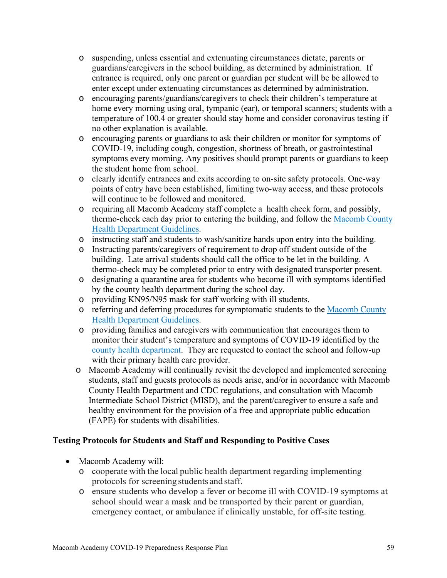- o suspending, unless essential and extenuating circumstances dictate, parents or guardians/caregivers in the school building, as determined by administration. If entrance is required, only one parent or guardian per student will be be allowed to enter except under extenuating circumstances as determined by administration.
- o encouraging parents/guardians/caregivers to check their children's temperature at home every morning using oral, tympanic (ear), or temporal scanners; students with a temperature of 100.4 or greater should stay home and consider coronavirus testing if no other explanation is available.
- o encouraging parents or guardians to ask their children or monitor for symptoms of COVID-19, including cough, congestion, shortness of breath, or gastrointestinal symptoms every morning. Any positives should prompt parents or guardians to keep the student home from school.
- o clearly identify entrances and exits according to on-site safety protocols. One-way points of entry have been established, limiting two-way access, and these protocols will continue to be followed and monitored.
- o requiring all Macomb Academy staff complete a health check form, and possibly, thermo-check each day prior to entering the building, and follow the Macomb County Health Department Guidelines.
- o instructing staff and students to wash/sanitize hands upon entry into the building.
- o Instructing parents/caregivers of requirement to drop off student outside of the building. Late arrival students should call the office to be let in the building. A thermo-check may be completed prior to entry with designated transporter present.
- o designating a quarantine area for students who become ill with symptoms identified by the county health department during the school day.
- o providing KN95/N95 mask for staff working with ill students.
- o referring and deferring procedures for symptomatic students to the Macomb County Health Department Guidelines.
- o providing families and caregivers with communication that encourages them to monitor their student's temperature and symptoms of COVID-19 identified by the county health department. They are requested to contact the school and follow-up with their primary health care provider.
- o Macomb Academy will continually revisit the developed and implemented screening students, staff and guests protocols as needs arise, and/or in accordance with Macomb County Health Department and CDC regulations, and consultation with Macomb Intermediate School District (MISD), and the parent/caregiver to ensure a safe and healthy environment for the provision of a free and appropriate public education (FAPE) for students with disabilities.

## **Testing Protocols for Students and Staff and Responding to Positive Cases**

- Macomb Academy will:
	- o cooperate with the local public health department regarding implementing protocols for screening students and staff.
	- o ensure students who develop a fever or become ill with COVID-19 symptoms at school should wear a mask and be transported by their parent or guardian, emergency contact, or ambulance if clinically unstable, for off-site testing.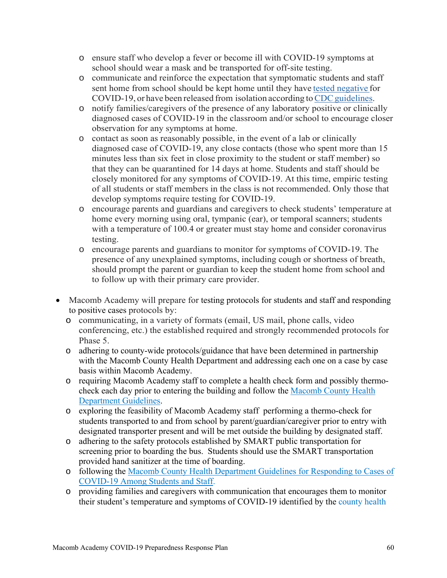- o ensure staff who develop a fever or become ill with COVID-19 symptoms at school should wear a mask and be transported for off-site testing.
- o communicate and reinforce the expectation that symptomatic students and staff sent home from school should be kept home until they have tested negative for COVID-19, or have been released from isolation according to CDC guidelines.
- o notify families/caregivers of the presence of any laboratory positive or clinically diagnosed cases of COVID-19 in the classroom and/or school to encourage closer observation for any symptoms at home.
- o contact as soon as reasonably possible, in the event of a lab or clinically diagnosed case of COVID-19, any close contacts (those who spent more than 15 minutes less than six feet in close proximity to the student or staff member) so that they can be quarantined for 14 days at home. Students and staff should be closely monitored for any symptoms of COVID-19. At this time, empiric testing of all students or staff members in the class is not recommended. Only those that develop symptoms require testing for COVID-19.
- o encourage parents and guardians and caregivers to check students' temperature at home every morning using oral, tympanic (ear), or temporal scanners; students with a temperature of 100.4 or greater must stay home and consider coronavirus testing.
- o encourage parents and guardians to monitor for symptoms of COVID-19. The presence of any unexplained symptoms, including cough or shortness of breath, should prompt the parent or guardian to keep the student home from school and to follow up with their primary care provider.
- Macomb Academy will prepare for testing protocols for students and staff and responding to positive cases protocols by:
	- o communicating, in a variety of formats (email, US mail, phone calls, video conferencing, etc.) the established required and strongly recommended protocols for Phase 5.
	- o adhering to county-wide protocols/guidance that have been determined in partnership with the Macomb County Health Department and addressing each one on a case by case basis within Macomb Academy.
	- o requiring Macomb Academy staff to complete a health check form and possibly thermocheck each day prior to entering the building and follow the Macomb County Health Department Guidelines.
	- o exploring the feasibility of Macomb Academy staff performing a thermo-check for students transported to and from school by parent/guardian/caregiver prior to entry with designated transporter present and will be met outside the building by designated staff.
	- o adhering to the safety protocols established by SMART public transportation for screening prior to boarding the bus. Students should use the SMART transportation provided hand sanitizer at the time of boarding.
	- o following the Macomb County Health Department Guidelines for Responding to Cases of COVID-19 Among Students and Staff.
	- o providing families and caregivers with communication that encourages them to monitor their student's temperature and symptoms of COVID-19 identified by the county health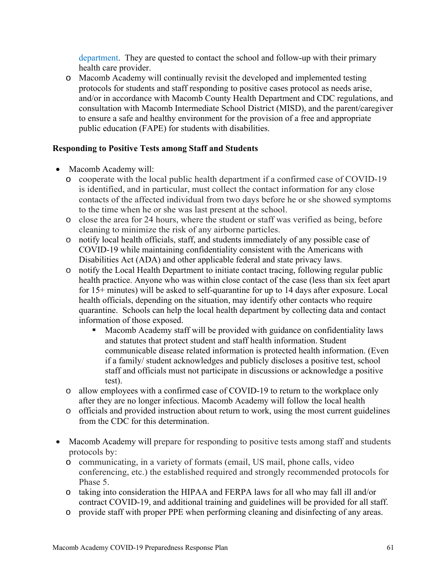department. They are quested to contact the school and follow-up with their primary health care provider.

o Macomb Academy will continually revisit the developed and implemented testing protocols for students and staff responding to positive cases protocol as needs arise, and/or in accordance with Macomb County Health Department and CDC regulations, and consultation with Macomb Intermediate School District (MISD), and the parent/caregiver to ensure a safe and healthy environment for the provision of a free and appropriate public education (FAPE) for students with disabilities.

## **Responding to Positive Tests among Staff and Students**

- Macomb Academy will:
	- o cooperate with the local public health department if a confirmed case of COVID-19 is identified, and in particular, must collect the contact information for any close contacts of the affected individual from two days before he or she showed symptoms to the time when he or she was last present at the school.
	- o close the area for 24 hours, where the student or staff was verified as being, before cleaning to minimize the risk of any airborne particles.
	- o notify local health officials, staff, and students immediately of any possible case of COVID-19 while maintaining confidentiality consistent with the Americans with Disabilities Act (ADA) and other applicable federal and state privacy laws.
	- o notify the Local Health Department to initiate contact tracing, following regular public health practice. Anyone who was within close contact of the case (less than six feet apart for 15+ minutes) will be asked to self-quarantine for up to 14 days after exposure. Local health officials, depending on the situation, may identify other contacts who require quarantine. Schools can help the local health department by collecting data and contact information of those exposed.
		- Macomb Academy staff will be provided with guidance on confidentiality laws and statutes that protect student and staff health information. Student communicable disease related information is protected health information. (Even if a family/ student acknowledges and publicly discloses a positive test, school staff and officials must not participate in discussions or acknowledge a positive test).
	- o allow employees with a confirmed case of COVID-19 to return to the workplace only after they are no longer infectious. Macomb Academy will follow the local health
	- o officials and provided instruction about return to work, using the most current guidelines from the CDC for this determination.
- Macomb Academy will prepare for responding to positive tests among staff and students protocols by:
	- o communicating, in a variety of formats (email, US mail, phone calls, video conferencing, etc.) the established required and strongly recommended protocols for Phase 5.
	- o taking into consideration the HIPAA and FERPA laws for all who may fall ill and/or contract COVID-19, and additional training and guidelines will be provided for all staff.
	- o provide staff with proper PPE when performing cleaning and disinfecting of any areas.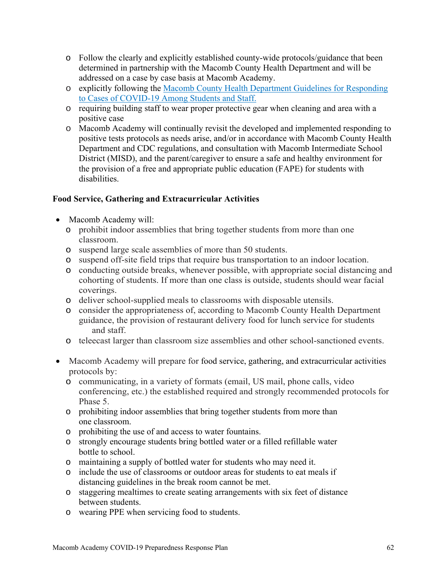- o Follow the clearly and explicitly established county-wide protocols/guidance that been determined in partnership with the Macomb County Health Department and will be addressed on a case by case basis at Macomb Academy.
- o explicitly following the Macomb County Health Department Guidelines for Responding to Cases of COVID-19 Among Students and Staff.
- o requiring building staff to wear proper protective gear when cleaning and area with a positive case
- o Macomb Academy will continually revisit the developed and implemented responding to positive tests protocols as needs arise, and/or in accordance with Macomb County Health Department and CDC regulations, and consultation with Macomb Intermediate School District (MISD), and the parent/caregiver to ensure a safe and healthy environment for the provision of a free and appropriate public education (FAPE) for students with disabilities.

# **Food Service, Gathering and Extracurricular Activities**

- Macomb Academy will:
	- o prohibit indoor assemblies that bring together students from more than one classroom.
	- o suspend large scale assemblies of more than 50 students.
	- o suspend off-site field trips that require bus transportation to an indoor location.
	- o conducting outside breaks, whenever possible, with appropriate social distancing and cohorting of students. If more than one class is outside, students should wear facial coverings.
	- o deliver school-supplied meals to classrooms with disposable utensils.
	- o consider the appropriateness of, according to Macomb County Health Department guidance, the provision of restaurant delivery food for lunch service for students and staff.
	- o teleecast larger than classroom size assemblies and other school-sanctioned events.
- Macomb Academy will prepare for food service, gathering, and extracurricular activities protocols by:
	- o communicating, in a variety of formats (email, US mail, phone calls, video conferencing, etc.) the established required and strongly recommended protocols for Phase 5.
	- o prohibiting indoor assemblies that bring together students from more than one classroom.
	- o prohibiting the use of and access to water fountains.
	- o strongly encourage students bring bottled water or a filled refillable water bottle to school.
	- o maintaining a supply of bottled water for students who may need it.
	- o include the use of classrooms or outdoor areas for students to eat meals if distancing guidelines in the break room cannot be met.
	- o staggering mealtimes to create seating arrangements with six feet of distance between students.
	- o wearing PPE when servicing food to students.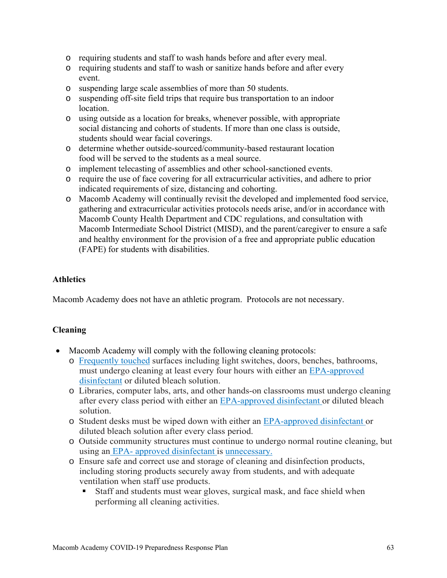- o requiring students and staff to wash hands before and after every meal.
- o requiring students and staff to wash or sanitize hands before and after every event.
- o suspending large scale assemblies of more than 50 students.
- o suspending off-site field trips that require bus transportation to an indoor location.
- o using outside as a location for breaks, whenever possible, with appropriate social distancing and cohorts of students. If more than one class is outside, students should wear facial coverings.
- o determine whether outside-sourced/community-based restaurant location food will be served to the students as a meal source.
- o implement telecasting of assemblies and other school-sanctioned events.
- o require the use of face covering for all extracurricular activities, and adhere to prior indicated requirements of size, distancing and cohorting.
- o Macomb Academy will continually revisit the developed and implemented food service, gathering and extracurricular activities protocols needs arise, and/or in accordance with Macomb County Health Department and CDC regulations, and consultation with Macomb Intermediate School District (MISD), and the parent/caregiver to ensure a safe and healthy environment for the provision of a free and appropriate public education (FAPE) for students with disabilities.

#### **Athletics**

Macomb Academy does not have an athletic program. Protocols are not necessary.

#### **Cleaning**

- Macomb Academy will comply with the following cleaning protocols:
	- o Frequently touched surfaces including light switches, doors, benches, bathrooms, must undergo cleaning at least every four hours with either an EPA-approved disinfectant or diluted bleach solution.
	- o Libraries, computer labs, arts, and other hands-on classrooms must undergo cleaning after every class period with either an EPA-approved disinfectant or diluted bleach solution.
	- o Student desks must be wiped down with either an EPA-approved disinfectant or diluted bleach solution after every class period.
	- o Outside community structures must continue to undergo normal routine cleaning, but using an EPA- approved disinfectant is unnecessary.
	- o Ensure safe and correct use and storage of cleaning and disinfection products, including storing products securely away from students, and with adequate ventilation when staff use products.
		- Staff and students must wear gloves, surgical mask, and face shield when performing all cleaning activities.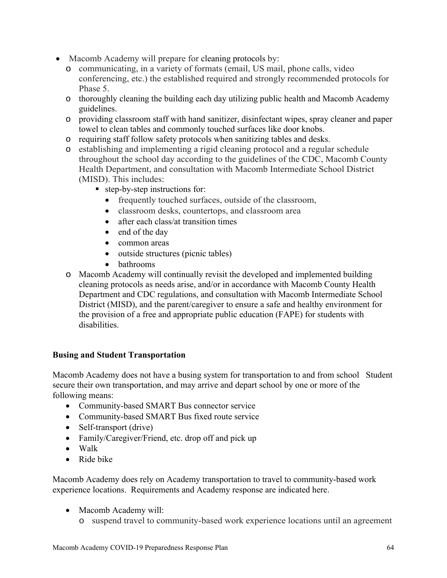- Macomb Academy will prepare for cleaning protocols by:
	- o communicating, in a variety of formats (email, US mail, phone calls, video conferencing, etc.) the established required and strongly recommended protocols for Phase 5.
	- o thoroughly cleaning the building each day utilizing public health and Macomb Academy guidelines.
	- o providing classroom staff with hand sanitizer, disinfectant wipes, spray cleaner and paper towel to clean tables and commonly touched surfaces like door knobs.
	- o requiring staff follow safety protocols when sanitizing tables and desks.
	- o establishing and implementing a rigid cleaning protocol and a regular schedule throughout the school day according to the guidelines of the CDC, Macomb County Health Department, and consultation with Macomb Intermediate School District (MISD). This includes:
		- step-by-step instructions for:
			- frequently touched surfaces, outside of the classroom,
			- classroom desks, countertops, and classroom area
			- after each class/at transition times
			- end of the day
			- common areas
			- outside structures (picnic tables)
			- bathrooms
	- o Macomb Academy will continually revisit the developed and implemented building cleaning protocols as needs arise, and/or in accordance with Macomb County Health Department and CDC regulations, and consultation with Macomb Intermediate School District (MISD), and the parent/caregiver to ensure a safe and healthy environment for the provision of a free and appropriate public education (FAPE) for students with disabilities.

#### **Busing and Student Transportation**

Macomb Academy does not have a busing system for transportation to and from school Student secure their own transportation, and may arrive and depart school by one or more of the following means:

- Community-based SMART Bus connector service
- Community-based SMART Bus fixed route service
- Self-transport (drive)
- Family/Caregiver/Friend, etc. drop off and pick up
- Walk
- Ride bike

Macomb Academy does rely on Academy transportation to travel to community-based work experience locations. Requirements and Academy response are indicated here.

- Macomb Academy will:
	- o suspend travel to community-based work experience locations until an agreement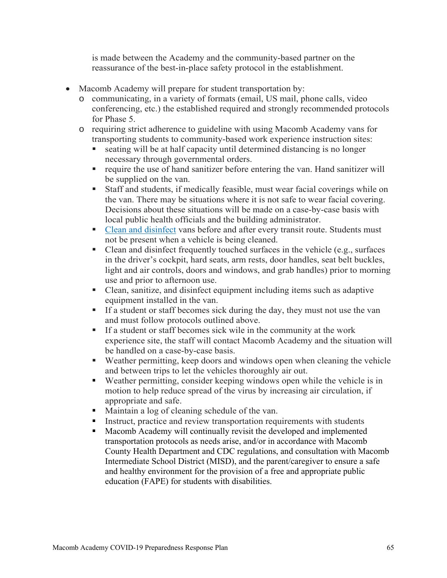is made between the Academy and the community-based partner on the reassurance of the best-in-place safety protocol in the establishment.

- Macomb Academy will prepare for student transportation by:
	- o communicating, in a variety of formats (email, US mail, phone calls, video conferencing, etc.) the established required and strongly recommended protocols for Phase 5.
	- o requiring strict adherence to guideline with using Macomb Academy vans for transporting students to community-based work experience instruction sites:
		- seating will be at half capacity until determined distancing is no longer necessary through governmental orders.
		- require the use of hand sanitizer before entering the van. Hand sanitizer will be supplied on the van.
		- Staff and students, if medically feasible, must wear facial coverings while on the van. There may be situations where it is not safe to wear facial covering. Decisions about these situations will be made on a case-by-case basis with local public health officials and the building administrator.
		- Clean and disinfect vans before and after every transit route. Students must not be present when a vehicle is being cleaned.
		- Clean and disinfect frequently touched surfaces in the vehicle (e.g., surfaces in the driver's cockpit, hard seats, arm rests, door handles, seat belt buckles, light and air controls, doors and windows, and grab handles) prior to morning use and prior to afternoon use.
		- Clean, sanitize, and disinfect equipment including items such as adaptive equipment installed in the van.
		- If a student or staff becomes sick during the day, they must not use the van and must follow protocols outlined above.
		- If a student or staff becomes sick wile in the community at the work experience site, the staff will contact Macomb Academy and the situation will be handled on a case-by-case basis.
		- Weather permitting, keep doors and windows open when cleaning the vehicle and between trips to let the vehicles thoroughly air out.
		- Weather permitting, consider keeping windows open while the vehicle is in motion to help reduce spread of the virus by increasing air circulation, if appropriate and safe.
		- Maintain a log of cleaning schedule of the van.<br>Instruct practice and review transportation requ
		- Instruct, practice and review transportation requirements with students
		- Macomb Academy will continually revisit the developed and implemented transportation protocols as needs arise, and/or in accordance with Macomb County Health Department and CDC regulations, and consultation with Macomb Intermediate School District (MISD), and the parent/caregiver to ensure a safe and healthy environment for the provision of a free and appropriate public education (FAPE) for students with disabilities.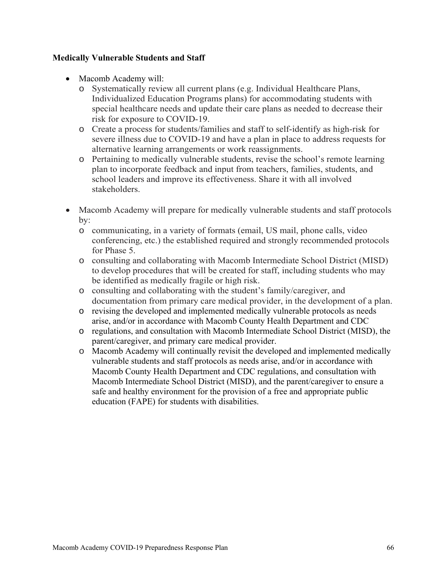#### **Medically Vulnerable Students and Staff**

- Macomb Academy will:
	- o Systematically review all current plans (e.g. Individual Healthcare Plans, Individualized Education Programs plans) for accommodating students with special healthcare needs and update their care plans as needed to decrease their risk for exposure to COVID-19.
	- o Create a process for students/families and staff to self-identify as high-risk for severe illness due to COVID-19 and have a plan in place to address requests for alternative learning arrangements or work reassignments.
	- o Pertaining to medically vulnerable students, revise the school's remote learning plan to incorporate feedback and input from teachers, families, students, and school leaders and improve its effectiveness. Share it with all involved stakeholders.
- Macomb Academy will prepare for medically vulnerable students and staff protocols by:
	- o communicating, in a variety of formats (email, US mail, phone calls, video conferencing, etc.) the established required and strongly recommended protocols for Phase 5.
	- o consulting and collaborating with Macomb Intermediate School District (MISD) to develop procedures that will be created for staff, including students who may be identified as medically fragile or high risk.
	- o consulting and collaborating with the student's family/caregiver, and documentation from primary care medical provider, in the development of a plan.
	- o revising the developed and implemented medically vulnerable protocols as needs arise, and/or in accordance with Macomb County Health Department and CDC
	- o regulations, and consultation with Macomb Intermediate School District (MISD), the parent/caregiver, and primary care medical provider.
	- o Macomb Academy will continually revisit the developed and implemented medically vulnerable students and staff protocols as needs arise, and/or in accordance with Macomb County Health Department and CDC regulations, and consultation with Macomb Intermediate School District (MISD), and the parent/caregiver to ensure a safe and healthy environment for the provision of a free and appropriate public education (FAPE) for students with disabilities.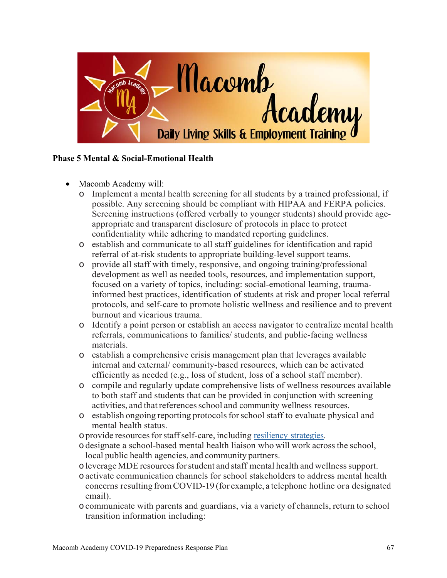

## **Phase 5 Mental & Social-Emotional Health**

- Macomb Academy will:
	- o Implement a mental health screening for all students by a trained professional, if possible. Any screening should be compliant with HIPAA and FERPA policies. Screening instructions (offered verbally to younger students) should provide ageappropriate and transparent disclosure of protocols in place to protect confidentiality while adhering to mandated reporting guidelines.
	- o establish and communicate to all staff guidelines for identification and rapid referral of at-risk students to appropriate building-level support teams.
	- o provide all staff with timely, responsive, and ongoing training/professional development as well as needed tools, resources, and implementation support, focused on a variety of topics, including: social-emotional learning, traumainformed best practices, identification of students at risk and proper local referral protocols, and self-care to promote holistic wellness and resilience and to prevent burnout and vicarious trauma.
	- o Identify a point person or establish an access navigator to centralize mental health referrals, communications to families/ students, and public-facing wellness materials.
	- o establish a comprehensive crisis management plan that leverages available internal and external/ community-based resources, which can be activated efficiently as needed (e.g., loss of student, loss of a school staff member).
	- o compile and regularly update comprehensive lists of wellness resources available to both staff and students that can be provided in conjunction with screening activities, and that references school and community wellness resources.
	- o establish ongoing reporting protocols for school staff to evaluate physical and mental health status.
	- oprovide resources for staff self-care, including resiliency strategies.
	- odesignate a school-based mental health liaison who will work across the school, local public health agencies, and community partners.
	- oleverage MDE resources for student and staff mental health and wellness support.
	- oactivate communication channels for school stakeholders to address mental health concerns resulting from COVID-19 (for example, a telephone hotline or a designated email).
	- ocommunicate with parents and guardians, via a variety of channels, return to school transition information including: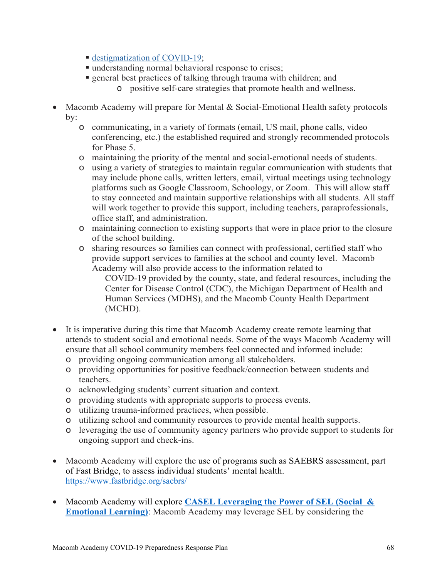- destigmatization of COVID-19;
- understanding normal behavioral response to crises;
- general best practices of talking through trauma with children; and
	- o positive self-care strategies that promote health and wellness.
- Macomb Academy will prepare for Mental & Social-Emotional Health safety protocols by:
	- o communicating, in a variety of formats (email, US mail, phone calls, video conferencing, etc.) the established required and strongly recommended protocols for Phase 5.
	- o maintaining the priority of the mental and social-emotional needs of students.
	- o using a variety of strategies to maintain regular communication with students that may include phone calls, written letters, email, virtual meetings using technology platforms such as Google Classroom, Schoology, or Zoom. This will allow staff to stay connected and maintain supportive relationships with all students. All staff will work together to provide this support, including teachers, paraprofessionals, office staff, and administration.
	- o maintaining connection to existing supports that were in place prior to the closure of the school building.
	- o sharing resources so families can connect with professional, certified staff who provide support services to families at the school and county level. Macomb Academy will also provide access to the information related to

COVID-19 provided by the county, state, and federal resources, including the Center for Disease Control (CDC), the Michigan Department of Health and Human Services (MDHS), and the Macomb County Health Department (MCHD).

- It is imperative during this time that Macomb Academy create remote learning that attends to student social and emotional needs. Some of the ways Macomb Academy will ensure that all school community members feel connected and informed include:
	- o providing ongoing communication among all stakeholders.
	- o providing opportunities for positive feedback/connection between students and teachers.
	- o acknowledging students' current situation and context.
	- o providing students with appropriate supports to process events.
	- o utilizing trauma-informed practices, when possible.
	- o utilizing school and community resources to provide mental health supports.
	- o leveraging the use of community agency partners who provide support to students for ongoing support and check-ins.
- Macomb Academy will explore the use of programs such as SAEBRS assessment, part of Fast Bridge, to assess individual students' mental health. https://www.fastbridge.org/saebrs/
- Macomb Academy will explore **CASEL Leveraging the Power of SEL (Social & Emotional Learning)**: Macomb Academy may leverage SEL by considering the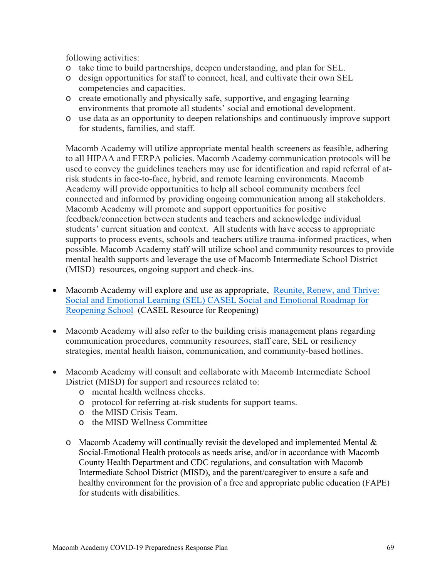following activities:

- o take time to build partnerships, deepen understanding, and plan for SEL.
- o design opportunities for staff to connect, heal, and cultivate their own SEL competencies and capacities.
- o create emotionally and physically safe, supportive, and engaging learning environments that promote all students' social and emotional development.
- o use data as an opportunity to deepen relationships and continuously improve support for students, families, and staff.

Macomb Academy will utilize appropriate mental health screeners as feasible, adhering to all HIPAA and FERPA policies. Macomb Academy communication protocols will be used to convey the guidelines teachers may use for identification and rapid referral of atrisk students in face-to-face, hybrid, and remote learning environments. Macomb Academy will provide opportunities to help all school community members feel connected and informed by providing ongoing communication among all stakeholders. Macomb Academy will promote and support opportunities for positive feedback/connection between students and teachers and acknowledge individual students' current situation and context. All students with have access to appropriate supports to process events, schools and teachers utilize trauma-informed practices, when possible. Macomb Academy staff will utilize school and community resources to provide mental health supports and leverage the use of Macomb Intermediate School District (MISD) resources, ongoing support and check-ins.

- Macomb Academy will explore and use as appropriate, Reunite, Renew, and Thrive: Social and Emotional Learning (SEL) CASEL Social and Emotional Roadmap for Reopening School (CASEL Resource for Reopening)
- Macomb Academy will also refer to the building crisis management plans regarding communication procedures, community resources, staff care, SEL or resiliency strategies, mental health liaison, communication, and community-based hotlines.
- Macomb Academy will consult and collaborate with Macomb Intermediate School District (MISD) for support and resources related to:
	- o mental health wellness checks.
	- o protocol for referring at-risk students for support teams.
	- o the MISD Crisis Team.
	- o the MISD Wellness Committee
	- $\circ$  Macomb Academy will continually revisit the developed and implemented Mental & Social-Emotional Health protocols as needs arise, and/or in accordance with Macomb County Health Department and CDC regulations, and consultation with Macomb Intermediate School District (MISD), and the parent/caregiver to ensure a safe and healthy environment for the provision of a free and appropriate public education (FAPE) for students with disabilities.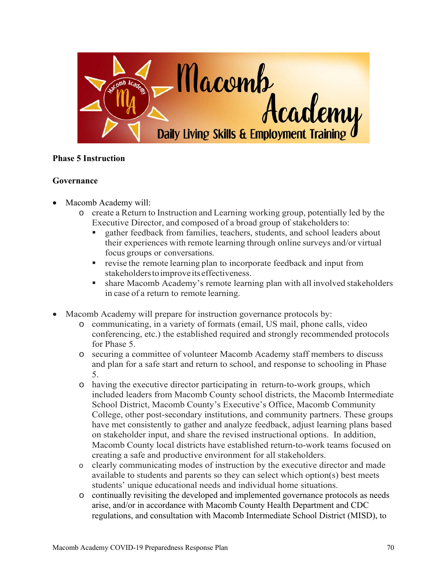

# **Phase 5 Instruction**

# **Governance**

- Macomb Academy will:
	- o create a Return to Instruction and Learning working group, potentially led by the Executive Director, and composed of a broad group of stakeholders to:
		- gather feedback from families, teachers, students, and school leaders about their experiences with remote learning through online surveys and/or virtual focus groups or conversations.
		- **revise the remote learning plan to incorporate feedback and input from** stakeholders to improve its effectiveness.
		- share Macomb Academy's remote learning plan with all involved stakeholders in case of a return to remote learning.
- Macomb Academy will prepare for instruction governance protocols by:
	- o communicating, in a variety of formats (email, US mail, phone calls, video conferencing, etc.) the established required and strongly recommended protocols for Phase 5.
	- o securing a committee of volunteer Macomb Academy staff members to discuss and plan for a safe start and return to school, and response to schooling in Phase 5.
	- o having the executive director participating in return-to-work groups, which included leaders from Macomb County school districts, the Macomb Intermediate School District, Macomb County's Executive's Office, Macomb Community College, other post-secondary institutions, and community partners. These groups have met consistently to gather and analyze feedback, adjust learning plans based on stakeholder input, and share the revised instructional options. In addition, Macomb County local districts have established return-to-work teams focused on creating a safe and productive environment for all stakeholders.
	- o clearly communicating modes of instruction by the executive director and made available to students and parents so they can select which option(s) best meets students' unique educational needs and individual home situations.
	- o continually revisiting the developed and implemented governance protocols as needs arise, and/or in accordance with Macomb County Health Department and CDC regulations, and consultation with Macomb Intermediate School District (MISD), to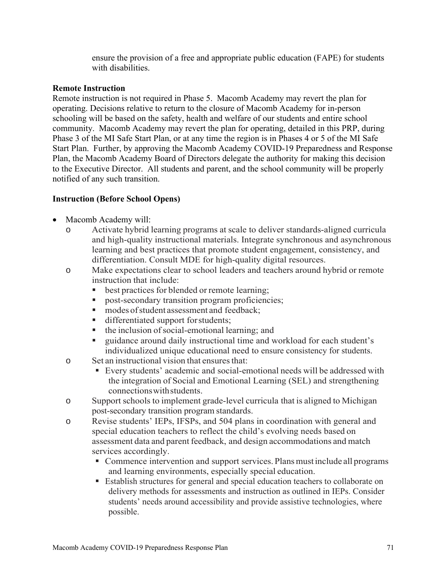ensure the provision of a free and appropriate public education (FAPE) for students with disabilities.

#### **Remote Instruction**

Remote instruction is not required in Phase 5. Macomb Academy may revert the plan for operating. Decisions relative to return to the closure of Macomb Academy for in-person schooling will be based on the safety, health and welfare of our students and entire school community. Macomb Academy may revert the plan for operating, detailed in this PRP, during Phase 3 of the MI Safe Start Plan, or at any time the region is in Phases 4 or 5 of the MI Safe Start Plan. Further, by approving the Macomb Academy COVID-19 Preparedness and Response Plan, the Macomb Academy Board of Directors delegate the authority for making this decision to the Executive Director. All students and parent, and the school community will be properly notified of any such transition.

# **Instruction (Before School Opens)**

- Macomb Academy will:
	- o Activate hybrid learning programs at scale to deliver standards-aligned curricula and high-quality instructional materials. Integrate synchronous and asynchronous learning and best practices that promote student engagement, consistency, and differentiation. Consult MDE for high-quality digital resources.
	- o Make expectations clear to school leaders and teachers around hybrid or remote instruction that include:
		- best practices for blended or remote learning;
		- **post-secondary transition program proficiencies;**
		- modes of student assessment and feedback;<br>■ differentiated support for students:
		- differentiated support for students;
		- $\blacksquare$  the inclusion of social-emotional learning; and
		- guidance around daily instructional time and workload for each student's individualized unique educational need to ensure consistency for students.
	- o Set an instructional vision that ensures that:
		- Every students' academic and social-emotional needs will be addressed with the integration of Social and Emotional Learning (SEL) and strengthening connections with students.
	- o Support schools to implement grade-level curricula that is aligned to Michigan post-secondary transition program standards.
	- o Revise students' IEPs, IFSPs, and 504 plans in coordination with general and special education teachers to reflect the child's evolving needs based on assessment data and parent feedback, and design accommodations and match services accordingly.
		- Commence intervention and support services. Plans must include all programs and learning environments, especially special education.
		- Establish structures for general and special education teachers to collaborate on delivery methods for assessments and instruction as outlined in IEPs. Consider students' needs around accessibility and provide assistive technologies, where possible.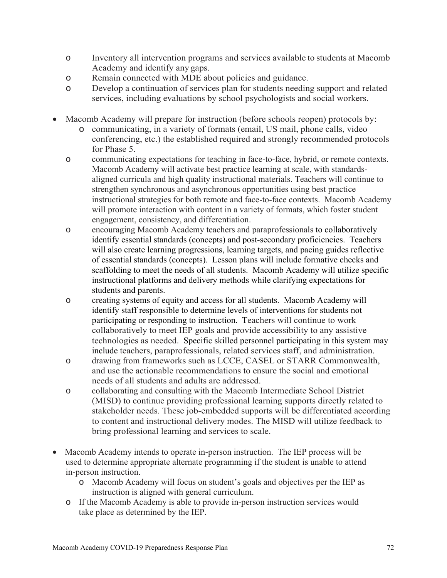- o Inventory all intervention programs and services available to students at Macomb Academy and identify any gaps.
- o Remain connected with MDE about policies and guidance.
- o Develop a continuation of services plan for students needing support and related services, including evaluations by school psychologists and social workers.
- Macomb Academy will prepare for instruction (before schools reopen) protocols by:
	- o communicating, in a variety of formats (email, US mail, phone calls, video conferencing, etc.) the established required and strongly recommended protocols for Phase 5.
	- o communicating expectations for teaching in face-to-face, hybrid, or remote contexts. Macomb Academy will activate best practice learning at scale, with standardsaligned curricula and high quality instructional materials. Teachers will continue to strengthen synchronous and asynchronous opportunities using best practice instructional strategies for both remote and face-to-face contexts. Macomb Academy will promote interaction with content in a variety of formats, which foster student engagement, consistency, and differentiation.
	- o encouraging Macomb Academy teachers and paraprofessionals to collaboratively identify essential standards (concepts) and post-secondary proficiencies. Teachers will also create learning progressions, learning targets, and pacing guides reflective of essential standards (concepts). Lesson plans will include formative checks and scaffolding to meet the needs of all students. Macomb Academy will utilize specific instructional platforms and delivery methods while clarifying expectations for students and parents.
	- o creating systems of equity and access for all students. Macomb Academy will identify staff responsible to determine levels of interventions for students not participating or responding to instruction. Teachers will continue to work collaboratively to meet IEP goals and provide accessibility to any assistive technologies as needed. Specific skilled personnel participating in this system may include teachers, paraprofessionals, related services staff, and administration.
	- o drawing from frameworks such as LCCE, CASEL or STARR Commonwealth, and use the actionable recommendations to ensure the social and emotional needs of all students and adults are addressed.
	- o collaborating and consulting with the Macomb Intermediate School District (MISD) to continue providing professional learning supports directly related to stakeholder needs. These job-embedded supports will be differentiated according to content and instructional delivery modes. The MISD will utilize feedback to bring professional learning and services to scale.
- Macomb Academy intends to operate in-person instruction. The IEP process will be used to determine appropriate alternate programming if the student is unable to attend in-person instruction.
	- o Macomb Academy will focus on student's goals and objectives per the IEP as instruction is aligned with general curriculum.
	- o If the Macomb Academy is able to provide in-person instruction services would take place as determined by the IEP.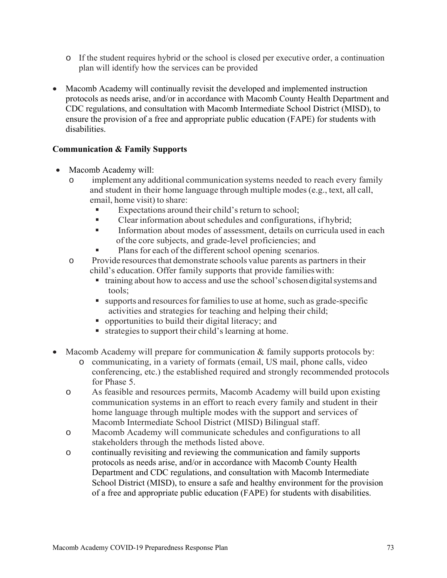- o If the student requires hybrid or the school is closed per executive order, a continuation plan will identify how the services can be provided
- Macomb Academy will continually revisit the developed and implemented instruction protocols as needs arise, and/or in accordance with Macomb County Health Department and CDC regulations, and consultation with Macomb Intermediate School District (MISD), to ensure the provision of a free and appropriate public education (FAPE) for students with disabilities.

# **Communication & Family Supports**

- Macomb Academy will:
	- o implement any additional communication systems needed to reach every family and student in their home language through multiple modes (e.g., text, all call, email, home visit) to share:
		- Expectations around their child's return to school;
		- Clear information about schedules and configurations, if hybrid;
		- Information about modes of assessment, details on curricula used in each of the core subjects, and grade-level proficiencies; and
		- Plans for each of the different school opening scenarios.
	- o Provide resources that demonstrate schools value parents as partners in their child's education. Offer family supports that provide families with:
		- training about how to access and use the school's chosen digital systems and tools;
		- supports and resources for families to use at home, such as grade-specific activities and strategies for teaching and helping their child;
		- opportunities to build their digital literacy; and
		- $\blacksquare$  strategies to support their child's learning at home.
- Macomb Academy will prepare for communication  $&$  family supports protocols by:
	- o communicating, in a variety of formats (email, US mail, phone calls, video conferencing, etc.) the established required and strongly recommended protocols for Phase 5.
	- o As feasible and resources permits, Macomb Academy will build upon existing communication systems in an effort to reach every family and student in their home language through multiple modes with the support and services of Macomb Intermediate School District (MISD) Bilingual staff.
	- o Macomb Academy will communicate schedules and configurations to all stakeholders through the methods listed above.
	- o continually revisiting and reviewing the communication and family supports protocols as needs arise, and/or in accordance with Macomb County Health Department and CDC regulations, and consultation with Macomb Intermediate School District (MISD), to ensure a safe and healthy environment for the provision of a free and appropriate public education (FAPE) for students with disabilities.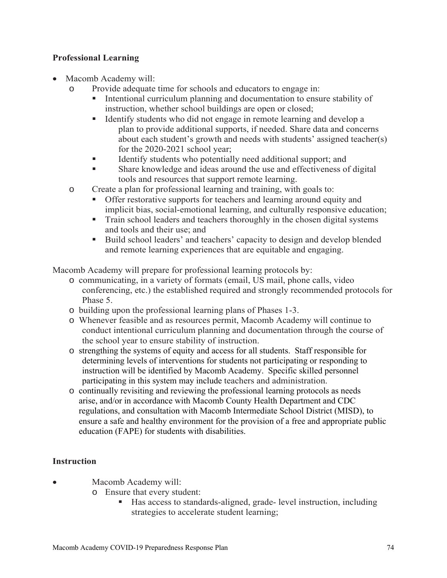# **Professional Learning**

- Macomb Academy will:
	- o Provide adequate time for schools and educators to engage in:
		- Intentional curriculum planning and documentation to ensure stability of instruction, whether school buildings are open or closed;
		- Identify students who did not engage in remote learning and develop a plan to provide additional supports, if needed. Share data and concerns about each student's growth and needs with students' assigned teacher(s) for the 2020-2021 school year;
		- Identify students who potentially need additional support; and
		- Share knowledge and ideas around the use and effectiveness of digital tools and resources that support remote learning.
	- o Create a plan for professional learning and training, with goals to:
		- Offer restorative supports for teachers and learning around equity and implicit bias, social-emotional learning, and culturally responsive education;
		- Train school leaders and teachers thoroughly in the chosen digital systems and tools and their use; and
		- Build school leaders' and teachers' capacity to design and develop blended and remote learning experiences that are equitable and engaging.

Macomb Academy will prepare for professional learning protocols by:

- o communicating, in a variety of formats (email, US mail, phone calls, video conferencing, etc.) the established required and strongly recommended protocols for Phase 5.
- o building upon the professional learning plans of Phases 1-3.
- o Whenever feasible and as resources permit, Macomb Academy will continue to conduct intentional curriculum planning and documentation through the course of the school year to ensure stability of instruction.
- o strengthing the systems of equity and access for all students. Staff responsible for determining levels of interventions for students not participating or responding to instruction will be identified by Macomb Academy. Specific skilled personnel participating in this system may include teachers and administration.
- o continually revisiting and reviewing the professional learning protocols as needs arise, and/or in accordance with Macomb County Health Department and CDC regulations, and consultation with Macomb Intermediate School District (MISD), to ensure a safe and healthy environment for the provision of a free and appropriate public education (FAPE) for students with disabilities.

# **Instruction**

Macomb Academy will:

- o Ensure that every student:
	- Has access to standards-aligned, grade- level instruction, including strategies to accelerate student learning;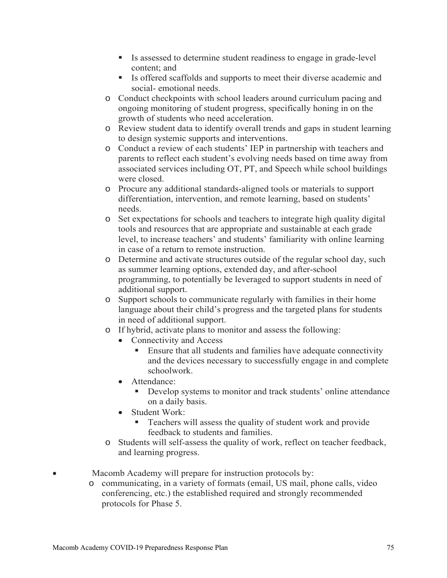- Is assessed to determine student readiness to engage in grade-level content; and
- Is offered scaffolds and supports to meet their diverse academic and social- emotional needs.
- o Conduct checkpoints with school leaders around curriculum pacing and ongoing monitoring of student progress, specifically honing in on the growth of students who need acceleration.
- o Review student data to identify overall trends and gaps in student learning to design systemic supports and interventions.
- o Conduct a review of each students' IEP in partnership with teachers and parents to reflect each student's evolving needs based on time away from associated services including OT, PT, and Speech while school buildings were closed.
- o Procure any additional standards-aligned tools or materials to support differentiation, intervention, and remote learning, based on students' needs.
- o Set expectations for schools and teachers to integrate high quality digital tools and resources that are appropriate and sustainable at each grade level, to increase teachers' and students' familiarity with online learning in case of a return to remote instruction.
- o Determine and activate structures outside of the regular school day, such as summer learning options, extended day, and after-school programming, to potentially be leveraged to support students in need of additional support.
- o Support schools to communicate regularly with families in their home language about their child's progress and the targeted plans for students in need of additional support.
- o If hybrid, activate plans to monitor and assess the following:
	- Connectivity and Access
		- Ensure that all students and families have adequate connectivity and the devices necessary to successfully engage in and complete schoolwork.
	- Attendance:
		- Develop systems to monitor and track students' online attendance on a daily basis.
	- Student Work:
		- Teachers will assess the quality of student work and provide feedback to students and families.
- o Students will self-assess the quality of work, reflect on teacher feedback, and learning progress.
- Macomb Academy will prepare for instruction protocols by:
	- o communicating, in a variety of formats (email, US mail, phone calls, video conferencing, etc.) the established required and strongly recommended protocols for Phase 5.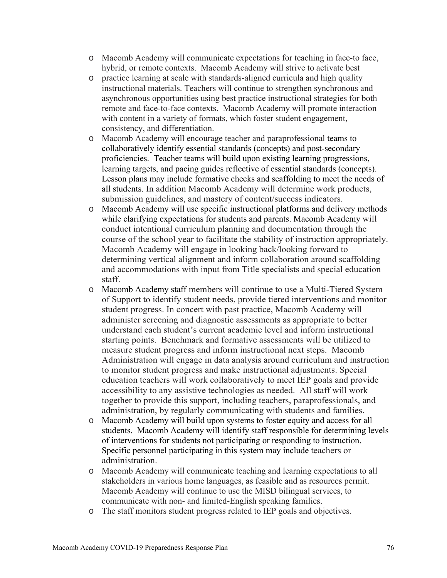- o Macomb Academy will communicate expectations for teaching in face-to face, hybrid, or remote contexts. Macomb Academy will strive to activate best
- o practice learning at scale with standards-aligned curricula and high quality instructional materials. Teachers will continue to strengthen synchronous and asynchronous opportunities using best practice instructional strategies for both remote and face-to-face contexts. Macomb Academy will promote interaction with content in a variety of formats, which foster student engagement, consistency, and differentiation.
- o Macomb Academy will encourage teacher and paraprofessional teams to collaboratively identify essential standards (concepts) and post-secondary proficiencies. Teacher teams will build upon existing learning progressions, learning targets, and pacing guides reflective of essential standards (concepts). Lesson plans may include formative checks and scaffolding to meet the needs of all students. In addition Macomb Academy will determine work products, submission guidelines, and mastery of content/success indicators.
- o Macomb Academy will use specific instructional platforms and delivery methods while clarifying expectations for students and parents. Macomb Academy will conduct intentional curriculum planning and documentation through the course of the school year to facilitate the stability of instruction appropriately. Macomb Academy will engage in looking back/looking forward to determining vertical alignment and inform collaboration around scaffolding and accommodations with input from Title specialists and special education staff.
- o Macomb Academy staff members will continue to use a Multi-Tiered System of Support to identify student needs, provide tiered interventions and monitor student progress. In concert with past practice, Macomb Academy will administer screening and diagnostic assessments as appropriate to better understand each student's current academic level and inform instructional starting points. Benchmark and formative assessments will be utilized to measure student progress and inform instructional next steps. Macomb Administration will engage in data analysis around curriculum and instruction to monitor student progress and make instructional adjustments. Special education teachers will work collaboratively to meet IEP goals and provide accessibility to any assistive technologies as needed. All staff will work together to provide this support, including teachers, paraprofessionals, and administration, by regularly communicating with students and families.
- o Macomb Academy will build upon systems to foster equity and access for all students. Macomb Academy will identify staff responsible for determining levels of interventions for students not participating or responding to instruction. Specific personnel participating in this system may include teachers or administration.
- o Macomb Academy will communicate teaching and learning expectations to all stakeholders in various home languages, as feasible and as resources permit. Macomb Academy will continue to use the MISD bilingual services, to communicate with non- and limited-English speaking families.
- o The staff monitors student progress related to IEP goals and objectives.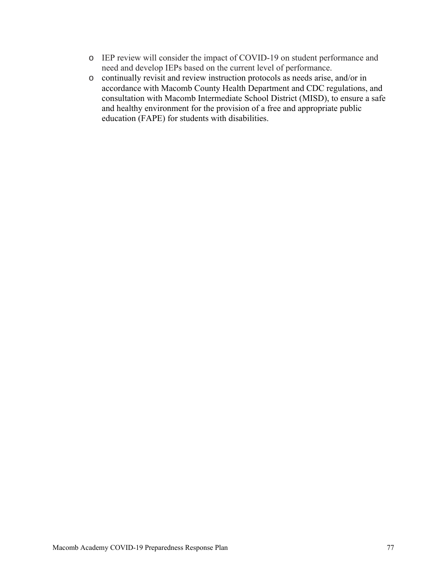- o IEP review will consider the impact of COVID-19 on student performance and need and develop IEPs based on the current level of performance.
- o continually revisit and review instruction protocols as needs arise, and/or in accordance with Macomb County Health Department and CDC regulations, and consultation with Macomb Intermediate School District (MISD), to ensure a safe and healthy environment for the provision of a free and appropriate public education (FAPE) for students with disabilities.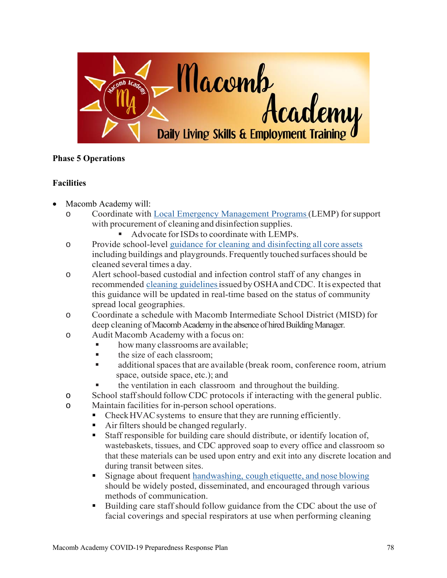

# **Phase 5 Operations**

# **Facilities**

- Macomb Academy will:
	- o Coordinate with Local Emergency Management Programs (LEMP) for support with procurement of cleaning and disinfection supplies.
		- Advocate for ISDs to coordinate with LEMPs.
	- o Provide school-level guidance for cleaning and disinfecting all core assets including buildings and playgrounds. Frequently touched surfaces should be cleaned several times a day.
	- o Alert school-based custodial and infection control staff of any changes in recommended cleaning guidelines issued by OSHA and CDC. It is expected that this guidance will be updated in real-time based on the status of community spread local geographies.
	- o Coordinate a schedule with Macomb Intermediate School District (MISD) for deep cleaning of Macomb Academy in the absence of hired Building Manager.
	- o Audit Macomb Academy with a focus on:
		- **how many classrooms are available;**
		- $\blacksquare$  the size of each classroom:
		- additional spaces that are available (break room, conference room, atrium space, outside space, etc.); and
		- the ventilation in each classroom and throughout the building.
	- o School staff should follow CDC protocols if interacting with the general public.
	- o Maintain facilities for in-person school operations.
		- Check HVAC systems to ensure that they are running efficiently.
		- Air filters should be changed regularly.
		- Staff responsible for building care should distribute, or identify location of, wastebaskets, tissues, and CDC approved soap to every office and classroom so that these materials can be used upon entry and exit into any discrete location and during transit between sites.
		- **Signage about frequent handwashing, cough etiquette, and nose blowing** should be widely posted, disseminated, and encouraged through various methods of communication.
		- Building care staff should follow guidance from the CDC about the use of facial coverings and special respirators at use when performing cleaning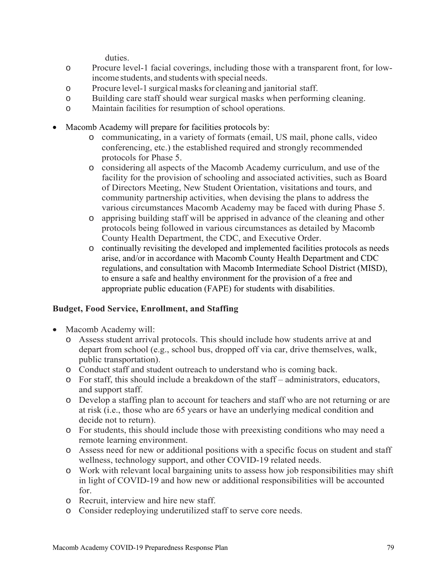duties.

- o Procure level-1 facial coverings, including those with a transparent front, for lowincome students, and students with special needs.
- o Procure level-1 surgical masks for cleaning and janitorial staff.
- o Building care staff should wear surgical masks when performing cleaning.
- o Maintain facilities for resumption of school operations.
- Macomb Academy will prepare for facilities protocols by:
	- o communicating, in a variety of formats (email, US mail, phone calls, video conferencing, etc.) the established required and strongly recommended protocols for Phase 5.
	- o considering all aspects of the Macomb Academy curriculum, and use of the facility for the provision of schooling and associated activities, such as Board of Directors Meeting, New Student Orientation, visitations and tours, and community partnership activities, when devising the plans to address the various circumstances Macomb Academy may be faced with during Phase 5.
	- o apprising building staff will be apprised in advance of the cleaning and other protocols being followed in various circumstances as detailed by Macomb County Health Department, the CDC, and Executive Order.
	- o continually revisiting the developed and implemented facilities protocols as needs arise, and/or in accordance with Macomb County Health Department and CDC regulations, and consultation with Macomb Intermediate School District (MISD), to ensure a safe and healthy environment for the provision of a free and appropriate public education (FAPE) for students with disabilities.

# **Budget, Food Service, Enrollment, and Staffing**

- Macomb Academy will:
	- o Assess student arrival protocols. This should include how students arrive at and depart from school (e.g., school bus, dropped off via car, drive themselves, walk, public transportation).
	- o Conduct staff and student outreach to understand who is coming back.
	- o For staff, this should include a breakdown of the staff administrators, educators, and support staff.
	- o Develop a staffing plan to account for teachers and staff who are not returning or are at risk (i.e., those who are 65 years or have an underlying medical condition and decide not to return).
	- o For students, this should include those with preexisting conditions who may need a remote learning environment.
	- o Assess need for new or additional positions with a specific focus on student and staff wellness, technology support, and other COVID-19 related needs.
	- o Work with relevant local bargaining units to assess how job responsibilities may shift in light of COVID-19 and how new or additional responsibilities will be accounted for.
	- o Recruit, interview and hire new staff.
	- o Consider redeploying underutilized staff to serve core needs.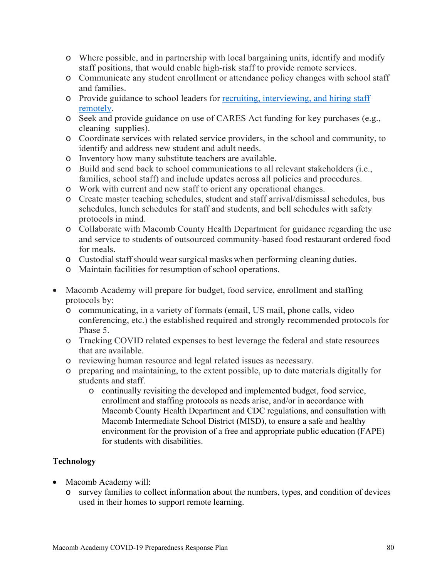- o Where possible, and in partnership with local bargaining units, identify and modify staff positions, that would enable high-risk staff to provide remote services.
- o Communicate any student enrollment or attendance policy changes with school staff and families.
- o Provide guidance to school leaders for recruiting, interviewing, and hiring staff remotely.
- o Seek and provide guidance on use of CARES Act funding for key purchases (e.g., cleaning supplies).
- o Coordinate services with related service providers, in the school and community, to identify and address new student and adult needs.
- o Inventory how many substitute teachers are available.
- o Build and send back to school communications to all relevant stakeholders (i.e., families, school staff) and include updates across all policies and procedures.
- o Work with current and new staff to orient any operational changes.
- o Create master teaching schedules, student and staff arrival/dismissal schedules, bus schedules, lunch schedules for staff and students, and bell schedules with safety protocols in mind.
- o Collaborate with Macomb County Health Department for guidance regarding the use and service to students of outsourced community-based food restaurant ordered food for meals.
- o Custodial staff should wear surgical masks when performing cleaning duties.
- o Maintain facilities for resumption of school operations.
- Macomb Academy will prepare for budget, food service, enrollment and staffing protocols by:
	- o communicating, in a variety of formats (email, US mail, phone calls, video conferencing, etc.) the established required and strongly recommended protocols for Phase 5.
	- o Tracking COVID related expenses to best leverage the federal and state resources that are available.
	- o reviewing human resource and legal related issues as necessary.
	- o preparing and maintaining, to the extent possible, up to date materials digitally for students and staff.
		- o continually revisiting the developed and implemented budget, food service, enrollment and staffing protocols as needs arise, and/or in accordance with Macomb County Health Department and CDC regulations, and consultation with Macomb Intermediate School District (MISD), to ensure a safe and healthy environment for the provision of a free and appropriate public education (FAPE) for students with disabilities.

# **Technology**

- Macomb Academy will:
	- o survey families to collect information about the numbers, types, and condition of devices used in their homes to support remote learning.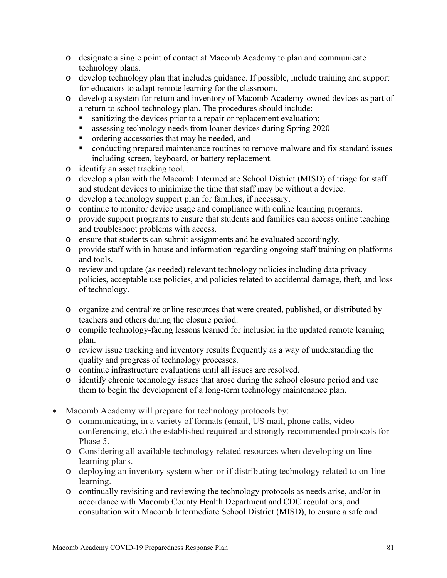- o designate a single point of contact at Macomb Academy to plan and communicate technology plans.
- o develop technology plan that includes guidance. If possible, include training and support for educators to adapt remote learning for the classroom.
- o develop a system for return and inventory of Macomb Academy-owned devices as part of a return to school technology plan. The procedures should include:
	- sanitizing the devices prior to a repair or replacement evaluation;
	- **Example 1** assessing technology needs from loaner devices during Spring 2020
	- **n** ordering accessories that may be needed, and
	- conducting prepared maintenance routines to remove malware and fix standard issues including screen, keyboard, or battery replacement.
- o identify an asset tracking tool.
- o develop a plan with the Macomb Intermediate School District (MISD) of triage for staff and student devices to minimize the time that staff may be without a device.
- o develop a technology support plan for families, if necessary.
- o continue to monitor device usage and compliance with online learning programs.
- o provide support programs to ensure that students and families can access online teaching and troubleshoot problems with access.
- o ensure that students can submit assignments and be evaluated accordingly.
- o provide staff with in-house and information regarding ongoing staff training on platforms and tools.
- o review and update (as needed) relevant technology policies including data privacy policies, acceptable use policies, and policies related to accidental damage, theft, and loss of technology.
- o organize and centralize online resources that were created, published, or distributed by teachers and others during the closure period.
- o compile technology-facing lessons learned for inclusion in the updated remote learning plan.
- o review issue tracking and inventory results frequently as a way of understanding the quality and progress of technology processes.
- o continue infrastructure evaluations until all issues are resolved.
- o identify chronic technology issues that arose during the school closure period and use them to begin the development of a long-term technology maintenance plan.
- Macomb Academy will prepare for technology protocols by:
	- o communicating, in a variety of formats (email, US mail, phone calls, video conferencing, etc.) the established required and strongly recommended protocols for Phase 5.
	- o Considering all available technology related resources when developing on-line learning plans.
	- o deploying an inventory system when or if distributing technology related to on-line learning.
	- o continually revisiting and reviewing the technology protocols as needs arise, and/or in accordance with Macomb County Health Department and CDC regulations, and consultation with Macomb Intermediate School District (MISD), to ensure a safe and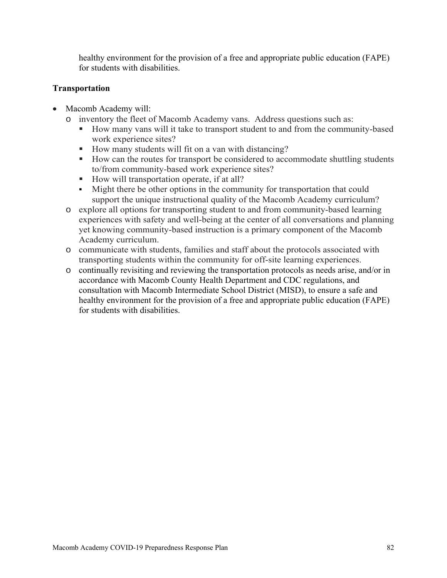healthy environment for the provision of a free and appropriate public education (FAPE) for students with disabilities.

# **Transportation**

- Macomb Academy will:
	- o inventory the fleet of Macomb Academy vans. Address questions such as:
		- How many vans will it take to transport student to and from the community-based work experience sites?
		- How many students will fit on a van with distancing?
		- How can the routes for transport be considered to accommodate shuttling students to/from community-based work experience sites?
		- How will transportation operate, if at all?
		- Might there be other options in the community for transportation that could support the unique instructional quality of the Macomb Academy curriculum?
	- o explore all options for transporting student to and from community-based learning experiences with safety and well-being at the center of all conversations and planning yet knowing community-based instruction is a primary component of the Macomb Academy curriculum.
	- o communicate with students, families and staff about the protocols associated with transporting students within the community for off-site learning experiences.
	- o continually revisiting and reviewing the transportation protocols as needs arise, and/or in accordance with Macomb County Health Department and CDC regulations, and consultation with Macomb Intermediate School District (MISD), to ensure a safe and healthy environment for the provision of a free and appropriate public education (FAPE) for students with disabilities.